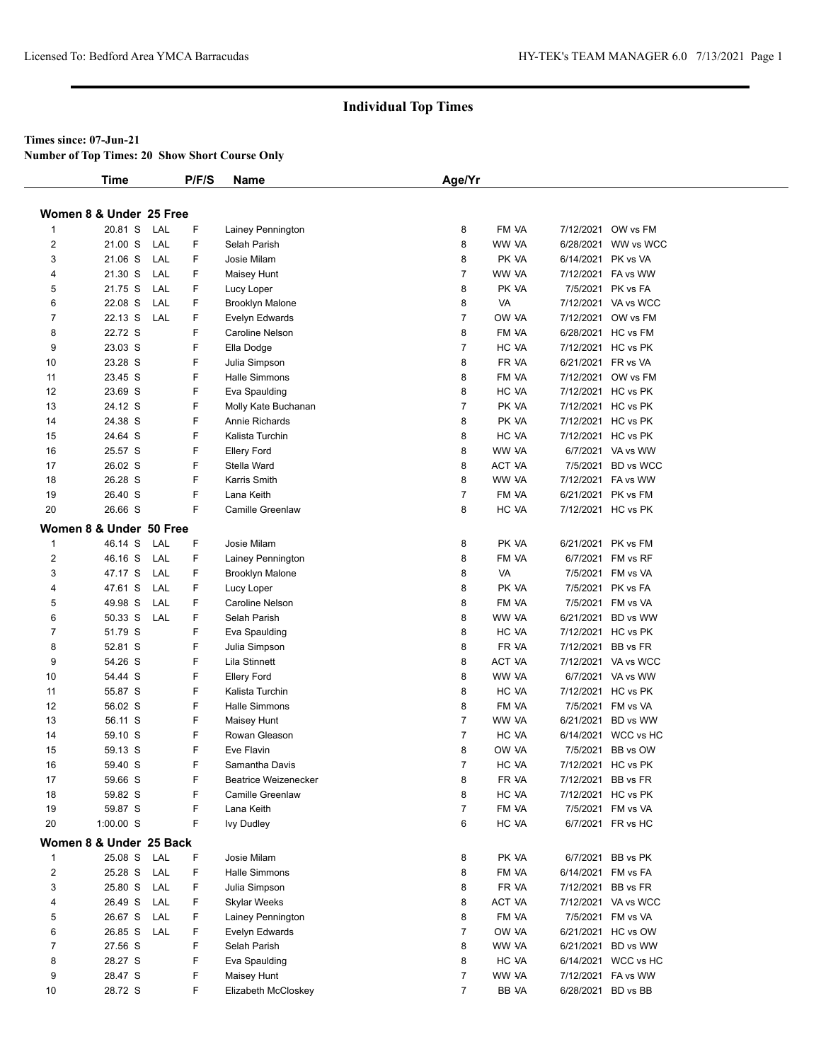#### **Times since: 07-Jun-21**

**Number of Top Times: 20 Show Short Course Only**

|                         | <b>Time</b>             |     | P/F/S | Name                    | Age/Yr         |               |                    |                     |
|-------------------------|-------------------------|-----|-------|-------------------------|----------------|---------------|--------------------|---------------------|
|                         |                         |     |       |                         |                |               |                    |                     |
|                         | Women 8 & Under 25 Free |     |       |                         |                |               |                    |                     |
| $\mathbf{1}$            | 20.81 S                 | LAL | F     | Lainey Pennington       | 8              | FM VA         |                    | 7/12/2021 OW vs FM  |
| 2                       | 21.00 S                 | LAL | F     | Selah Parish            | 8              | WW VA         |                    | 6/28/2021 WW vs WCC |
| 3                       | 21.06 S                 | LAL | F     | Josie Milam             | 8              | PK VA         | 6/14/2021 PK vs VA |                     |
| 4                       | 21.30 S                 | LAL | F     | Maisey Hunt             | $\overline{7}$ | WW VA         |                    | 7/12/2021 FA vs WW  |
| 5                       | 21.75 S                 | LAL | F     | Lucy Loper              | 8              | PK VA         |                    | 7/5/2021 PK vs FA   |
| 6                       | 22.08 S                 | LAL | F.    | <b>Brooklyn Malone</b>  | 8              | VA            |                    | 7/12/2021 VA vs WCC |
| $\overline{7}$          | 22.13 S                 | LAL | F     | Evelyn Edwards          | $\overline{7}$ | OW VA         |                    | 7/12/2021 OW vs FM  |
| 8                       | 22.72 S                 |     | F     | <b>Caroline Nelson</b>  | 8              | FM VA         |                    | 6/28/2021 HC vs FM  |
| 9                       | 23.03 S                 |     | F     | Ella Dodge              | $\overline{7}$ | HC VA         |                    | 7/12/2021 HC vs PK  |
| 10                      | 23.28 S                 |     | F     | Julia Simpson           | 8              | FR VA         |                    | 6/21/2021 FR vs VA  |
| 11                      | 23.45 S                 |     | F     | Halle Simmons           | 8              | FM VA         |                    | 7/12/2021 OW vs FM  |
| 12                      | 23.69 S                 |     | F     | Eva Spaulding           | 8              | HC VA         |                    | 7/12/2021 HC vs PK  |
| 13                      | 24.12 S                 |     | F     | Molly Kate Buchanan     | $\overline{7}$ | PK VA         |                    | 7/12/2021 HC vs PK  |
| 14                      | 24.38 S                 |     | F     | Annie Richards          | 8              | PK VA         |                    | 7/12/2021 HC vs PK  |
| 15                      | 24.64 S                 |     | F     | Kalista Turchin         | 8              | HC VA         |                    | 7/12/2021 HC vs PK  |
| 16                      | 25.57 S                 |     | F     | <b>Ellery Ford</b>      | 8              | WW VA         |                    | 6/7/2021 VA vs WW   |
| 17                      | 26.02 S                 |     | F     | Stella Ward             | 8              | ACT VA        |                    | 7/5/2021 BD vs WCC  |
| 18                      | 26.28 S                 |     | F     | Karris Smith            | 8              | WW VA         |                    | 7/12/2021 FA vs WW  |
| 19                      | 26.40 S                 |     | F     | Lana Keith              | $\overline{7}$ | FM VA         |                    | 6/21/2021 PK vs FM  |
| 20                      | 26.66 S                 |     | F     | <b>Camille Greenlaw</b> | 8              | HC VA         |                    | 7/12/2021 HC vs PK  |
|                         | Women 8 & Under 50 Free |     |       |                         |                |               |                    |                     |
| $\mathbf{1}$            | 46.14 S                 | LAL | F     | Josie Milam             | 8              | PK VA         |                    | 6/21/2021 PK vs FM  |
| $\overline{2}$          | 46.16 S                 | LAL | F     | Lainey Pennington       | 8              | FM VA         |                    | 6/7/2021 FM vs RF   |
| 3                       | 47.17 S                 | LAL | F     | <b>Brooklyn Malone</b>  | 8              | VA            |                    | 7/5/2021 FM vs VA   |
| 4                       | 47.61 S                 | LAL | F     | Lucy Loper              | 8              | PK VA         |                    | 7/5/2021 PK vs FA   |
| 5                       | 49.98 S                 | LAL | F     | Caroline Nelson         | 8              | FM VA         |                    | 7/5/2021 FM vs VA   |
| 6                       | 50.33 S                 | LAL | F     | Selah Parish            | 8              | WW VA         |                    | 6/21/2021 BD vs WW  |
| 7                       | 51.79 S                 |     | F     | Eva Spaulding           | 8              | HC VA         |                    | 7/12/2021 HC vs PK  |
| 8                       | 52.81 S                 |     | F     | Julia Simpson           | 8              | FR VA         |                    | 7/12/2021 BB vs FR  |
| 9                       | 54.26 S                 |     | F     | Lila Stinnett           | 8              | <b>ACT VA</b> |                    | 7/12/2021 VA vs WCC |
| 10                      | 54.44 S                 |     | F     | <b>Ellery Ford</b>      | 8              | WW VA         |                    | 6/7/2021 VA vs WW   |
| 11                      | 55.87 S                 |     | F     | Kalista Turchin         | 8              | HC VA         |                    | 7/12/2021 HC vs PK  |
| 12                      | 56.02 S                 |     | F     | Halle Simmons           | 8              | FM VA         |                    | 7/5/2021 FM vs VA   |
| 13                      | 56.11 S                 |     | F     | Maisey Hunt             | $\overline{7}$ | WW VA         |                    | 6/21/2021 BD vs WW  |
| 14                      | 59.10 S                 |     | F     | Rowan Gleason           | $\overline{7}$ | HC VA         |                    | 6/14/2021 WCC vs HC |
| 15                      | 59.13 S                 |     | F     | Eve Flavin              | 8              | OW VA         |                    | 7/5/2021 BB vs OW   |
| 16                      | 59.40 S                 |     | F     | Samantha Davis          | $\overline{7}$ | HC VA         |                    | 7/12/2021 HC vs PK  |
| 17                      | 59.66 S                 |     | F     | Beatrice Weizenecker    | 8              | FR VA         |                    | 7/12/2021 BB vs FR  |
| 18                      | 59.82 S                 |     | F     | Camille Greenlaw        | 8              | HC VA         |                    | 7/12/2021 HC vs PK  |
| 19                      | 59.87 S                 |     | F     | Lana Keith              | $\overline{7}$ | FM VA         |                    | 7/5/2021 FM vs VA   |
| 20                      | 1:00.00 S               |     | F     | <b>Ivy Dudley</b>       | 6              | HC VA         |                    | 6/7/2021 FR vs HC   |
|                         | Women 8 & Under 25 Back |     |       |                         |                |               |                    |                     |
| $\mathbf{1}$            | 25.08 S                 | LAL | F     | Josie Milam             | 8              | PK VA         |                    | 6/7/2021 BB vs PK   |
| $\overline{\mathbf{c}}$ | 25.28 S                 | LAL | F     | Halle Simmons           | 8              | FM VA         |                    | 6/14/2021 FM vs FA  |
| 3                       | 25.80 S                 | LAL | F     | Julia Simpson           | 8              | FR VA         |                    | 7/12/2021 BB vs FR  |
| 4                       | 26.49 S                 | LAL | F     | Skylar Weeks            | 8              | ACT VA        |                    | 7/12/2021 VA vs WCC |
| 5                       | 26.67 S                 | LAL | F     | Lainey Pennington       | 8              | FM VA         |                    | 7/5/2021 FM vs VA   |
| 6                       | 26.85 S                 | LAL | F     | Evelyn Edwards          | $\overline{7}$ | OW VA         |                    | 6/21/2021 HC vs OW  |
| $\overline{7}$          | 27.56 S                 |     | F     | Selah Parish            | 8              | WW VA         |                    | 6/21/2021 BD vs WW  |
| 8                       | 28.27 S                 |     | F     | Eva Spaulding           | 8              | HC VA         |                    | 6/14/2021 WCC vs HC |
| 9                       | 28.47 S                 |     | F     | Maisey Hunt             | $\overline{7}$ | WW VA         |                    | 7/12/2021 FA vs WW  |
| 10                      | 28.72 S                 |     | F     | Elizabeth McCloskey     | $\overline{7}$ | BB VA         |                    | 6/28/2021 BD vs BB  |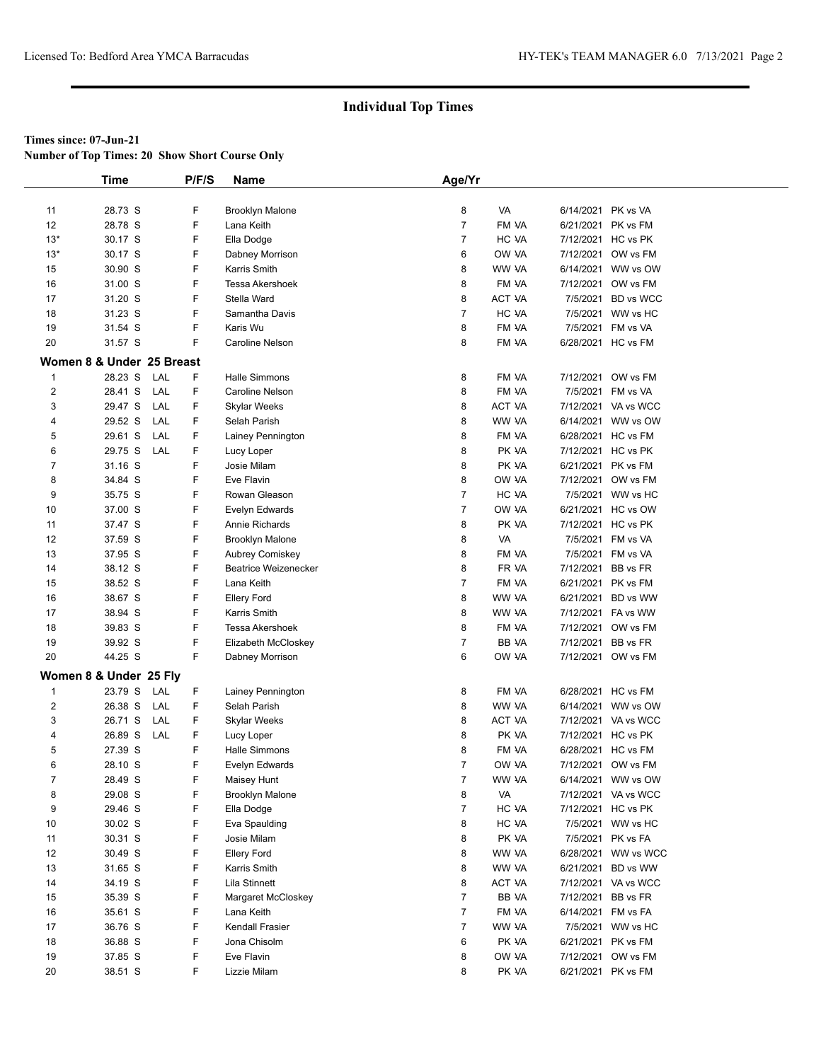**Number of Top Times: 20 Show Short Course Only**

|                | Time                      |          | P/F/S | Name                        | Age/Yr         |               |                    |                     |  |
|----------------|---------------------------|----------|-------|-----------------------------|----------------|---------------|--------------------|---------------------|--|
|                |                           |          |       |                             |                |               |                    |                     |  |
| 11             | 28.73 S                   | F        |       | <b>Brooklyn Malone</b>      | 8              | VA            | 6/14/2021          | PK vs VA            |  |
| 12             | 28.78 S                   | F        |       | Lana Keith                  | $\overline{7}$ | FM VA         | 6/21/2021          | PK vs FM            |  |
| $13*$          | 30.17 S                   | F        |       | Ella Dodge                  | $\overline{7}$ | HC VA         | 7/12/2021          | HC vs PK            |  |
| $13*$          | 30.17 S                   | F        |       | Dabney Morrison             | 6              | OW VA         | 7/12/2021          | OW vs FM            |  |
| 15             | 30.90 S                   | F        |       | Karris Smith                | 8              | WW VA         | 6/14/2021          | WW vs OW            |  |
| 16             | 31.00 S                   | F        |       | Tessa Akershoek             | 8              | FM VA         | 7/12/2021          | OW vs FM            |  |
| 17             | 31.20 S                   | F        |       | Stella Ward                 | 8              | ACT VA        | 7/5/2021           | <b>BD</b> vs WCC    |  |
| 18             | 31.23 S                   | F        |       | Samantha Davis              | $\overline{7}$ | HC VA         | 7/5/2021           | WW vs HC            |  |
| 19             | 31.54 S                   | F        |       | Karis Wu                    | 8              | FM VA         | 7/5/2021           | FM vs VA            |  |
| 20             | 31.57 S                   | F        |       | Caroline Nelson             | 8              | FM VA         | 6/28/2021 HC vs FM |                     |  |
|                | Women 8 & Under 25 Breast |          |       |                             |                |               |                    |                     |  |
| $\mathbf{1}$   | 28.23 S                   | LAL      | F     | <b>Halle Simmons</b>        | 8              | FM VA         | 7/12/2021          | OW vs FM            |  |
| $\overline{2}$ | 28.41 S                   | F<br>LAL |       | Caroline Nelson             | 8              | FM VA         | 7/5/2021           | FM vs VA            |  |
| 3              | 29.47 S                   | LAL<br>F |       | <b>Skylar Weeks</b>         | 8              | ACT VA        |                    | 7/12/2021 VA vs WCC |  |
| 4              | 29.52 S                   | LAL      | F     | Selah Parish                | 8              | WW VA         |                    | 6/14/2021 WW vs OW  |  |
| 5              | 29.61 S                   | LAL<br>F |       | Lainey Pennington           | 8              | FM VA         | 6/28/2021 HC vs FM |                     |  |
| 6              | 29.75 S                   | F<br>LAL |       | Lucy Loper                  | 8              | PK VA         | 7/12/2021 HC vs PK |                     |  |
| $\overline{7}$ | 31.16 S                   | F        |       | Josie Milam                 | 8              | PK VA         | 6/21/2021 PK vs FM |                     |  |
| 8              | 34.84 S                   | F        |       | Eve Flavin                  | 8              | OW VA         | 7/12/2021          | OW vs FM            |  |
| 9              | 35.75 S                   | F        |       | Rowan Gleason               | $\overline{7}$ | HC VA         |                    | 7/5/2021 WW vs HC   |  |
| 10             | 37.00 S                   | F        |       | Evelyn Edwards              | $\overline{7}$ | OW VA         |                    | 6/21/2021 HC vs OW  |  |
| 11             | 37.47 S                   | F        |       | Annie Richards              | 8              | PK VA         | 7/12/2021 HC vs PK |                     |  |
| 12             | 37.59 S                   | F        |       | <b>Brooklyn Malone</b>      | 8              | VA            | 7/5/2021           | FM vs VA            |  |
| 13             | 37.95 S                   | F        |       | Aubrey Comiskey             | 8              | FM VA         | 7/5/2021           | FM vs VA            |  |
| 14             | 38.12 S                   | F        |       | <b>Beatrice Weizenecker</b> | 8              | FR VA         | 7/12/2021          | BB vs FR            |  |
| 15             | 38.52 S                   | F        |       | Lana Keith                  | $\overline{7}$ | FM VA         | 6/21/2021          | PK vs FM            |  |
| 16             | 38.67 S                   | F        |       | <b>Ellery Ford</b>          | 8              | WW VA         | 6/21/2021          | BD vs WW            |  |
| 17             | 38.94 S                   | F        |       | Karris Smith                | 8              | WW VA         |                    | 7/12/2021 FA vs WW  |  |
| 18             | 39.83 S                   | F        |       | Tessa Akershoek             | 8              | FM VA         | 7/12/2021          | OW vs FM            |  |
| 19             | 39.92 S                   | F        |       | Elizabeth McCloskey         | $\overline{7}$ | BB VA         | 7/12/2021          | BB vs FR            |  |
| 20             | 44.25 S                   | F        |       | Dabney Morrison             | 6              | OW VA         |                    | 7/12/2021 OW vs FM  |  |
|                | Women 8 & Under 25 Fly    |          |       |                             |                |               |                    |                     |  |
| $\mathbf{1}$   | 23.79 S                   | F<br>LAL |       | Lainey Pennington           | 8              | FM VA         | 6/28/2021 HC vs FM |                     |  |
| $\overline{2}$ | 26.38 S                   | F<br>LAL |       | Selah Parish                | 8              | WW VA         | 6/14/2021          | WW vs OW            |  |
| 3              | 26.71 S                   | F<br>LAL |       | Skylar Weeks                | 8              | <b>ACT VA</b> |                    | 7/12/2021 VA vs WCC |  |
| 4              | 26.89 S                   | F<br>LAL |       | Lucy Loper                  | 8              | PK VA         | 7/12/2021 HC vs PK |                     |  |
| 5              | 27.39 S                   | F        |       | <b>Halle Simmons</b>        | 8              | FM VA         | 6/28/2021 HC vs FM |                     |  |
| 6              | 28.10 S                   | F        |       | Evelyn Edwards              | $\overline{7}$ | OW VA         |                    | 7/12/2021 OW vs FM  |  |
| $\overline{7}$ | 28.49 S                   | F        |       | Maisey Hunt                 | $\overline{7}$ | WW VA         |                    | 6/14/2021 WW vs OW  |  |
| 8              | 29.08 S                   | F        |       | <b>Brooklyn Malone</b>      | 8              | VA            | 7/12/2021          | VA vs WCC           |  |
| 9              | 29.46 S                   | F        |       | Ella Dodge                  | $\overline{7}$ | HC VA         | 7/12/2021 HC vs PK |                     |  |
| 10             | 30.02 S                   | F        |       | Eva Spaulding               | 8              | HC VA         |                    | 7/5/2021 WW vs HC   |  |
| 11             | 30.31 S                   | F        |       | Josie Milam                 | 8              | PK VA         | 7/5/2021           | PK vs FA            |  |
| 12             | 30.49 S                   | F        |       | <b>Ellery Ford</b>          | 8              | WW VA         | 6/28/2021          | WW vs WCC           |  |
| 13             | 31.65 S                   | F        |       | Karris Smith                | 8              | WW VA         | 6/21/2021          | BD vs WW            |  |
| 14             | 34.19 S                   | F        |       | Lila Stinnett               | 8              | <b>ACT VA</b> | 7/12/2021          | VA vs WCC           |  |
| 15             | 35.39 S                   | F        |       | Margaret McCloskey          | $\overline{7}$ | BB VA         | 7/12/2021          | BB vs FR            |  |
| 16             | 35.61 S                   | F        |       | Lana Keith                  | $\overline{7}$ | FM VA         | 6/14/2021          | FM vs FA            |  |
| 17             | 36.76 S                   | F        |       | Kendall Frasier             | $\overline{7}$ | WW VA         |                    | 7/5/2021 WW vs HC   |  |
| 18             | 36.88 S                   | F        |       | Jona Chisolm                | 6              | PK VA         | 6/21/2021          | PK vs FM            |  |
| 19             | 37.85 S                   | F        |       | Eve Flavin                  | 8              | OW VA         | 7/12/2021          | OW vs FM            |  |
| 20             | 38.51 S                   |          | F     | Lizzie Milam                | 8              | PK VA         | 6/21/2021          | PK vs FM            |  |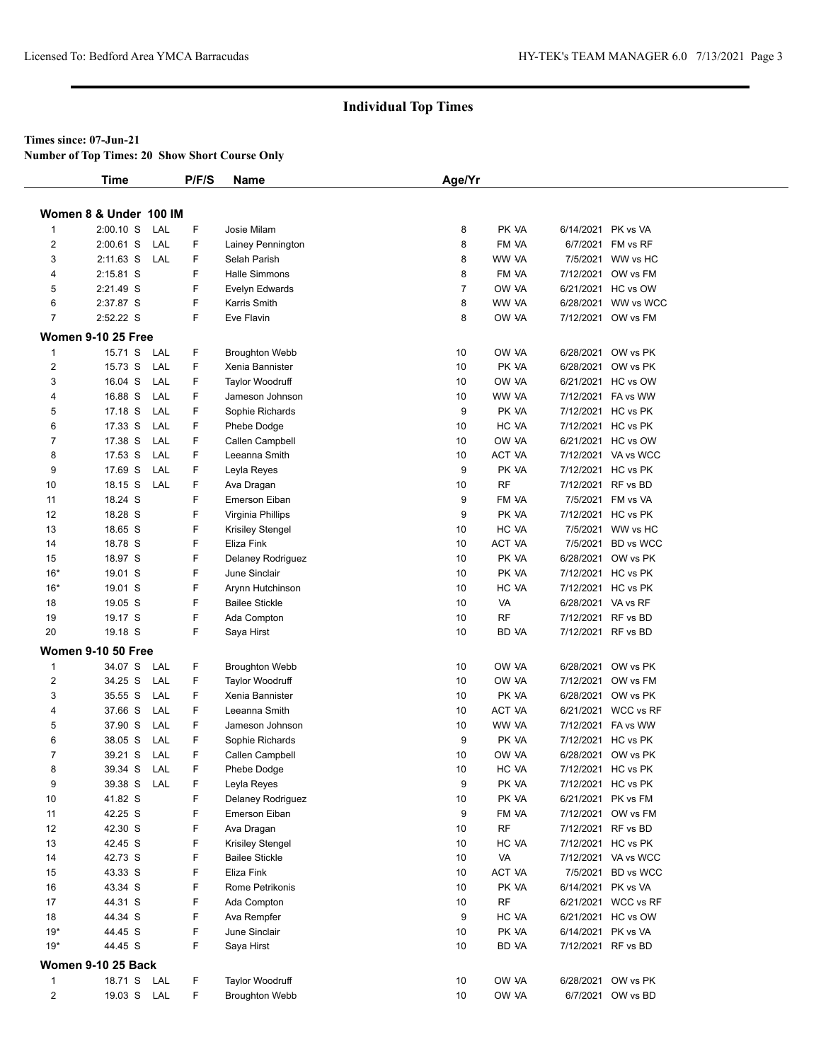### **Times since: 07-Jun-21**

**Number of Top Times: 20 Show Short Course Only**

|                         | <b>Time</b>               | P/F/S    | Name                   | Age/Yr         |               |                    |                     |
|-------------------------|---------------------------|----------|------------------------|----------------|---------------|--------------------|---------------------|
|                         | Women 8 & Under 100 IM    |          |                        |                |               |                    |                     |
| 1                       | $2:00.10$ S               | LAL<br>F | Josie Milam            | 8              | PK VA         |                    | 6/14/2021 PK vs VA  |
| $\overline{2}$          | $2:00.61$ S               | F<br>LAL | Lainey Pennington      | 8              | FM VA         |                    | 6/7/2021 FM vs RF   |
| 3                       | $2:11.63$ S               | LAL<br>F | Selah Parish           | 8              | WW VA         |                    | 7/5/2021 WW vs HC   |
| 4                       | 2:15.81 S                 | F        | <b>Halle Simmons</b>   | 8              | FM VA         |                    | 7/12/2021 OW vs FM  |
| 5                       | 2:21.49 S                 | F        | Evelyn Edwards         | $\overline{7}$ | OW VA         |                    | 6/21/2021 HC vs OW  |
| 6                       | 2:37.87 S                 | F        | Karris Smith           | 8              | WW VA         |                    | 6/28/2021 WW vs WCC |
| 7                       | 2:52.22 S                 | F        | Eve Flavin             | 8              | OW VA         |                    | 7/12/2021 OW vs FM  |
|                         |                           |          |                        |                |               |                    |                     |
|                         | Women 9-10 25 Free        |          |                        |                |               |                    |                     |
| $\mathbf{1}$            | 15.71 S                   | LAL<br>F | <b>Broughton Webb</b>  | 10             | OW VA         |                    | 6/28/2021 OW vs PK  |
| $\overline{2}$          | 15.73 S                   | LAL<br>F | Xenia Bannister        | 10             | PK VA         |                    | 6/28/2021 OW vs PK  |
| 3                       | 16.04 S                   | LAL<br>F | <b>Taylor Woodruff</b> | 10             | OW VA         |                    | 6/21/2021 HC vs OW  |
| 4                       | 16.88 S                   | LAL<br>F | Jameson Johnson        | 10             | WW VA         |                    | 7/12/2021 FA vs WW  |
| 5                       | 17.18 S                   | F<br>LAL | Sophie Richards        | 9              | PK VA         |                    | 7/12/2021 HC vs PK  |
| 6                       | 17.33 S                   | F<br>LAL | Phebe Dodge            | 10             | HC VA         |                    | 7/12/2021 HC vs PK  |
| 7                       | 17.38 S                   | F<br>LAL | Callen Campbell        | 10             | OW VA         |                    | 6/21/2021 HC vs OW  |
| 8                       | 17.53 S                   | F<br>LAL | Leeanna Smith          | 10             | ACT VA        |                    | 7/12/2021 VA vs WCC |
| 9                       | 17.69 S                   | LAL<br>F | Leyla Reyes            | 9              | PK VA         |                    | 7/12/2021 HC vs PK  |
| 10                      | 18.15 S                   | F<br>LAL | Ava Dragan             | 10             | <b>RF</b>     |                    | 7/12/2021 RF vs BD  |
| 11                      | 18.24 S                   | F        | Emerson Eiban          | 9              | FM VA         |                    | 7/5/2021 FM vs VA   |
| 12                      | 18.28 S                   | F        | Virginia Phillips      | 9              | PK VA         |                    | 7/12/2021 HC vs PK  |
| 13                      | 18.65 S                   | F        | Krisiley Stengel       | 10             | HC VA         |                    | 7/5/2021 WW vs HC   |
| 14                      | 18.78 S                   | F        | Eliza Fink             | 10             | <b>ACT VA</b> |                    | 7/5/2021 BD vs WCC  |
| 15                      | 18.97 S                   | F        | Delaney Rodriguez      | 10             | PK VA         |                    | 6/28/2021 OW vs PK  |
| $16*$                   | 19.01 S                   | F        | June Sinclair          | 10             | PK VA         |                    | 7/12/2021 HC vs PK  |
| $16*$                   | 19.01 S                   | F        | Arynn Hutchinson       | 10             | HC VA         |                    | 7/12/2021 HC vs PK  |
| 18                      | 19.05 S                   | F        | <b>Bailee Stickle</b>  | 10             | VA            | 6/28/2021 VA vs RF |                     |
| 19                      | 19.17 S                   | F        | Ada Compton            | 10             | RF            | 7/12/2021 RF vs BD |                     |
| 20                      | 19.18 S                   | F        |                        | 10             | BD VA         |                    | 7/12/2021 RF vs BD  |
|                         |                           |          | Saya Hirst             |                |               |                    |                     |
|                         | <b>Women 9-10 50 Free</b> |          |                        |                |               |                    |                     |
| 1                       | 34.07 S                   | LAL<br>F | <b>Broughton Webb</b>  | 10             | OW VA         |                    | 6/28/2021 OW vs PK  |
| 2                       | 34.25 S                   | LAL<br>F | <b>Taylor Woodruff</b> | 10             | OW VA         |                    | 7/12/2021 OW vs FM  |
| 3                       | 35.55 S                   | F<br>LAL | Xenia Bannister        | 10             | PK VA         |                    | 6/28/2021 OW vs PK  |
| 4                       | 37.66 S                   | F<br>LAL | Leeanna Smith          | 10             | ACT VA        |                    | 6/21/2021 WCC vs RF |
| 5                       | 37.90 S                   | LAL<br>F | Jameson Johnson        | 10             | WW VA         |                    | 7/12/2021 FA vs WW  |
| 6                       | 38.05 S                   | F<br>LAL | Sophie Richards        | 9              | PK VA         |                    | 7/12/2021 HC vs PK  |
| 7                       | 39.21 S                   | F<br>LAL | Callen Campbell        | 10             | OW VA         |                    | 6/28/2021 OW vs PK  |
| 8                       | 39.34 S LAL               | F        | Phebe Dodge            | 10             | HC VA         |                    | 7/12/2021 HC vs PK  |
| 9                       | 39.38 S LAL               | F        | Leyla Reyes            | 9              | PK VA         |                    | 7/12/2021 HC vs PK  |
| $10$                    | 41.82 S                   | F        | Delaney Rodriguez      | 10             | PK VA         |                    | 6/21/2021 PK vs FM  |
| 11                      | 42.25 S                   | F        | Emerson Eiban          | 9              | FM VA         |                    | 7/12/2021 OW vs FM  |
| 12                      | 42.30 S                   | F        | Ava Dragan             | 10             | RF            |                    | 7/12/2021 RF vs BD  |
| 13                      | 42.45 S                   | F        | Krisiley Stengel       | 10             | HC VA         |                    | 7/12/2021 HC vs PK  |
| 14                      | 42.73 S                   | F        | <b>Bailee Stickle</b>  | 10             | VA            |                    | 7/12/2021 VA vs WCC |
| 15                      | 43.33 S                   | F        | Eliza Fink             | 10             | ACT VA        |                    | 7/5/2021 BD vs WCC  |
| 16                      | 43.34 S                   | F        | Rome Petrikonis        | 10             | PK VA         |                    | 6/14/2021 PK vs VA  |
| 17                      | 44.31 S                   | F        | Ada Compton            | 10             | RF            |                    | 6/21/2021 WCC vs RF |
| 18                      | 44.34 S                   | F        | Ava Rempfer            | 9              | HC VA         |                    | 6/21/2021 HC vs OW  |
| $19*$                   | 44.45 S                   | F        | June Sinclair          | 10             | PK VA         | 6/14/2021 PK vs VA |                     |
| $19*$                   | 44.45 S                   | F        | Saya Hirst             | 10             | BD VA         |                    | 7/12/2021 RF vs BD  |
|                         |                           |          |                        |                |               |                    |                     |
|                         | <b>Women 9-10 25 Back</b> |          |                        |                |               |                    |                     |
| 1                       | 18.71 S LAL               | F        | Taylor Woodruff        | 10             | OW VA         |                    | 6/28/2021 OW vs PK  |
| $\overline{\mathbf{c}}$ | 19.03 S LAL               | F.       | <b>Broughton Webb</b>  | 10             | OW VA         |                    | 6/7/2021 OW vs BD   |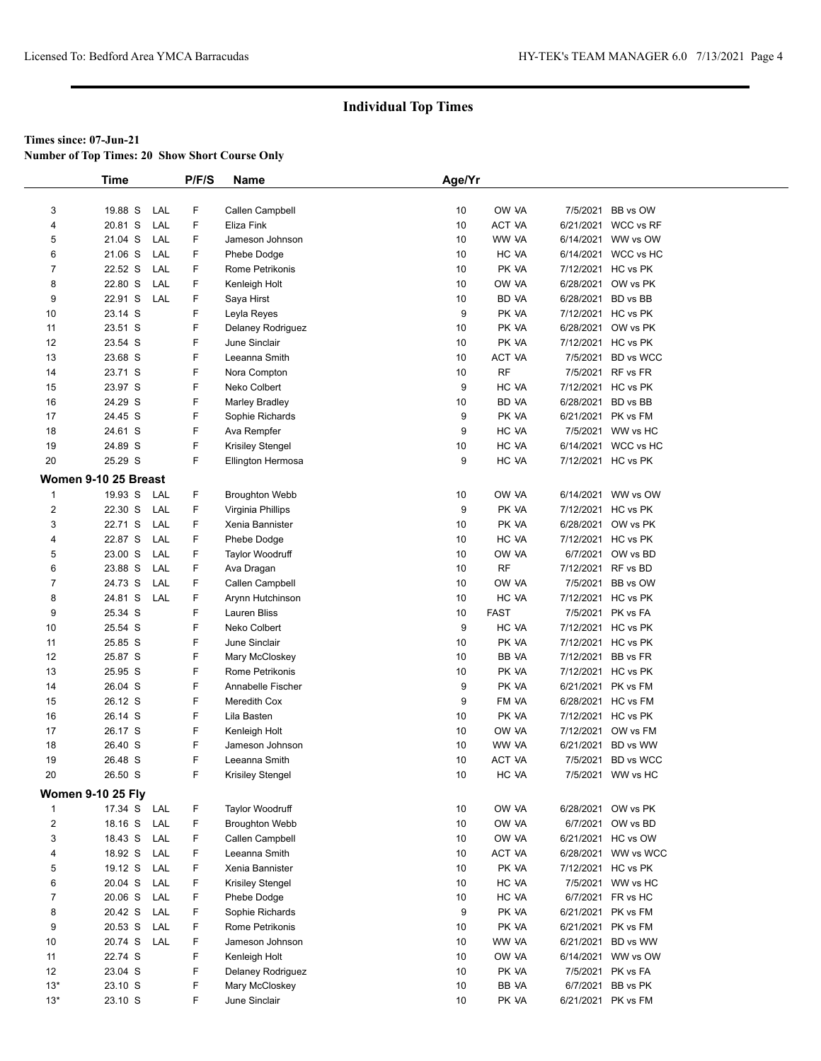**Number of Top Times: 20 Show Short Course Only**

|                | <b>Time</b>              |     | P/F/S | Name                  | Age/Yr |             |                    |                     |
|----------------|--------------------------|-----|-------|-----------------------|--------|-------------|--------------------|---------------------|
|                |                          |     |       |                       |        |             |                    |                     |
| 3              | 19.88 S                  | LAL | F     | Callen Campbell       | 10     | OW VA       | 7/5/2021           | BB vs OW            |
| 4              | 20.81 S                  | LAL | F     | Eliza Fink            | 10     | ACT VA      |                    | 6/21/2021 WCC vs RF |
| 5              | 21.04 S                  | LAL | F     | Jameson Johnson       | 10     | WW VA       |                    | 6/14/2021 WW vs OW  |
| 6              | 21.06 S                  | LAL | F     | Phebe Dodge           | 10     | HC VA       |                    | 6/14/2021 WCC vs HC |
| 7              | 22.52 S                  | LAL | F.    | Rome Petrikonis       | 10     | PK VA       |                    | 7/12/2021 HC vs PK  |
| 8              | 22.80 S                  | LAL | F     | Kenleigh Holt         | 10     | ow ya       |                    | 6/28/2021 OW vs PK  |
| 9              | 22.91 S                  | LAL | F     | Saya Hirst            | 10     | BD VA       | 6/28/2021          | BD vs BB            |
| 10             | 23.14 S                  |     | F     | Leyla Reyes           | 9      | PK VA       |                    | 7/12/2021 HC vs PK  |
| 11             | 23.51 S                  |     | F     | Delaney Rodriguez     | 10     | PK VA       | 6/28/2021          | OW vs PK            |
| 12             | 23.54 S                  |     | F     | June Sinclair         | 10     | PK VA       |                    | 7/12/2021 HC vs PK  |
| 13             | 23.68 S                  |     | F     | Leeanna Smith         | 10     | ACT VA      |                    | 7/5/2021 BD vs WCC  |
| 14             | 23.71 S                  |     | F     | Nora Compton          | 10     | <b>RF</b>   |                    | 7/5/2021 RF vs FR   |
| 15             | 23.97 S                  |     | F     | Neko Colbert          | 9      | HC VA       |                    | 7/12/2021 HC vs PK  |
| 16             | 24.29 S                  |     | F     | <b>Marley Bradley</b> | 10     | BD VA       | 6/28/2021 BD vs BB |                     |
| 17             | 24.45 S                  |     | F     | Sophie Richards       | 9      | PK VA       | 6/21/2021 PK vs FM |                     |
| 18             | 24.61 S                  |     | F     | Ava Rempfer           | 9      | HC VA       |                    | 7/5/2021 WW vs HC   |
| 19             | 24.89 S                  |     | F     | Krisiley Stengel      | 10     | HC VA       |                    | 6/14/2021 WCC vs HC |
| 20             | 25.29 S                  |     | F.    | Ellington Hermosa     | 9      | HC VA       |                    | 7/12/2021 HC vs PK  |
|                | Women 9-10 25 Breast     |     |       |                       |        |             |                    |                     |
| 1              | 19.93 S                  | LAL | F.    | <b>Broughton Webb</b> | 10     | OW VA       |                    | 6/14/2021 WW vs OW  |
| 2              | 22.30 S                  | LAL | F     | Virginia Phillips     | 9      | PK VA       |                    | 7/12/2021 HC vs PK  |
| 3              | 22.71 S                  | LAL | F.    | Xenia Bannister       | 10     | PK VA       |                    | 6/28/2021 OW vs PK  |
| 4              | 22.87 S                  | LAL | F     | Phebe Dodge           | 10     | HC VA       |                    | 7/12/2021 HC vs PK  |
| 5              | 23.00 S                  | LAL | F     | Taylor Woodruff       | 10     | OW VA       |                    | 6/7/2021 OW vs BD   |
| 6              | 23.88 S                  | LAL | F.    | Ava Dragan            | 10     | <b>RF</b>   | 7/12/2021 RF vs BD |                     |
| 7              | 24.73 S                  | LAL | F.    | Callen Campbell       | 10     | OW VA       |                    | 7/5/2021 BB vs OW   |
| 8              | 24.81 S                  | LAL | F     | Arynn Hutchinson      | 10     | HC VA       |                    | 7/12/2021 HC vs PK  |
| 9              | 25.34 S                  |     | F.    | Lauren Bliss          | 10     | <b>FAST</b> |                    | 7/5/2021 PK vs FA   |
| 10             | 25.54 S                  |     | F     | Neko Colbert          | 9      | HC VA       |                    | 7/12/2021 HC vs PK  |
| 11             | 25.85 S                  |     | F     | June Sinclair         | 10     | PK VA       |                    | 7/12/2021 HC vs PK  |
| 12             | 25.87 S                  |     | F     | Mary McCloskey        | 10     | BB VA       | 7/12/2021 BB vs FR |                     |
| 13             | 25.95 S                  |     | F     | Rome Petrikonis       | 10     | PK VA       |                    | 7/12/2021 HC vs PK  |
| 14             | 26.04 S                  |     | F     | Annabelle Fischer     | 9      | PK VA       | 6/21/2021 PK vs FM |                     |
| 15             | 26.12 S                  |     | F.    | Meredith Cox          | 9      | FM VA       |                    | 6/28/2021 HC vs FM  |
| 16             | 26.14 S                  |     | F     | Lila Basten           | 10     | PK VA       |                    | 7/12/2021 HC vs PK  |
| 17             | 26.17 S                  |     | F     | Kenleigh Holt         | 10     | OW VA       |                    | 7/12/2021 OW vs FM  |
| 18             | 26.40 S                  |     | F     | Jameson Johnson       | 10     | WW VA       | 6/21/2021          | BD vs WW            |
| 19             | 26.48 S                  |     | F     | Leeanna Smith         | 10     | ACT VA      |                    | 7/5/2021 BD vs WCC  |
| 20             | 26.50 S                  |     | F     | Krisiley Stengel      | 10     | HC VA       |                    | 7/5/2021 WW vs HC   |
|                | <b>Women 9-10 25 Fly</b> |     |       |                       |        |             |                    |                     |
| 1              | 17.34 S LAL              |     | F     | Taylor Woodruff       | 10     | OW VA       |                    | 6/28/2021 OW vs PK  |
| $\overline{2}$ | 18.16 S                  | LAL | F     | <b>Broughton Webb</b> | 10     | OW VA       |                    | 6/7/2021 OW vs BD   |
| 3              | 18.43 S                  | LAL | F     | Callen Campbell       | 10     | OW VA       |                    | 6/21/2021 HC vs OW  |
| 4              | 18.92 S                  | LAL | F     | Leeanna Smith         | 10     | ACT VA      |                    | 6/28/2021 WW vs WCC |
| 5              | 19.12 S                  | LAL | F     | Xenia Bannister       | 10     | PK VA       |                    | 7/12/2021 HC vs PK  |
| 6              | 20.04 S                  | LAL | F     | Krisiley Stengel      | 10     | HC VA       |                    | 7/5/2021 WW vs HC   |
| 7              | 20.06 S                  | LAL | F     | Phebe Dodge           | 10     | HC VA       |                    | 6/7/2021 FR vs HC   |
| 8              | 20.42 S                  | LAL | F     | Sophie Richards       | 9      | PK VA       |                    | 6/21/2021 PK vs FM  |
| 9              | 20.53 S                  | LAL | F     | Rome Petrikonis       | 10     | PK VA       |                    | 6/21/2021 PK vs FM  |
| 10             | 20.74 S LAL              |     | F     | Jameson Johnson       | 10     | WW VA       |                    | 6/21/2021 BD vs WW  |
| 11             | 22.74 S                  |     | F     | Kenleigh Holt         | 10     | OW VA       |                    | 6/14/2021 WW vs OW  |
| 12             | 23.04 S                  |     | F     | Delaney Rodriguez     | 10     | PK VA       |                    | 7/5/2021 PK vs FA   |
| $13*$          | 23.10 S                  |     | F     | Mary McCloskey        | 10     | BB VA       | 6/7/2021           | BB vs PK            |
| $13*$          | 23.10 S                  |     | F     | June Sinclair         | 10     | PK VA       |                    | 6/21/2021 PK vs FM  |
|                |                          |     |       |                       |        |             |                    |                     |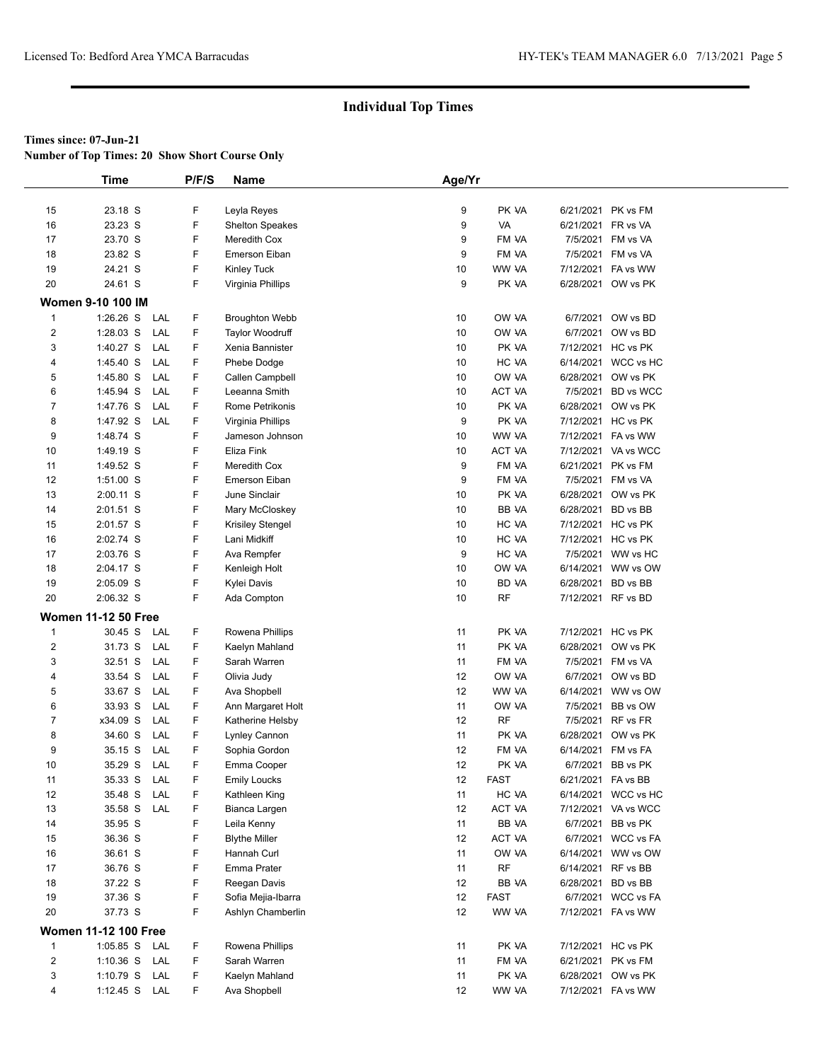**Number of Top Times: 20 Show Short Course Only**

|                         | <b>Time</b>                 | P/F/S | Name                    | Age/Yr |             |                    |                     |
|-------------------------|-----------------------------|-------|-------------------------|--------|-------------|--------------------|---------------------|
|                         |                             |       |                         |        |             |                    |                     |
| 15                      | 23.18 S                     | F     | Leyla Reyes             | 9      | PK VA       |                    | 6/21/2021 PK vs FM  |
| 16                      | 23.23 S                     | F     | <b>Shelton Speakes</b>  | 9      | VA          | 6/21/2021 FR vs VA |                     |
| 17                      | 23.70 S                     | F     | Meredith Cox            | 9      | FM VA       |                    | 7/5/2021 FM vs VA   |
| 18                      | 23.82 S                     | F     | Emerson Eiban           | 9      | FM VA       |                    | 7/5/2021 FM vs VA   |
| 19                      | 24.21 S                     | F     | <b>Kinley Tuck</b>      | 10     | WW VA       |                    | 7/12/2021 FA vs WW  |
| 20                      | 24.61 S                     | F     | Virginia Phillips       | 9      | PK VA       |                    | 6/28/2021 OW vs PK  |
|                         |                             |       |                         |        |             |                    |                     |
|                         | <b>Women 9-10 100 IM</b>    |       |                         |        |             |                    |                     |
| $\mathbf{1}$            | $1:26.26$ S<br>LAL          | F     | <b>Broughton Webb</b>   | 10     | OW VA       |                    | 6/7/2021 OW vs BD   |
| $\overline{\mathbf{c}}$ | $1:28.03$ S<br>LAL          | F     | <b>Taylor Woodruff</b>  | 10     | OW VA       |                    | 6/7/2021 OW vs BD   |
| 3                       | 1:40.27 S<br>LAL            | F     | Xenia Bannister         | 10     | PK VA       |                    | 7/12/2021 HC vs PK  |
| 4                       | 1:45.40 S<br>LAL            | F     | Phebe Dodge             | 10     | HC VA       |                    | 6/14/2021 WCC vs HC |
| 5                       | 1:45.80 S<br>LAL            | F     | Callen Campbell         | 10     | OW VA       |                    | 6/28/2021 OW vs PK  |
| 6                       | LAL<br>1:45.94 S            | F     | Leeanna Smith           | 10     | ACT VA      |                    | 7/5/2021 BD vs WCC  |
| 7                       | LAL<br>1:47.76 S            | F     | Rome Petrikonis         | 10     | PK VA       |                    | 6/28/2021 OW vs PK  |
| 8                       | 1:47.92 S<br>LAL            | F     | Virginia Phillips       | 9      | PK VA       |                    | 7/12/2021 HC vs PK  |
| 9                       | 1:48.74 S                   | F     | Jameson Johnson         | 10     | WW VA       |                    | 7/12/2021 FA vs WW  |
| 10                      | 1:49.19 S                   | F     | Eliza Fink              | 10     | ACT VA      |                    | 7/12/2021 VA vs WCC |
| 11                      | 1:49.52 S                   | F     | Meredith Cox            | 9      | FM VA       |                    | 6/21/2021 PK vs FM  |
| 12                      | 1:51.00 S                   | F     | Emerson Eiban           | 9      | FM VA       |                    | 7/5/2021 FM vs VA   |
| 13                      | $2:00.11$ S                 | F     | June Sinclair           | 10     | PK VA       |                    | 6/28/2021 OW vs PK  |
| 14                      | 2:01.51 S                   | F     | Mary McCloskey          | 10     | BB VA       |                    | 6/28/2021 BD vs BB  |
| 15                      | 2:01.57 S                   | F     | <b>Krisiley Stengel</b> | 10     | HC VA       |                    | 7/12/2021 HC vs PK  |
| 16                      | 2:02.74 S                   | F     | Lani Midkiff            | 10     | HC VA       |                    | 7/12/2021 HC vs PK  |
| 17                      | 2:03.76 S                   | F     | Ava Rempfer             | 9      | HC VA       |                    | 7/5/2021 WW vs HC   |
| 18                      | 2:04.17 S                   | F     | Kenleigh Holt           | 10     | OW VA       |                    | 6/14/2021 WW vs OW  |
| 19                      | 2:05.09 S                   | F     | Kylei Davis             | 10     | BD VA       |                    | 6/28/2021 BD vs BB  |
| 20                      | 2:06.32 S                   | F     | Ada Compton             | 10     | <b>RF</b>   |                    | 7/12/2021 RF vs BD  |
|                         | <b>Women 11-12 50 Free</b>  |       |                         |        |             |                    |                     |
| 1                       | 30.45 S<br>LAL              | F     | Rowena Phillips         | 11     | PK VA       |                    | 7/12/2021 HC vs PK  |
| $\overline{c}$          | 31.73 S<br>LAL              | F     | Kaelyn Mahland          | 11     | PK VA       |                    | 6/28/2021 OW vs PK  |
| 3                       | 32.51 S<br>LAL              | F     | Sarah Warren            | 11     | FM VA       |                    | 7/5/2021 FM vs VA   |
|                         | 33.54 S<br>LAL              | F     |                         | 12     | OW VA       |                    |                     |
| 4                       | 33.67 S<br>LAL              | F     | Olivia Judy             |        | WW VA       |                    | 6/7/2021 OW vs BD   |
| 5                       | 33.93 S<br>LAL              | F     | Ava Shopbell            | 12     |             |                    | 6/14/2021 WW vs OW  |
| 6                       |                             |       | Ann Margaret Holt       | 11     | OW VA       |                    | 7/5/2021 BB vs OW   |
| 7                       | x34.09 S<br>LAL             | F     | Katherine Helsby        | 12     | <b>RF</b>   |                    | 7/5/2021 RF vs FR   |
| 8                       | 34.60 S<br>LAL              | F     | Lynley Cannon           | 11     | PK VA       |                    | 6/28/2021 OW vs PK  |
| 9                       | 35.15 S<br>LAL              | F     | Sophia Gordon           | 12     | FM VA       |                    | 6/14/2021 FM vs FA  |
| 10                      | 35.29 S<br>LAL              | F     | Emma Cooper             | 12     | PK VA       |                    | 6/7/2021 BB vs PK   |
| 11                      | LAL<br>35.33 S              | F     | <b>Emily Loucks</b>     | 12     | <b>FAST</b> | 6/21/2021 FA vs BB |                     |
| 12                      | 35.48 S<br>LAL              | F     | Kathleen King           | 11     | HC VA       |                    | 6/14/2021 WCC vs HC |
| 13                      | 35.58 S<br>LAL              | F     | Bianca Largen           | 12     | ACT VA      |                    | 7/12/2021 VA vs WCC |
| 14                      | 35.95 S                     | F     | Leila Kenny             | 11     | BB VA       |                    | 6/7/2021 BB vs PK   |
| 15                      | 36.36 S                     | F     | <b>Blythe Miller</b>    | 12     | ACT VA      |                    | 6/7/2021 WCC vs FA  |
| 16                      | 36.61 S                     | F     | Hannah Curl             | 11     | OW VA       |                    | 6/14/2021 WW vs OW  |
| 17                      | 36.76 S                     | F     | Emma Prater             | 11     | RF          |                    | 6/14/2021 RF vs BB  |
| 18                      | 37.22 S                     | F     | Reegan Davis            | 12     | BB VA       |                    | 6/28/2021 BD vs BB  |
| 19                      | 37.36 S                     | F     | Sofia Mejia-Ibarra      | 12     | <b>FAST</b> |                    | 6/7/2021 WCC vs FA  |
| 20                      | 37.73 S                     | F     | Ashlyn Chamberlin       | 12     | WW VA       |                    | 7/12/2021 FA vs WW  |
|                         | <b>Women 11-12 100 Free</b> |       |                         |        |             |                    |                     |
| 1                       | $1:05.85$ S<br>LAL          | F     | Rowena Phillips         | 11     | PK VA       |                    | 7/12/2021 HC vs PK  |
| $\overline{c}$          | $1:10.36$ S<br>LAL          | F     | Sarah Warren            | 11     | FM VA       |                    | 6/21/2021 PK vs FM  |
| 3                       | 1:10.79 S<br>LAL            | F     | Kaelyn Mahland          | 11     | PK VA       |                    | 6/28/2021 OW vs PK  |
| 4                       | 1:12.45 S<br>LAL            | F     | Ava Shopbell            | 12     | WW VA       |                    | 7/12/2021 FA vs WW  |
|                         |                             |       |                         |        |             |                    |                     |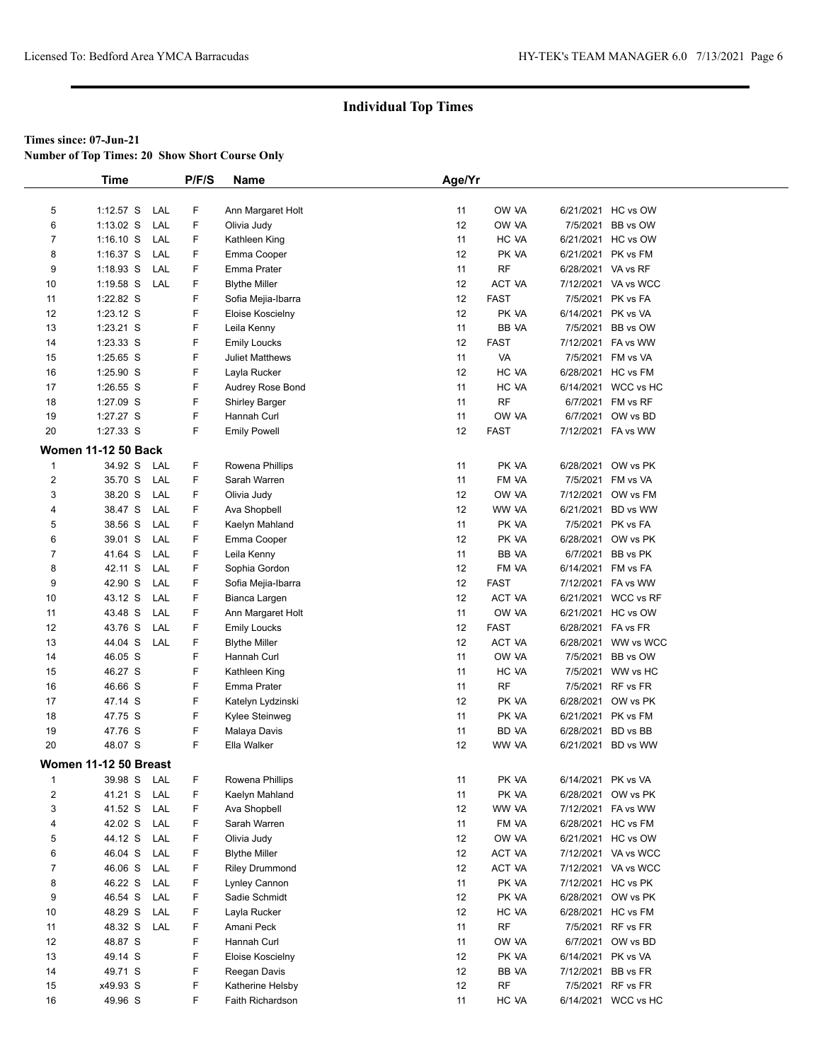**Number of Top Times: 20 Show Short Course Only**

|                         | <b>Time</b>                |     | P/F/S | Name                  | Age/Yr |               |                    |                     |
|-------------------------|----------------------------|-----|-------|-----------------------|--------|---------------|--------------------|---------------------|
|                         |                            |     |       |                       |        |               |                    |                     |
| 5                       | $1:12.57$ S                | LAL | F     | Ann Margaret Holt     | 11     | OW VA         |                    | 6/21/2021 HC vs OW  |
| 6                       | $1:13.02$ S                | LAL | F     | Olivia Judy           | 12     | OW VA         | 7/5/2021           | BB vs OW            |
| 7                       | $1:16.10$ S                | LAL | F     | Kathleen King         | 11     | HC VA         |                    | 6/21/2021 HC vs OW  |
| 8                       | $1:16.37$ S                | LAL | F.    | Emma Cooper           | 12     | PK VA         |                    | 6/21/2021 PK vs FM  |
| 9                       | $1:18.93$ S                | LAL | F     | Emma Prater           | 11     | <b>RF</b>     | 6/28/2021 VA vs RF |                     |
| 10                      | $1:19.58$ S                | LAL | F.    | <b>Blythe Miller</b>  | 12     | ACT VA        |                    | 7/12/2021 VA vs WCC |
| 11                      | 1:22.82 S                  |     | F.    | Sofia Mejia-Ibarra    | 12     | <b>FAST</b>   |                    | 7/5/2021 PK vs FA   |
| 12                      | $1:23.12$ S                |     | F     | Eloise Koscielny      | 12     | PK VA         | 6/14/2021 PK vs VA |                     |
| 13                      | $1:23.21$ S                |     | F     | Leila Kenny           | 11     | BB VA         |                    | 7/5/2021 BB vs OW   |
| 14                      | 1:23.33 S                  |     | F.    | <b>Emily Loucks</b>   | 12     | <b>FAST</b>   |                    | 7/12/2021 FA vs WW  |
| 15                      | 1:25.65 S                  |     | F     | Juliet Matthews       | 11     | VA            |                    | 7/5/2021 FM vs VA   |
| 16                      | 1:25.90 S                  |     | F     | Layla Rucker          | 12     | HC VA         |                    | 6/28/2021 HC vs FM  |
| 17                      | $1:26.55$ S                |     | F     | Audrey Rose Bond      | 11     | HC VA         |                    | 6/14/2021 WCC vs HC |
| 18                      | 1:27.09 S                  |     | F     | <b>Shirley Barger</b> | 11     | <b>RF</b>     |                    | 6/7/2021 FM vs RF   |
| 19                      | 1:27.27 S                  |     | F.    | Hannah Curl           | 11     | OW VA         |                    | 6/7/2021 OW vs BD   |
| 20                      | 1:27.33 S                  |     | F.    | <b>Emily Powell</b>   | 12     | <b>FAST</b>   |                    | 7/12/2021 FA vs WW  |
|                         | <b>Women 11-12 50 Back</b> |     |       |                       |        |               |                    |                     |
| $\mathbf{1}$            | 34.92 S                    | LAL | F     | Rowena Phillips       | 11     | PK VA         |                    | 6/28/2021 OW vs PK  |
| $\overline{\mathbf{c}}$ | 35.70 S                    | LAL | F     | Sarah Warren          | 11     | FM VA         |                    | 7/5/2021 FM vs VA   |
| 3                       | 38.20 S                    | LAL | F.    | Olivia Judy           | 12     | OW VA         |                    | 7/12/2021 OW vs FM  |
|                         |                            |     | F.    |                       |        |               |                    |                     |
| 4                       | 38.47 S                    | LAL |       | Ava Shopbell          | 12     | WW VA         |                    | 6/21/2021 BD vs WW  |
| 5                       | 38.56 S                    | LAL | F     | Kaelyn Mahland        | 11     | PK VA         |                    | 7/5/2021 PK vs FA   |
| 6                       | 39.01 S                    | LAL | F     | Emma Cooper           | 12     | PK VA         |                    | 6/28/2021 OW vs PK  |
| 7                       | 41.64 S                    | LAL | F     | Leila Kenny           | 11     | BB VA         | 6/7/2021           | BB vs PK            |
| 8                       | 42.11 S                    | LAL | F.    | Sophia Gordon         | 12     | FM VA         |                    | 6/14/2021 FM vs FA  |
| 9                       | 42.90 S                    | LAL | F.    | Sofia Mejia-Ibarra    | 12     | <b>FAST</b>   |                    | 7/12/2021 FA vs WW  |
| 10                      | 43.12 S                    | LAL | F.    | Bianca Largen         | 12     | ACT VA        |                    | 6/21/2021 WCC vs RF |
| 11                      | 43.48 S                    | LAL | F     | Ann Margaret Holt     | 11     | OW VA         |                    | 6/21/2021 HC vs OW  |
| 12                      | 43.76 S                    | LAL | F     | <b>Emily Loucks</b>   | 12     | <b>FAST</b>   | 6/28/2021 FA vs FR |                     |
| 13                      | 44.04 S                    | LAL | F     | <b>Blythe Miller</b>  | 12     | <b>ACT VA</b> |                    | 6/28/2021 WW vs WCC |
| 14                      | 46.05 S                    |     | F     | Hannah Curl           | 11     | OW VA         |                    | 7/5/2021 BB vs OW   |
| 15                      | 46.27 S                    |     | F.    | Kathleen King         | 11     | HC VA         |                    | 7/5/2021 WW vs HC   |
| 16                      | 46.66 S                    |     | F     | Emma Prater           | 11     | <b>RF</b>     |                    | 7/5/2021 RF vs FR   |
| 17                      | 47.14 S                    |     | F     | Katelyn Lydzinski     | 12     | PK VA         |                    | 6/28/2021 OW vs PK  |
| 18                      | 47.75 S                    |     | F     | Kylee Steinweg        | 11     | PK VA         |                    | 6/21/2021 PK vs FM  |
| 19                      | 47.76 S                    |     | F     | Malaya Davis          | 11     | BD VA         | 6/28/2021          | BD vs BB            |
| 20                      | 48.07 S                    |     | F     | Ella Walker           | 12     | WW VA         |                    | 6/21/2021 BD vs WW  |
|                         | Women 11-12 50 Breast      |     |       |                       |        |               |                    |                     |
| 1                       | 39.98 S                    | LAL | F     | Rowena Phillips       | 11     | PK VA         | 6/14/2021 PK vs VA |                     |
| $\overline{c}$          | 41.21 S                    | LAL | F     | Kaelyn Mahland        | 11     | PK VA         |                    | 6/28/2021 OW vs PK  |
| 3                       | 41.52 S                    | LAL | F     | Ava Shopbell          | 12     | WW VA         |                    | 7/12/2021 FA vs WW  |
| 4                       | 42.02 S                    | LAL | F     | Sarah Warren          | 11     | FM VA         |                    | 6/28/2021 HC vs FM  |
| 5                       | 44.12 S                    | LAL | F     | Olivia Judy           | 12     | OW VA         |                    | 6/21/2021 HC vs OW  |
| 6                       | 46.04 S                    | LAL | F     | <b>Blythe Miller</b>  | 12     | ACT VA        |                    | 7/12/2021 VA vs WCC |
| 7                       | 46.06 S                    | LAL | F     | <b>Riley Drummond</b> | 12     | ACT VA        |                    | 7/12/2021 VA vs WCC |
| 8                       | 46.22 S                    | LAL | F     | Lynley Cannon         | 11     | PK VA         |                    | 7/12/2021 HC vs PK  |
| 9                       | 46.54 S                    | LAL | F     | Sadie Schmidt         | 12     | PK VA         |                    | 6/28/2021 OW vs PK  |
| 10                      | 48.29 S                    | LAL | F     | Layla Rucker          | 12     | HC VA         |                    | 6/28/2021 HC vs FM  |
| 11                      | 48.32 S                    | LAL | F     | Amani Peck            | 11     | <b>RF</b>     |                    | 7/5/2021 RF vs FR   |
| 12                      | 48.87 S                    |     | F     | Hannah Curl           | 11     | OW VA         |                    | 6/7/2021 OW vs BD   |
| 13                      | 49.14 S                    |     | F     | Eloise Koscielny      | 12     | PK VA         | 6/14/2021 PK vs VA |                     |
| 14                      | 49.71 S                    |     | F     | Reegan Davis          | 12     | BB VA         | 7/12/2021          | BB vs FR            |
| 15                      | x49.93 S                   |     | F     | Katherine Helsby      | 12     | <b>RF</b>     |                    | 7/5/2021 RF vs FR   |
| 16                      | 49.96 S                    |     | F.    | Faith Richardson      | 11     | HC VA         |                    | 6/14/2021 WCC vs HC |
|                         |                            |     |       |                       |        |               |                    |                     |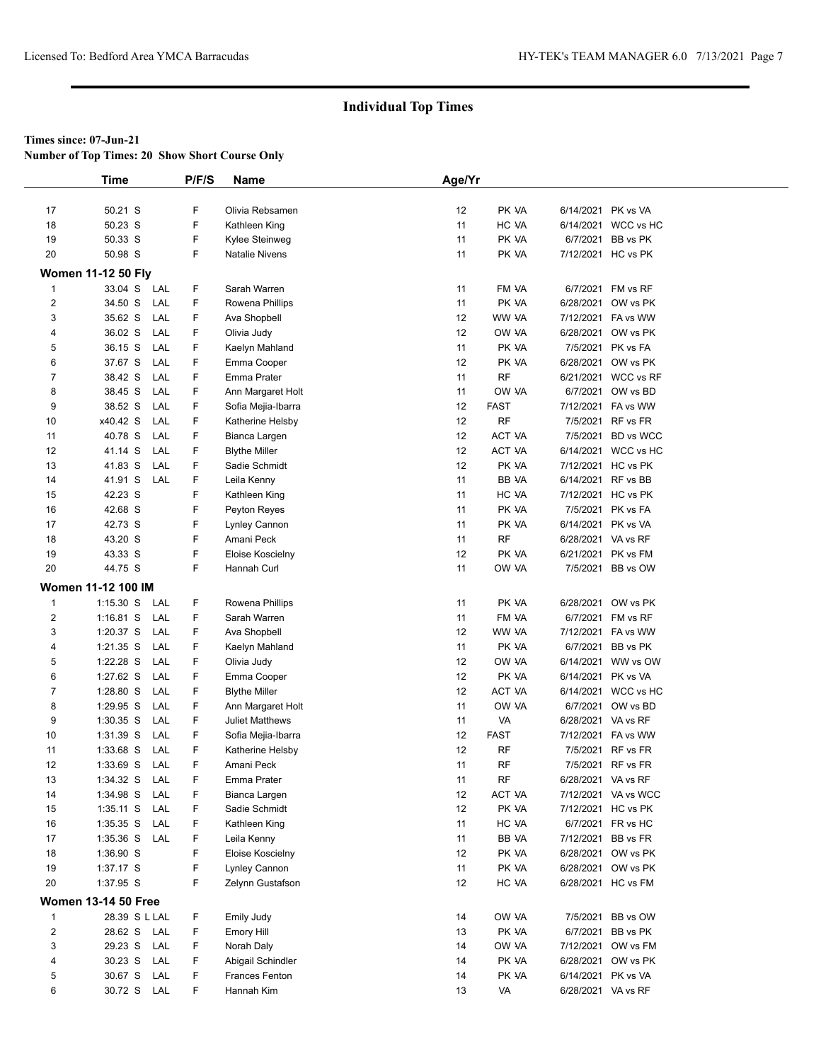**Number of Top Times: 20 Show Short Course Only**

|                         | <b>Time</b>                         | P/F/S  | <b>Name</b>                                | Age/Yr   |                |                    |                                          |
|-------------------------|-------------------------------------|--------|--------------------------------------------|----------|----------------|--------------------|------------------------------------------|
|                         |                                     |        |                                            |          |                |                    |                                          |
| 17                      | 50.21 S                             | F      | Olivia Rebsamen                            | 12       | PK VA          | 6/14/2021 PK vs VA |                                          |
| 18                      | 50.23 S                             | F      | Kathleen King                              | 11       | HC VA          |                    | 6/14/2021 WCC vs HC                      |
| 19                      | 50.33 S                             | F      | Kylee Steinweg                             | 11       | PK VA          |                    | 6/7/2021 BB vs PK                        |
| 20                      | 50.98 S                             | F      | <b>Natalie Nivens</b>                      | 11       | PK VA          |                    | 7/12/2021 HC vs PK                       |
|                         | <b>Women 11-12 50 Fly</b>           |        |                                            |          |                |                    |                                          |
| $\mathbf{1}$            | 33.04 S LAL                         | F      | Sarah Warren                               | 11       | FM VA          |                    | 6/7/2021 FM vs RF                        |
| $\overline{c}$          | 34.50 S<br>LAL                      | F      | Rowena Phillips                            | 11       | PK VA          |                    | 6/28/2021 OW vs PK                       |
| 3                       | 35.62 S<br>LAL                      | F      | Ava Shopbell                               | 12       | WW VA          |                    | 7/12/2021 FA vs WW                       |
| 4                       | 36.02 S<br>LAL                      | F      | Olivia Judy                                | 12       | OW VA          |                    | 6/28/2021 OW vs PK                       |
| 5                       | LAL<br>36.15 S                      | F      | Kaelyn Mahland                             | 11       | PK VA          |                    | 7/5/2021 PK vs FA                        |
| 6                       | 37.67 S<br>LAL                      | F      | Emma Cooper                                | 12       | PK VA          |                    | 6/28/2021 OW vs PK                       |
| 7                       | 38.42 S<br>LAL                      | F      | Emma Prater                                | 11       | <b>RF</b>      |                    | 6/21/2021 WCC vs RF                      |
| 8                       | 38.45 S<br>LAL                      | F      | Ann Margaret Holt                          | 11       | OW VA          |                    | 6/7/2021 OW vs BD                        |
| 9                       | 38.52 S<br>LAL                      | F      | Sofia Mejia-Ibarra                         | 12       | <b>FAST</b>    |                    | 7/12/2021 FA vs WW                       |
| 10                      | x40.42 S<br>LAL                     | F      | Katherine Helsby                           | 12       | <b>RF</b>      |                    | 7/5/2021 RF vs FR                        |
| 11                      | 40.78 S<br>LAL                      | F      | Bianca Largen                              | 12       | <b>ACT VA</b>  |                    | 7/5/2021 BD vs WCC                       |
| 12                      | 41.14 S<br>LAL                      | F      | <b>Blythe Miller</b>                       | 12       | ACT VA         |                    | 6/14/2021 WCC vs HC                      |
| 13                      | 41.83 S<br>LAL                      | F      | Sadie Schmidt                              | 12       | PK VA          |                    | 7/12/2021 HC vs PK                       |
| 14                      | 41.91 S<br>LAL                      | F      | Leila Kenny                                | 11       | BB VA          |                    | 6/14/2021 RF vs BB                       |
| 15                      | 42.23 S                             | F      | Kathleen King                              | 11       | HC VA          |                    | 7/12/2021 HC vs PK                       |
| 16                      | 42.68 S                             | F      | Peyton Reyes                               | 11       | PK VA          |                    | 7/5/2021 PK vs FA                        |
| 17                      | 42.73 S                             | F      | Lynley Cannon                              | 11       | PK VA          |                    | 6/14/2021 PK vs VA                       |
| 18                      | 43.20 S                             | F      | Amani Peck                                 | 11       | $\sf RF$       | 6/28/2021 VA vs RF |                                          |
| 19                      | 43.33 S                             | F      | Eloise Koscielny                           | 12       | PK VA          |                    | 6/21/2021 PK vs FM                       |
| 20                      | 44.75 S                             | F      | Hannah Curl                                | 11       | OW VA          |                    | 7/5/2021 BB vs OW                        |
|                         | <b>Women 11-12 100 IM</b>           |        |                                            |          |                |                    |                                          |
| $\mathbf{1}$            | $1:15.30$ S<br>LAL                  | F      | Rowena Phillips                            | 11       | PK VA          |                    | 6/28/2021 OW vs PK                       |
| $\mathbf{2}$            | $1:16.81$ S<br>LAL                  | F      | Sarah Warren                               | 11       | FM VA          |                    | 6/7/2021 FM vs RF                        |
| 3                       | 1:20.37 S<br>LAL                    | F      | Ava Shopbell                               | 12       | WW VA          |                    | 7/12/2021 FA vs WW                       |
| 4                       | $1:21.35$ S<br>LAL                  | F      | Kaelyn Mahland                             | 11       | PK VA          |                    | 6/7/2021 BB vs PK                        |
| 5                       | 1:22.28 S<br>LAL                    | F      | Olivia Judy                                | 12       | OW VA          |                    | 6/14/2021 WW vs OW                       |
| 6                       | 1:27.62 S<br>LAL                    | F      | Emma Cooper                                | 12       | PK VA          | 6/14/2021 PK vs VA |                                          |
| 7                       | 1:28.80 S<br>LAL                    | F      | <b>Blythe Miller</b>                       | 12       | ACT VA         |                    | 6/14/2021 WCC vs HC                      |
| 8                       | 1:29.95 S<br>LAL                    | F      | Ann Margaret Holt                          | 11       | OW VA          |                    | 6/7/2021 OW vs BD                        |
| 9                       | 1:30.35 S<br>LAL                    | F      | <b>Juliet Matthews</b>                     | 11       | VA             | 6/28/2021 VA vs RF |                                          |
| 10                      | 1:31.39 S<br>LAL                    | F      | Sofia Mejia-Ibarra                         | 12       | <b>FAST</b>    |                    | 7/12/2021 FA vs WW                       |
| 11                      | 1:33.68 S<br>LAL                    | F      | Katherine Helsby                           | 12       | RF             |                    | 7/5/2021 RF vs FR                        |
| 12                      | 1:33.69 S<br>LAL                    | F      | Amani Peck                                 | 11       | RF             |                    | 7/5/2021 RF vs FR                        |
| 13                      | LAL<br>1:34.32 S                    | F      | Emma Prater                                | 11       | RF             | 6/28/2021 VA vs RF |                                          |
| 14                      | 1:34.98 S<br>LAL                    | F      | Bianca Largen                              | 12       | ACT VA         |                    | 7/12/2021 VA vs WCC                      |
| 15                      | $1:35.11$ S<br>LAL                  | F      | Sadie Schmidt                              | 12       | PK VA<br>HC VA |                    | 7/12/2021 HC vs PK<br>6/7/2021 FR vs HC  |
| 16<br>17                | $1:35.35$ S<br>LAL<br>1:35.36 S LAL | F<br>F | Kathleen King                              | 11<br>11 | BB VA          |                    | 7/12/2021 BB vs FR                       |
| 18                      | 1:36.90 S                           | F      | Leila Kenny<br>Eloise Koscielny            | 12       | PK VA          |                    | 6/28/2021 OW vs PK                       |
| 19                      | 1:37.17 S                           | F      | Lynley Cannon                              | 11       | PK VA          |                    | 6/28/2021 OW vs PK                       |
| 20                      | 1:37.95 S                           | F      | Zelynn Gustafson                           | 12       | HC VA          |                    | 6/28/2021 HC vs FM                       |
|                         |                                     |        |                                            |          |                |                    |                                          |
|                         | <b>Women 13-14 50 Free</b>          |        |                                            |          |                |                    |                                          |
| $\mathbf{1}$            | 28.39 S L LAL                       | F.     | Emily Judy                                 | 14       | OW VA          |                    | 7/5/2021 BB vs OW                        |
| $\overline{\mathbf{c}}$ | 28.62 S LAL                         | F      | Emory Hill                                 | 13       | PK VA          |                    | 6/7/2021 BB vs PK                        |
| 3                       | 29.23 S<br>LAL                      | F      | Norah Daly                                 | 14       | OW VA          |                    | 7/12/2021 OW vs FM                       |
| 4                       | 30.23 S LAL<br>30.67 S<br>LAL       | F<br>F | Abigail Schindler<br><b>Frances Fenton</b> | 14<br>14 | PK VA<br>PK VA |                    | 6/28/2021 OW vs PK<br>6/14/2021 PK vs VA |
| 5<br>6                  | 30.72 S LAL                         | F.     | Hannah Kim                                 | 13       | VA             | 6/28/2021 VA vs RF |                                          |
|                         |                                     |        |                                            |          |                |                    |                                          |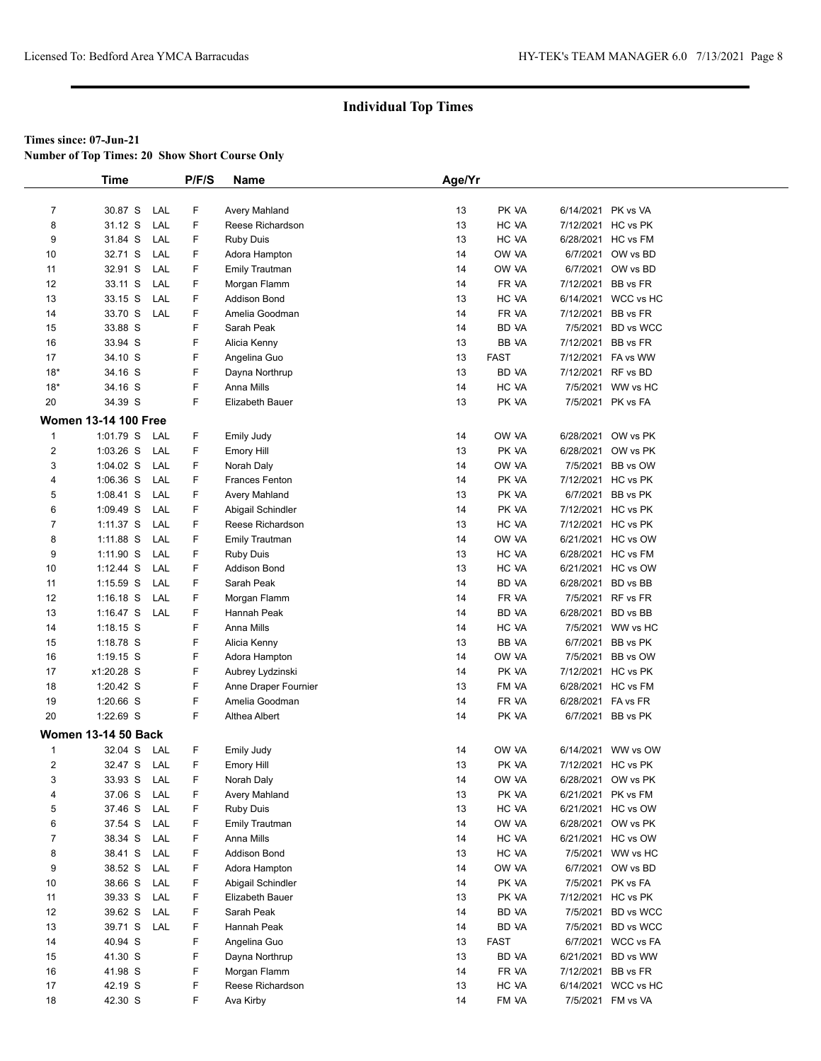**Number of Top Times: 20 Show Short Course Only**

|                | <b>Time</b>                 |            | P/F/S | Name                            | Age/Yr   |                |                    |                                          |
|----------------|-----------------------------|------------|-------|---------------------------------|----------|----------------|--------------------|------------------------------------------|
|                |                             |            |       |                                 |          |                |                    |                                          |
| $\overline{7}$ | 30.87 S                     | LAL        | F     | Avery Mahland                   | 13       | PK VA          | 6/14/2021 PK vs VA |                                          |
| 8              | 31.12 S                     | LAL        | F     | Reese Richardson                | 13       | HC VA          |                    | 7/12/2021 HC vs PK                       |
| 9              | 31.84 S                     | LAL        | F     | <b>Ruby Duis</b>                | 13       | HC VA          |                    | 6/28/2021 HC vs FM                       |
| 10             | 32.71 S                     | LAL        | F     | Adora Hampton                   | 14       | OW VA          |                    | 6/7/2021 OW vs BD                        |
| 11             | 32.91 S                     | LAL        | F     | <b>Emily Trautman</b>           | 14       | OW VA          |                    | 6/7/2021 OW vs BD                        |
| 12             | 33.11 S                     | LAL        | F     | Morgan Flamm                    | 14       | FR VA          | 7/12/2021 BB vs FR |                                          |
| 13             | 33.15 S                     | LAL        | F     | <b>Addison Bond</b>             | 13       | HC VA          |                    | 6/14/2021 WCC vs HC                      |
| 14             | 33.70 S                     | LAL        | F     | Amelia Goodman                  | 14       | FR VA          | 7/12/2021          | BB vs FR                                 |
| 15             | 33.88 S                     |            | F     | Sarah Peak                      | 14       | BD VA          | 7/5/2021           | BD vs WCC                                |
| 16             | 33.94 S                     |            | F     | Alicia Kenny                    | 13       | BB VA          | 7/12/2021 BB vs FR |                                          |
| 17             | 34.10 S                     |            | F     | Angelina Guo                    | 13       | <b>FAST</b>    |                    | 7/12/2021 FA vs WW                       |
| $18*$          | 34.16 S                     |            | F     | Dayna Northrup                  | 13       | <b>BD VA</b>   | 7/12/2021 RF vs BD |                                          |
| $18*$          | 34.16 S                     |            | F     | Anna Mills                      | 14       | HC VA          |                    | 7/5/2021 WW vs HC                        |
| 20             | 34.39 S                     |            | F     | Elizabeth Bauer                 | 13       | PK VA          |                    | 7/5/2021 PK vs FA                        |
|                | <b>Women 13-14 100 Free</b> |            |       |                                 |          |                |                    |                                          |
| $\mathbf{1}$   | 1:01.79 S                   | LAL        | F     | <b>Emily Judy</b>               | 14       | OW VA          |                    | 6/28/2021 OW vs PK                       |
| $\overline{2}$ | $1:03.26$ S                 | LAL        | F     | Emory Hill                      | 13       | PK VA          |                    | 6/28/2021 OW vs PK                       |
| 3              | $1:04.02$ S                 | LAL        | F     | Norah Daly                      | 14       | OW VA          | 7/5/2021           | BB vs OW                                 |
| 4              | $1:06.36$ S                 | LAL        | F     | <b>Frances Fenton</b>           | 14       | PK VA          |                    | 7/12/2021 HC vs PK                       |
| 5              | $1:08.41$ S                 | LAL        | F     | Avery Mahland                   | 13       | PK VA          |                    | 6/7/2021 BB vs PK                        |
| 6              | $1:09.49$ S                 | LAL        | F     | Abigail Schindler               | 14       | PK VA          |                    | 7/12/2021 HC vs PK                       |
| $\overline{7}$ | $1:11.37$ S                 | LAL        | F     | Reese Richardson                | 13       | HC VA          |                    | 7/12/2021 HC vs PK                       |
| 8              | 1:11.88 S                   | LAL        | F     | <b>Emily Trautman</b>           | 14       | OW VA          |                    | 6/21/2021 HC vs OW                       |
| 9              | 1:11.90 S                   | LAL        | F     | <b>Ruby Duis</b>                | 13       | HC VA          |                    | 6/28/2021 HC vs FM                       |
| 10             | $1:12.44$ S                 | LAL        | F     | <b>Addison Bond</b>             | 13       | HC VA          |                    | 6/21/2021 HC vs OW                       |
| 11             | $1:15.59$ S                 | LAL        | F     | Sarah Peak                      | 14       | <b>BD VA</b>   |                    | 6/28/2021 BD vs BB                       |
| 12             | $1:16.18$ S                 | LAL        | F     | Morgan Flamm                    | 14       | FR VA          |                    | 7/5/2021 RF vs FR                        |
| 13             | $1:16.47$ S                 | LAL        | F     | Hannah Peak                     | 14       | <b>BD VA</b>   | 6/28/2021          | BD vs BB                                 |
| 14             | $1:18.15$ S                 |            | F     | Anna Mills                      | 14       | HC VA          |                    | 7/5/2021 WW vs HC                        |
| 15             | 1:18.78 S                   |            | F     | Alicia Kenny                    | 13       | BB VA          |                    | 6/7/2021 BB vs PK                        |
| 16             | $1:19.15$ S                 |            | F     | Adora Hampton                   | 14       | OW VA          |                    | 7/5/2021 BB vs OW                        |
| 17             | x1:20.28 S                  |            | F     | Aubrey Lydzinski                | 14       | PK VA          |                    | 7/12/2021 HC vs PK                       |
| 18             | 1:20.42 S                   |            | F     | Anne Draper Fournier            | 13       | FM VA          |                    | 6/28/2021 HC vs FM                       |
| 19             | 1:20.66 S                   |            | F     | Amelia Goodman                  | 14       | FR VA          | 6/28/2021 FA vs FR |                                          |
| 20             | 1:22.69 S                   |            | F     | Althea Albert                   | 14       | PK VA          |                    | 6/7/2021 BB vs PK                        |
|                | <b>Women 13-14 50 Back</b>  |            |       |                                 |          |                |                    |                                          |
| $\mathbf{1}$   | 32.04 S                     |            | F     |                                 |          | OW VA          |                    |                                          |
| $\overline{2}$ | 32.47 S                     | LAL        | F     | Emily Judy                      | 14<br>13 |                |                    | 6/14/2021 WW vs OW<br>7/12/2021 HC vs PK |
| 3              | 33.93 S                     | LAL<br>LAL | F     | <b>Emory Hill</b><br>Norah Daly | 14       | PK VA<br>OW VA |                    | 6/28/2021 OW vs PK                       |
| 4              | 37.06 S                     | LAL        | F     | Avery Mahland                   | 13       | PK VA          |                    | 6/21/2021 PK vs FM                       |
| 5              | 37.46 S                     | LAL        | F     | <b>Ruby Duis</b>                | 13       | HC VA          |                    | 6/21/2021 HC vs OW                       |
| 6              | 37.54 S                     | LAL        | F     | <b>Emily Trautman</b>           | 14       | OW VA          |                    | 6/28/2021 OW vs PK                       |
| $\overline{7}$ | 38.34 S                     | LAL        | F     | Anna Mills                      | 14       | HC VA          |                    | 6/21/2021 HC vs OW                       |
| 8              | 38.41 S                     | LAL        | F     | <b>Addison Bond</b>             | 13       | HC VA          |                    | 7/5/2021 WW vs HC                        |
| 9              | 38.52 S                     | LAL        | F     | Adora Hampton                   | 14       | OW VA          |                    | 6/7/2021 OW vs BD                        |
| 10             | 38.66 S                     | LAL        | F     | Abigail Schindler               | 14       | PK VA          |                    | 7/5/2021 PK vs FA                        |
| 11             | 39.33 S                     | LAL        | F     | Elizabeth Bauer                 | 13       | PK VA          |                    | 7/12/2021 HC vs PK                       |
| 12             | 39.62 S                     | LAL        | F     | Sarah Peak                      | 14       | BD VA          | 7/5/2021           | BD vs WCC                                |
| 13             | 39.71 S                     | LAL        | F     | Hannah Peak                     | 14       | BD VA          |                    | 7/5/2021 BD vs WCC                       |
| 14             | 40.94 S                     |            | F     | Angelina Guo                    | 13       | <b>FAST</b>    |                    | 6/7/2021 WCC vs FA                       |
| 15             | 41.30 S                     |            | F     | Dayna Northrup                  | 13       | BD VA          | 6/21/2021          | BD vs WW                                 |
| 16             | 41.98 S                     |            | F     | Morgan Flamm                    | 14       | FR VA          | 7/12/2021          | BB vs FR                                 |
| 17             | 42.19 S                     |            | F     | Reese Richardson                | 13       | HC VA          |                    | 6/14/2021 WCC vs HC                      |
| 18             | 42.30 S                     |            | F     | Ava Kirby                       | 14       | FM VA          |                    | 7/5/2021 FM vs VA                        |
|                |                             |            |       |                                 |          |                |                    |                                          |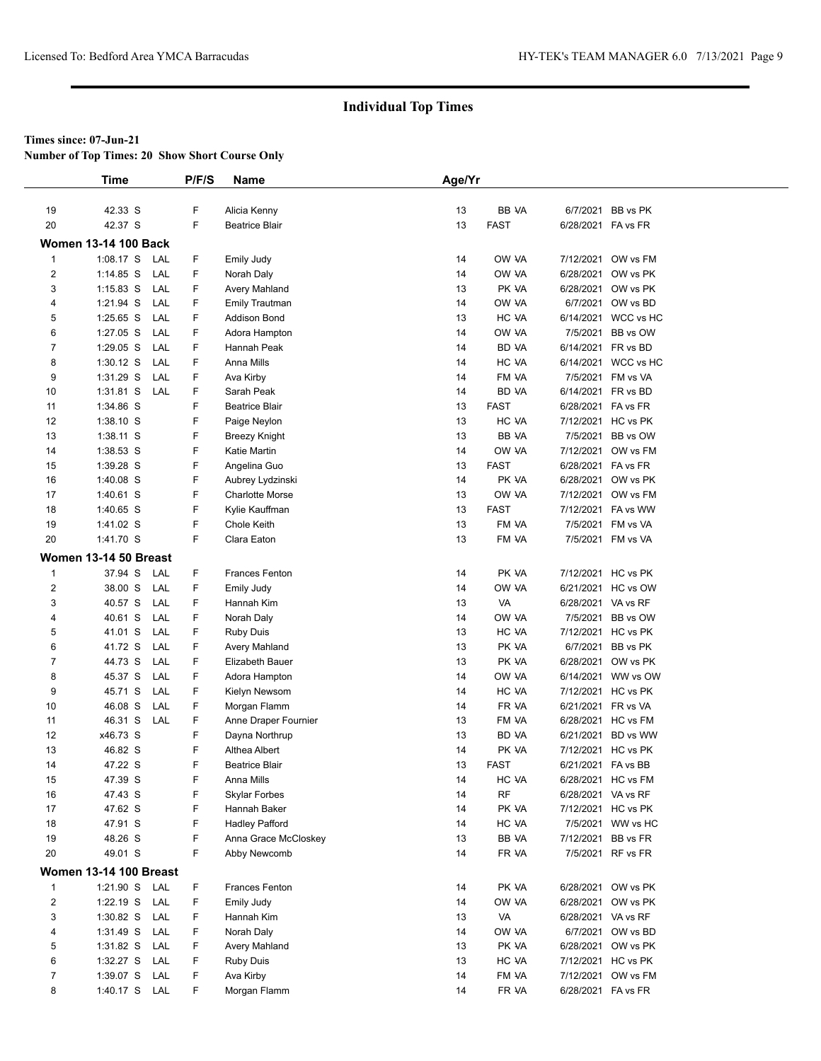**Number of Top Times: 20 Show Short Course Only**

|                         | <b>Time</b>                   | P/F/S  | Name                                       | Age/Yr   |                      |                        |                    |
|-------------------------|-------------------------------|--------|--------------------------------------------|----------|----------------------|------------------------|--------------------|
|                         |                               |        |                                            |          |                      |                        |                    |
| 19                      | 42.33 S                       | F      | Alicia Kenny                               | 13       | BB VA                | 6/7/2021               | BB vs PK           |
| 20                      | 42.37 S                       | F      | <b>Beatrice Blair</b>                      | 13       | <b>FAST</b>          | 6/28/2021 FA vs FR     |                    |
|                         | <b>Women 13-14 100 Back</b>   |        |                                            |          |                      |                        |                    |
| $\mathbf{1}$            | 1:08.17 S<br>LAL              | F      | <b>Emily Judy</b>                          | 14       | OW VA                | 7/12/2021              | OW vs FM           |
| $\mathbf{2}$            | $1:14.85$ S<br>LAL            | F      | Norah Daly                                 | 14       | OW VA                | 6/28/2021              | OW vs PK           |
| 3                       | $1:15.83$ S<br>LAL            | F      | Avery Mahland                              | 13       | PK VA                | 6/28/2021              | OW vs PK           |
| 4                       | 1:21.94 S<br>LAL              | F      | <b>Emily Trautman</b>                      | 14       | OW VA                | 6/7/2021               | OW vs BD           |
| 5                       | $1:25.65$ S<br>LAL            | F      | <b>Addison Bond</b>                        | 13       | HC VA                | 6/14/2021              | WCC vs HC          |
| 6                       | 1:27.05 S<br>LAL              | F      | Adora Hampton                              | 14       | OW VA                | 7/5/2021               | BB vs OW           |
| $\overline{7}$          | 1:29.05 S<br>LAL              | F      | Hannah Peak                                | 14       | BD VA                | 6/14/2021              | FR vs BD           |
| 8                       | $1:30.12$ S<br>LAL            | F      | Anna Mills                                 | 14       | HC VA                | 6/14/2021              | WCC vs HC          |
| 9                       | $1:31.29$ S<br>LAL            | F      | Ava Kirby                                  | 14       | FM VA                | 7/5/2021               | FM vs VA           |
| 10                      | $1:31.81$ S<br>LAL            | F      | Sarah Peak                                 | 14       | BD VA                | 6/14/2021              | FR vs BD           |
| 11                      | 1:34.86 S                     | F      | <b>Beatrice Blair</b>                      | 13       | <b>FAST</b>          | 6/28/2021              | FA vs FR           |
| 12                      | 1:38.10 S                     | F      | Paige Neylon                               | 13       | HC VA                |                        | 7/12/2021 HC vs PK |
| 13                      | 1:38.11 S                     | F      | Breezy Knight                              | 13       | BB VA                | 7/5/2021               | BB vs OW           |
| 14                      | 1:38.53 S                     | F      | Katie Martin                               | 14       | OW VA                | 7/12/2021              | OW vs FM           |
|                         |                               | F      |                                            |          | <b>FAST</b>          |                        | 6/28/2021 FA vs FR |
| 15                      | 1:39.28 S                     | F      | Angelina Guo                               | 13<br>14 |                      |                        |                    |
| 16                      | 1:40.08 S                     | F      | Aubrey Lydzinski<br><b>Charlotte Morse</b> |          | PK VA                | 6/28/2021<br>7/12/2021 | OW vs PK           |
| 17                      | 1:40.61 S                     | F      |                                            | 13<br>13 | OW VA<br><b>FAST</b> |                        | OW vs FM           |
| 18                      | 1:40.65 S                     |        | Kylie Kauffman                             |          |                      | 7/12/2021<br>7/5/2021  | FA vs WW           |
| 19                      | 1:41.02 S                     | F<br>F | Chole Keith                                | 13       | FM VA                |                        | FM vs VA           |
| 20                      | 1:41.70 S                     |        | Clara Eaton                                | 13       | FM VA                | 7/5/2021               | FM vs VA           |
|                         | Women 13-14 50 Breast         |        |                                            |          |                      |                        |                    |
| $\mathbf{1}$            | 37.94 S<br>LAL                | F      | <b>Frances Fenton</b>                      | 14       | PK VA                |                        | 7/12/2021 HC vs PK |
| $\overline{\mathbf{c}}$ | 38.00 S<br>LAL                | F      | Emily Judy                                 | 14       | OW VA                | 6/21/2021              | HC vs OW           |
| 3                       | 40.57 S<br>LAL                | F      | Hannah Kim                                 | 13       | VA                   | 6/28/2021              | VA vs RF           |
| 4                       | 40.61 S<br>LAL                | F      | Norah Daly                                 | 14       | OW VA                | 7/5/2021               | BB vs OW           |
| 5                       | 41.01 S<br>LAL                | F      | <b>Ruby Duis</b>                           | 13       | HC VA                |                        | 7/12/2021 HC vs PK |
| 6                       | 41.72 S<br>LAL                | F      | Avery Mahland                              | 13       | PK VA                | 6/7/2021               | BB vs PK           |
| 7                       | 44.73 S<br>LAL                | F      | Elizabeth Bauer                            | 13       | PK VA                | 6/28/2021              | OW vs PK           |
| 8                       | 45.37 S<br>LAL                | F      | Adora Hampton                              | 14       | OW VA                | 6/14/2021              | WW vs OW           |
| 9                       | 45.71 S<br>LAL                | F      | Kielyn Newsom                              | 14       | HC VA                | 7/12/2021              | HC vs PK           |
| 10                      | 46.08 S<br>LAL                | F      | Morgan Flamm                               | 14       | FR VA                | 6/21/2021              | FR vs VA           |
| 11                      | 46.31 S<br>LAL                | F      | Anne Draper Fournier                       | 13       | FM VA                | 6/28/2021              | HC vs FM           |
| 12                      | x46.73 S                      | F      | Dayna Northrup                             | 13       | BD VA                | 6/21/2021              | BD vs WW           |
| 13                      | 46.82 S                       | F      | Althea Albert                              | 14       | PK VA                | 7/12/2021              | HC vs PK           |
| 14                      | 47.22 S                       | F      | <b>Beatrice Blair</b>                      | 13       | <b>FAST</b>          | 6/21/2021 FA vs BB     |                    |
| 15                      | 47.39 S                       | F      | Anna Mills                                 | 14       | HC VA                | 6/28/2021              | HC vs FM           |
| 16                      | 47.43 S                       | F      | Skylar Forbes                              | 14       | <b>RF</b>            | 6/28/2021 VA vs RF     |                    |
| 17                      | 47.62 S                       | F      | Hannah Baker                               | 14       | PK VA                |                        | 7/12/2021 HC vs PK |
| 18                      | 47.91 S                       | F      | <b>Hadley Pafford</b>                      | 14       | HC VA                |                        | 7/5/2021 WW vs HC  |
| 19                      | 48.26 S                       | F      | Anna Grace McCloskey                       | 13       | BB VA                | 7/12/2021              | BB vs FR           |
| 20                      | 49.01 S                       | F      | Abby Newcomb                               | 14       | FR VA                |                        | 7/5/2021 RF vs FR  |
|                         | <b>Women 13-14 100 Breast</b> |        |                                            |          |                      |                        |                    |
| $\mathbf{1}$            | 1:21.90 S LAL                 | F      | Frances Fenton                             | 14       | PK VA                |                        | 6/28/2021 OW vs PK |
| $\overline{\mathbf{c}}$ | 1:22.19 S<br>LAL              | F      | Emily Judy                                 | 14       | OW VA                | 6/28/2021              | OW vs PK           |
| 3                       | $1:30.82$ S<br>LAL            | F      | Hannah Kim                                 | 13       | VA                   |                        | 6/28/2021 VA vs RF |
|                         |                               | F      |                                            |          | OW VA                |                        | 6/7/2021 OW vs BD  |
| 4                       | 1:31.49 S LAL                 |        | Norah Daly                                 | 14       |                      |                        | 6/28/2021 OW vs PK |
| 5                       | 1:31.82 S<br>LAL              | F<br>F | Avery Mahland                              | 13       | PK VA                |                        |                    |
| 6                       | 1:32.27 S<br>LAL              |        | <b>Ruby Duis</b>                           | 13       | HC VA                |                        | 7/12/2021 HC vs PK |
| $\overline{7}$          | 1:39.07 S<br>LAL              | F      | Ava Kirby                                  | 14       | FM VA                |                        | 7/12/2021 OW vs FM |
| 8                       | 1:40.17 S LAL                 | F      | Morgan Flamm                               | 14       | FR VA                | 6/28/2021 FA vs FR     |                    |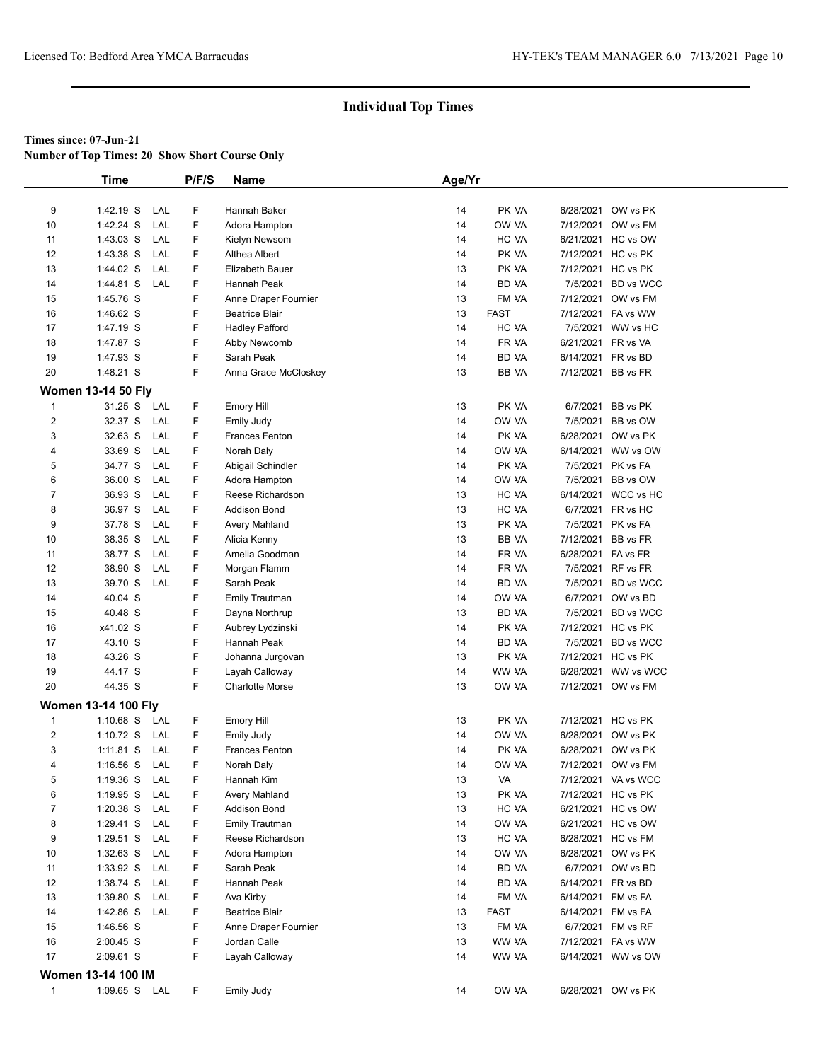**Number of Top Times: 20 Show Short Course Only**

|                | <b>Time</b>                |     | P/F/S | Name                   | Age/Yr |              |                     |
|----------------|----------------------------|-----|-------|------------------------|--------|--------------|---------------------|
|                |                            |     |       |                        |        |              |                     |
| 9              | 1:42.19 S                  | LAL | F     | Hannah Baker           | 14     | PK VA        | 6/28/2021 OW vs PK  |
| 10             | 1:42.24 S                  | LAL | F     | Adora Hampton          | 14     | OW VA        | 7/12/2021 OW vs FM  |
| 11             | 1:43.03 S                  | LAL | F     | Kielyn Newsom          | 14     | HC VA        | 6/21/2021 HC vs OW  |
| 12             | 1:43.38 S                  | LAL | F     | Althea Albert          | 14     | PK VA        | 7/12/2021 HC vs PK  |
| 13             | 1:44.02 S                  | LAL | F     | Elizabeth Bauer        | 13     | PK VA        | 7/12/2021 HC vs PK  |
| 14             | 1:44.81 S                  | LAL | F     | Hannah Peak            | 14     | BD VA        | 7/5/2021 BD vs WCC  |
| 15             | 1:45.76 S                  |     | F     | Anne Draper Fournier   | 13     | FM VA        | 7/12/2021 OW vs FM  |
| 16             | 1:46.62 S                  |     | F     | <b>Beatrice Blair</b>  | 13     | <b>FAST</b>  | 7/12/2021 FA vs WW  |
| 17             | 1:47.19 S                  |     | F     | <b>Hadley Pafford</b>  | 14     | HC VA        | 7/5/2021 WW vs HC   |
| 18             | 1:47.87 S                  |     | F     | Abby Newcomb           | 14     | FR VA        | 6/21/2021 FR vs VA  |
| 19             | 1:47.93 S                  |     | F     | Sarah Peak             | 14     | BD VA        | 6/14/2021 FR vs BD  |
| 20             | 1:48.21 S                  |     | F.    | Anna Grace McCloskey   | 13     | <b>BB VA</b> | 7/12/2021 BB vs FR  |
|                | <b>Women 13-14 50 Fly</b>  |     |       |                        |        |              |                     |
| 1              | 31.25 S                    | LAL | F     | <b>Emory Hill</b>      | 13     | PK VA        | 6/7/2021 BB vs PK   |
| 2              | 32.37 S                    | LAL | F     | <b>Emily Judy</b>      | 14     | OW VA        | 7/5/2021 BB vs OW   |
| 3              | 32.63 S                    | LAL | F     | <b>Frances Fenton</b>  | 14     | PK VA        | 6/28/2021 OW vs PK  |
| 4              | 33.69 S                    | LAL | F     | Norah Daly             | 14     | OW VA        | 6/14/2021 WW vs OW  |
| 5              | 34.77 S                    | LAL | F     | Abigail Schindler      | 14     | PK VA        | 7/5/2021 PK vs FA   |
| 6              | 36.00 S                    | LAL | F.    | Adora Hampton          | 14     | OW VA        | 7/5/2021 BB vs OW   |
| 7              | 36.93 S                    | LAL | F     | Reese Richardson       | 13     | HC VA        | 6/14/2021 WCC vs HC |
| 8              | 36.97 S                    | LAL | F     | <b>Addison Bond</b>    | 13     | HC VA        | 6/7/2021 FR vs HC   |
| 9              | 37.78 S                    | LAL | F     | Avery Mahland          | 13     | PK VA        | 7/5/2021 PK vs FA   |
| 10             | 38.35 S                    | LAL | F     | Alicia Kenny           | 13     | BB VA        | 7/12/2021 BB vs FR  |
| 11             | 38.77 S                    | LAL | F.    | Amelia Goodman         | 14     | FR VA        | 6/28/2021 FA vs FR  |
| 12             | 38.90 S                    | LAL | F.    | Morgan Flamm           | 14     | FR VA        | 7/5/2021 RF vs FR   |
| 13             | 39.70 S                    | LAL | F     | Sarah Peak             | 14     | BD VA        | 7/5/2021 BD vs WCC  |
| 14             | 40.04 S                    |     | F.    | <b>Emily Trautman</b>  | 14     | OW VA        | 6/7/2021 OW vs BD   |
| 15             | 40.48 S                    |     | F     | Dayna Northrup         | 13     | BD VA        | 7/5/2021 BD vs WCC  |
| 16             | x41.02 S                   |     | F     | Aubrey Lydzinski       | 14     | PK VA        | 7/12/2021 HC vs PK  |
| 17             | 43.10 S                    |     | F     | Hannah Peak            | 14     | BD VA        | 7/5/2021 BD vs WCC  |
| 18             | 43.26 S                    |     | F     | Johanna Jurgovan       | 13     | PK VA        | 7/12/2021 HC vs PK  |
| 19             | 44.17 S                    |     | F     | Layah Calloway         | 14     | WW VA        | 6/28/2021 WW vs WCC |
| 20             | 44.35 S                    |     | F.    | <b>Charlotte Morse</b> | 13     | OW VA        | 7/12/2021 OW vs FM  |
|                |                            |     |       |                        |        |              |                     |
|                | <b>Women 13-14 100 Fly</b> |     |       |                        |        |              |                     |
| 1              | $1:10.68$ S                | LAL | F.    | <b>Emory Hill</b>      | 13     | PK VA        | 7/12/2021 HC vs PK  |
| 2              | 1:10.72 $S$                | LAL | F.    | Emily Judy             | 14     | OW VA        | 6/28/2021 OW vs PK  |
| 3              | $1:11.81$ S                | LAL | F     | <b>Frances Fenton</b>  | 14     | PK VA        | 6/28/2021 OW vs PK  |
| $\overline{4}$ | $1:16.56$ S                | LAL | F.    | Norah Daly             | 14     | OW VA        | 7/12/2021 OW vs FM  |
| 5              | $1:19.36$ S                | LAL | F     | Hannah Kim             | 13     | VA           | 7/12/2021 VA vs WCC |
| 6              | $1:19.95$ S                | LAL | F     | <b>Avery Mahland</b>   | 13     | PK VA        | 7/12/2021 HC vs PK  |
| 7              | $1:20.38$ S                | LAL | F     | <b>Addison Bond</b>    | 13     | HC VA        | 6/21/2021 HC vs OW  |
| 8              | 1:29.41 S                  | LAL | F     | <b>Emily Trautman</b>  | 14     | OW VA        | 6/21/2021 HC vs OW  |
| 9              | $1:29.51$ S                | LAL | F     | Reese Richardson       | 13     | HC VA        | 6/28/2021 HC vs FM  |
| 10             | $1:32.63$ S                | LAL | F     | Adora Hampton          | 14     | OW VA        | 6/28/2021 OW vs PK  |
| 11             | 1:33.92 S                  | LAL | F     | Sarah Peak             | 14     | BD VA        | 6/7/2021 OW vs BD   |
| 12             | 1:38.74 S                  | LAL | F.    | Hannah Peak            | 14     | BD VA        | 6/14/2021 FR vs BD  |
| 13             | 1:39.80 S                  | LAL | F     | Ava Kirby              | 14     | FM VA        | 6/14/2021 FM vs FA  |
| 14             | 1:42.86 S                  | LAL | F     | <b>Beatrice Blair</b>  | 13     | <b>FAST</b>  | 6/14/2021 FM vs FA  |
| 15             | 1:46.56 S                  |     | F     | Anne Draper Fournier   | 13     | FM VA        | 6/7/2021 FM vs RF   |
| 16             | $2:00.45$ S                |     | F     | Jordan Calle           | 13     | WW VA        | 7/12/2021 FA vs WW  |
| 17             | 2:09.61 S                  |     | F     | Layah Calloway         | 14     | WW VA        | 6/14/2021 WW vs OW  |
|                | <b>Women 13-14 100 IM</b>  |     |       |                        |        |              |                     |
| $\mathbf{1}$   | 1:09.65 S LAL              |     | F.    | Emily Judy             | 14     | OW VA        | 6/28/2021 OW vs PK  |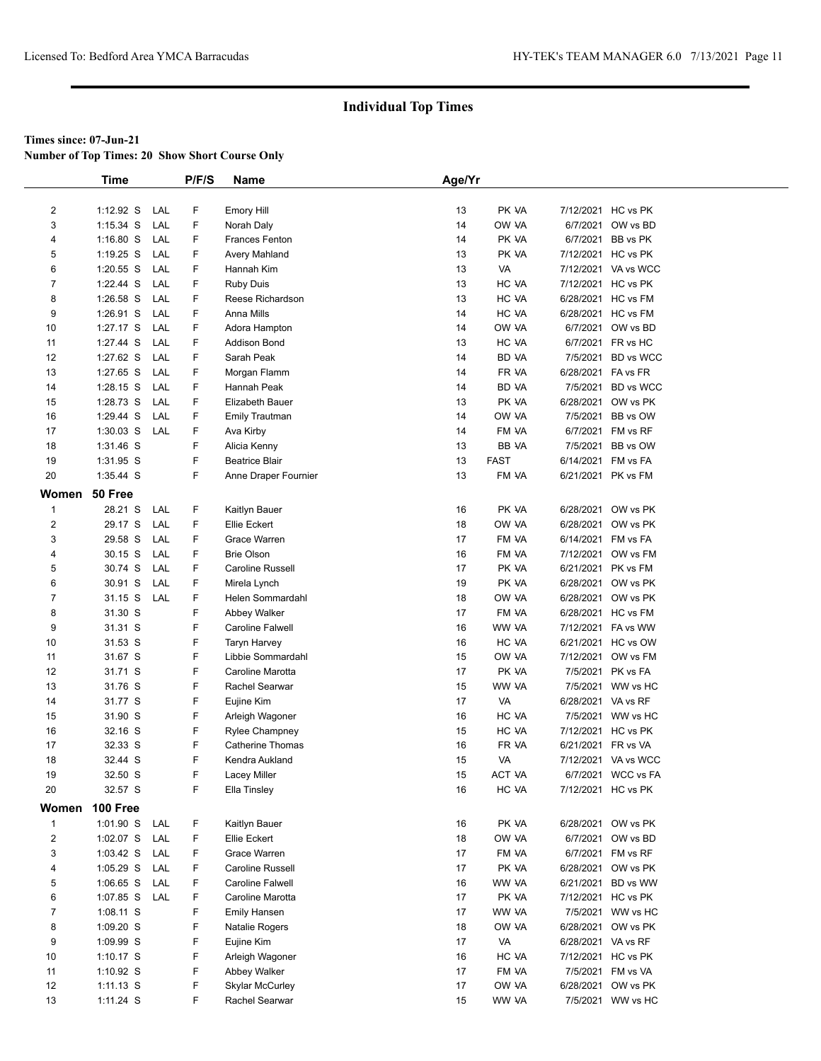**Number of Top Times: 20 Show Short Course Only**

|                         | <b>Time</b> |     | P/F/S | Name                    | Age/Yr |              |                    |                     |
|-------------------------|-------------|-----|-------|-------------------------|--------|--------------|--------------------|---------------------|
|                         |             |     |       |                         |        |              |                    |                     |
| $\overline{2}$          | $1:12.92$ S | LAL | F     | <b>Emory Hill</b>       | 13     | PK VA        |                    | 7/12/2021 HC vs PK  |
| 3                       | 1:15.34 S   | LAL | F     | Norah Daly              | 14     | OW VA        |                    | 6/7/2021 OW vs BD   |
| 4                       | $1:16.80$ S | LAL | F     | <b>Frances Fenton</b>   | 14     | PK VA        |                    | 6/7/2021 BB vs PK   |
| 5                       | $1:19.25$ S | LAL | F     | <b>Avery Mahland</b>    | 13     | PK VA        |                    | 7/12/2021 HC vs PK  |
| 6                       | $1:20.55$ S | LAL | F     | Hannah Kim              | 13     | VA           |                    | 7/12/2021 VA vs WCC |
| $\overline{7}$          | 1:22.44 S   | LAL | F     | <b>Ruby Duis</b>        | 13     | HC VA        |                    | 7/12/2021 HC vs PK  |
| 8                       | 1:26.58 S   | LAL | F     | Reese Richardson        | 13     | HC VA        |                    | 6/28/2021 HC vs FM  |
| 9                       | 1:26.91 S   | LAL | F     | Anna Mills              | 14     | HC VA        |                    | 6/28/2021 HC vs FM  |
| 10                      | 1:27.17 S   | LAL | F     | Adora Hampton           | 14     | OW VA        |                    | 6/7/2021 OW vs BD   |
| 11                      | 1:27.44 S   | LAL | F     | <b>Addison Bond</b>     | 13     | HC VA        |                    | 6/7/2021 FR vs HC   |
| 12                      | 1:27.62 S   | LAL | F     | Sarah Peak              | 14     | BD VA        |                    | 7/5/2021 BD vs WCC  |
| 13                      | 1:27.65 S   | LAL | F     | Morgan Flamm            | 14     | FR VA        | 6/28/2021 FA vs FR |                     |
| 14                      | $1:28.15$ S | LAL | F     | Hannah Peak             | 14     | <b>BD VA</b> |                    | 7/5/2021 BD vs WCC  |
| 15                      | 1:28.73 S   | LAL | F     | Elizabeth Bauer         | 13     | PK VA        |                    | 6/28/2021 OW vs PK  |
| 16                      | 1:29.44 S   | LAL | F     | <b>Emily Trautman</b>   | 14     | OW VA        |                    | 7/5/2021 BB vs OW   |
| 17                      | $1:30.03$ S | LAL | F     | Ava Kirby               | 14     | FM VA        |                    | 6/7/2021 FM vs RF   |
| 18                      | 1:31.46 S   |     | F     | Alicia Kenny            | 13     | <b>BB VA</b> |                    | 7/5/2021 BB vs OW   |
| 19                      | 1:31.95 S   |     | F     | <b>Beatrice Blair</b>   | 13     | <b>FAST</b>  | 6/14/2021 FM vs FA |                     |
| 20                      | 1:35.44 S   |     | F     | Anne Draper Fournier    | 13     | FM VA        | 6/21/2021 PK vs FM |                     |
| Women                   | 50 Free     |     |       |                         |        |              |                    |                     |
| $\mathbf{1}$            | 28.21 S     | LAL | F     | Kaitlyn Bauer           | 16     | PK VA        |                    | 6/28/2021 OW vs PK  |
| $\overline{\mathbf{c}}$ | 29.17 S     | LAL | F     | <b>Ellie Eckert</b>     | 18     | OW VA        |                    | 6/28/2021 OW vs PK  |
| 3                       | 29.58 S     | LAL | F     | Grace Warren            | 17     | FM VA        | 6/14/2021 FM vs FA |                     |
| 4                       | 30.15 S     | LAL | F.    | <b>Brie Olson</b>       | 16     | FM VA        |                    | 7/12/2021 OW vs FM  |
| 5                       | 30.74 S     | LAL | F.    | Caroline Russell        | 17     | PK VA        |                    | 6/21/2021 PK vs FM  |
| 6                       | 30.91 S     | LAL | F     | Mirela Lynch            | 19     | PK VA        |                    | 6/28/2021 OW vs PK  |
| $\overline{7}$          | 31.15 S     | LAL | F     | Helen Sommardahl        | 18     | OW VA        |                    | 6/28/2021 OW vs PK  |
| 8                       | 31.30 S     |     | F     | Abbey Walker            | 17     | FM VA        |                    | 6/28/2021 HC vs FM  |
| 9                       | 31.31 S     |     | F     | Caroline Falwell        | 16     | WW VA        |                    | 7/12/2021 FA vs WW  |
| 10                      | 31.53 S     |     | F     | <b>Taryn Harvey</b>     | 16     | HC VA        |                    | 6/21/2021 HC vs OW  |
| 11                      | 31.67 S     |     | F     | Libbie Sommardahl       | 15     | OW VA        |                    | 7/12/2021 OW vs FM  |
| 12                      | 31.71 S     |     | F     | Caroline Marotta        | 17     | PK VA        |                    | 7/5/2021 PK vs FA   |
| 13                      | 31.76 S     |     | F     | Rachel Searwar          | 15     | WW VA        |                    | 7/5/2021 WW vs HC   |
| 14                      | 31.77 S     |     | F     | Eujine Kim              | 17     | VA           | 6/28/2021 VA vs RF |                     |
| 15                      | 31.90 S     |     | F     | Arleigh Wagoner         | 16     | HC VA        |                    | 7/5/2021 WW vs HC   |
| 16                      | 32.16 S     |     | F     | <b>Rylee Champney</b>   | 15     | HC VA        |                    | 7/12/2021 HC vs PK  |
| 17                      | 32.33 S     |     | F     | <b>Catherine Thomas</b> | 16     | FR VA        | 6/21/2021 FR vs VA |                     |
| 18                      | 32.44 S     |     | F     | Kendra Aukland          | 15     | VA           |                    | 7/12/2021 VA vs WCC |
| 19                      | 32.50 S     |     | F     | Lacey Miller            | 15     | ACT VA       |                    | 6/7/2021 WCC vs FA  |
| 20                      | 32.57 S     |     | F     | Ella Tinsley            | 16     | HC VA        |                    | 7/12/2021 HC vs PK  |
| Women                   | 100 Free    |     |       |                         |        |              |                    |                     |
| $\mathbf{1}$            | $1:01.90$ S | LAL | F     | Kaitlyn Bauer           | 16     | PK VA        |                    | 6/28/2021 OW vs PK  |
| $\overline{2}$          | $1:02.07$ S | LAL | F     | Ellie Eckert            | 18     | OW VA        |                    | 6/7/2021 OW vs BD   |
| 3                       | $1:03.42$ S | LAL | F     | Grace Warren            | 17     | FM VA        |                    | 6/7/2021 FM vs RF   |
| 4                       | $1:05.29$ S | LAL | F     | Caroline Russell        | 17     | PK VA        |                    | 6/28/2021 OW vs PK  |
| 5                       | $1:06.65$ S | LAL | F     | Caroline Falwell        | 16     | WW VA        |                    | 6/21/2021 BD vs WW  |
| 6                       | 1:07.85 S   | LAL | F     | Caroline Marotta        | 17     | PK VA        |                    | 7/12/2021 HC vs PK  |
| $\overline{7}$          | 1:08.11 S   |     | F     | <b>Emily Hansen</b>     | 17     | WW VA        |                    | 7/5/2021 WW vs HC   |
| 8                       | $1:09.20$ S |     | F     | Natalie Rogers          | 18     | OW VA        |                    | 6/28/2021 OW vs PK  |
| 9                       | 1:09.99 S   |     | F     | Eujine Kim              | 17     | VA           | 6/28/2021 VA vs RF |                     |
| 10                      | $1:10.17$ S |     | F     | Arleigh Wagoner         | 16     | HC VA        |                    | 7/12/2021 HC vs PK  |
| 11                      | 1:10.92 S   |     | F     | Abbey Walker            | 17     | FM VA        |                    | 7/5/2021 FM vs VA   |
| 12                      | $1:11.13$ S |     | F     | <b>Skylar McCurley</b>  | 17     | OW VA        |                    | 6/28/2021 OW vs PK  |
| 13                      | 1:11.24 S   |     | F.    | Rachel Searwar          | 15     | WW VA        |                    | 7/5/2021 WW vs HC   |
|                         |             |     |       |                         |        |              |                    |                     |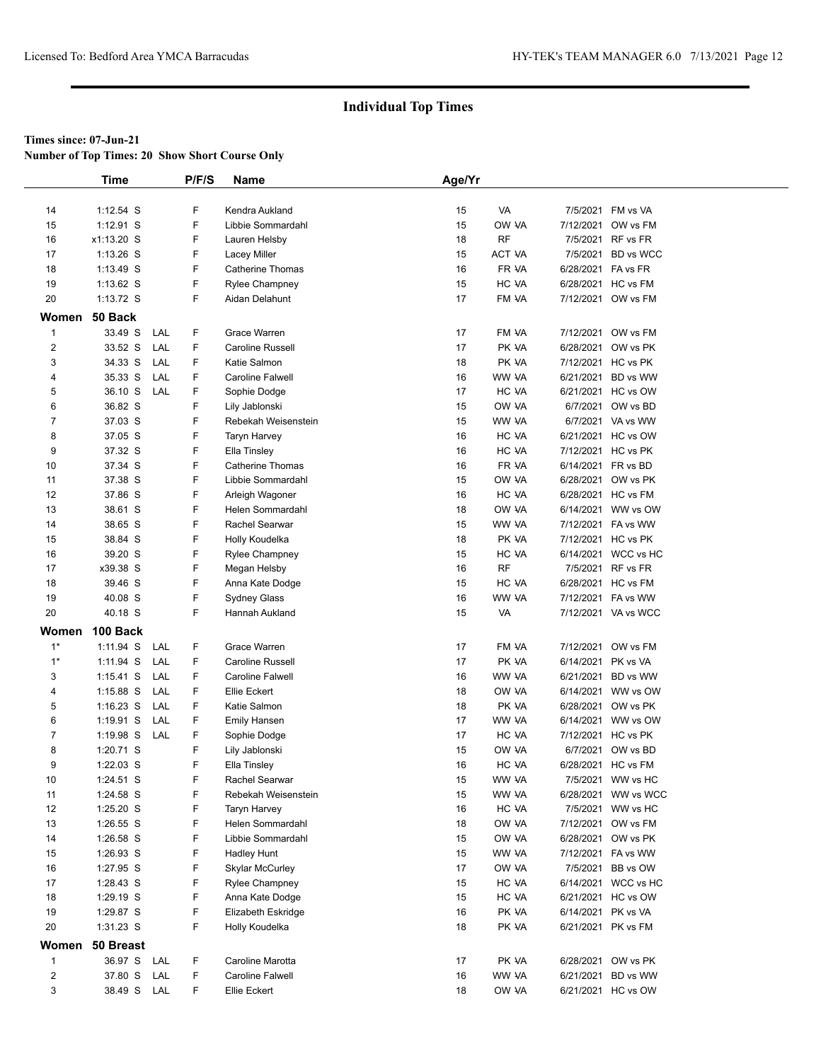**Number of Top Times: 20 Show Short Course Only**

|                | <b>Time</b> |     | P/F/S | <b>Name</b>             | Age/Yr |        |           |                     |
|----------------|-------------|-----|-------|-------------------------|--------|--------|-----------|---------------------|
|                |             |     |       |                         |        |        |           |                     |
| 14             | $1:12.54$ S |     | F     | Kendra Aukland          | 15     | VA     |           | 7/5/2021 FM vs VA   |
| 15             | $1:12.91$ S |     | F     | Libbie Sommardahl       | 15     | OW VA  | 7/12/2021 | OW vs FM            |
| 16             | x1:13.20 S  |     | F     | Lauren Helsby           | 18     | RF     | 7/5/2021  | RF vs FR            |
| 17             | $1:13.26$ S |     | F     | Lacey Miller            | 15     | ACT VA | 7/5/2021  | BD vs WCC           |
| 18             | 1:13.49 S   |     | F     | <b>Catherine Thomas</b> | 16     | FR VA  | 6/28/2021 | FA vs FR            |
| 19             | $1:13.62$ S |     | F     | Rylee Champney          | 15     | HC VA  |           | 6/28/2021 HC vs FM  |
| $20\,$         | $1:13.72$ S |     | F     | Aidan Delahunt          | 17     | FM VA  |           | 7/12/2021 OW vs FM  |
| Women          | 50 Back     |     |       |                         |        |        |           |                     |
| $\mathbf{1}$   | 33.49 S     | LAL | F     | Grace Warren            | 17     | FM VA  | 7/12/2021 | OW vs FM            |
| $\overline{2}$ | 33.52 S     | LAL | F     | Caroline Russell        | 17     | PK VA  | 6/28/2021 | OW vs PK            |
| 3              | 34.33 S     | LAL | F     | Katie Salmon            | 18     | PK VA  |           | 7/12/2021 HC vs PK  |
| 4              | 35.33 S     | LAL | F     | <b>Caroline Falwell</b> | 16     | WW VA  | 6/21/2021 | BD vs WW            |
| 5              | 36.10 S     | LAL | F     | Sophie Dodge            | 17     | HC VA  | 6/21/2021 | HC vs OW            |
| 6              | 36.82 S     |     | F     | Lily Jablonski          | 15     | OW VA  | 6/7/2021  | OW vs BD            |
| $\overline{7}$ | 37.03 S     |     | F     | Rebekah Weisenstein     | 15     | WW VA  |           | 6/7/2021 VA vs WW   |
| 8              | 37.05 S     |     | F     | Taryn Harvey            | 16     | HC VA  |           | 6/21/2021 HC vs OW  |
| 9              | 37.32 S     |     | F     | Ella Tinsley            | 16     | HC VA  |           | 7/12/2021 HC vs PK  |
| 10             | 37.34 S     |     | F     | <b>Catherine Thomas</b> | 16     | FR VA  | 6/14/2021 | FR vs BD            |
| 11             | 37.38 S     |     | F     | Libbie Sommardahl       | 15     | OW VA  | 6/28/2021 | OW vs PK            |
| 12             | 37.86 S     |     | F     | Arleigh Wagoner         | 16     | HC VA  |           | 6/28/2021 HC vs FM  |
| 13             | 38.61 S     |     | F     | Helen Sommardahl        | 18     | OW VA  | 6/14/2021 | WW vs OW            |
| 14             | 38.65 S     |     | F     | Rachel Searwar          | 15     | WW VA  | 7/12/2021 | FA vs WW            |
| 15             | 38.84 S     |     | F     | Holly Koudelka          | 18     | PK VA  |           | 7/12/2021 HC vs PK  |
| 16             | 39.20 S     |     | F     | <b>Rylee Champney</b>   | 15     | HC VA  | 6/14/2021 | WCC vs HC           |
| 17             | x39.38 S    |     | F     | Megan Helsby            | 16     | RF     | 7/5/2021  | RF vs FR            |
| 18             | 39.46 S     |     | F     | Anna Kate Dodge         | 15     | HC VA  |           | 6/28/2021 HC vs FM  |
| 19             | 40.08 S     |     | F     | Sydney Glass            | 16     | WW VA  |           | 7/12/2021 FA vs WW  |
| 20             | 40.18 S     |     | F     | Hannah Aukland          | 15     | VA     |           | 7/12/2021 VA vs WCC |
| Women          | 100 Back    |     |       |                         |        |        |           |                     |
| $1*$           | $1:11.94$ S | LAL | F     | Grace Warren            | 17     | FM VA  | 7/12/2021 | OW vs FM            |
| $1*$           | 1:11.94 S   | LAL | F.    | Caroline Russell        | 17     | PK VA  |           | 6/14/2021 PK vs VA  |
| 3              | $1:15.41$ S | LAL | F     | <b>Caroline Falwell</b> | 16     | WW VA  | 6/21/2021 | BD vs WW            |
| 4              | $1:15.88$ S | LAL | F     | Ellie Eckert            | 18     | OW VA  | 6/14/2021 | WW vs OW            |
| 5              | $1:16.23$ S | LAL | F.    | Katie Salmon            | 18     | PK VA  | 6/28/2021 | OW vs PK            |
| 6              | $1:19.91$ S | LAL | F.    | <b>Emily Hansen</b>     | 17     | WW VA  | 6/14/2021 | WW vs OW            |
| 7              | 1:19.98 S   | LAL | F     | Sophie Dodge            | 17     | HC VA  | 7/12/2021 | HC vs PK            |
| 8              | 1:20.71 S   |     | F     | Lily Jablonski          | 15     | OW VA  | 6/7/2021  | OW vs BD            |
| 9              | 1:22.03 S   |     | F.    | Ella Tinsley            | 16     | HC VA  |           | 6/28/2021 HC vs FM  |
| 10             | 1:24.51 S   |     | F     | Rachel Searwar          | 15     | WW VA  | 7/5/2021  | WW vs HC            |
| 11             | 1:24.58 S   |     | F     | Rebekah Weisenstein     | 15     | WW VA  | 6/28/2021 | WW vs WCC           |
| 12             | $1:25.20$ S |     | F     | <b>Taryn Harvey</b>     | 16     | HC VA  |           | 7/5/2021 WW vs HC   |
| 13             | $1:26.55$ S |     | F     | Helen Sommardahl        | 18     | OW VA  | 7/12/2021 | OW vs FM            |
| 14             | 1:26.58 S   |     | F     | Libbie Sommardahl       | 15     | OW VA  | 6/28/2021 | OW vs PK            |
| 15             | 1:26.93 S   |     | F     | Hadley Hunt             | 15     | WW VA  |           | 7/12/2021 FA vs WW  |
| 16             | 1:27.95 S   |     | F     | <b>Skylar McCurley</b>  | 17     | OW VA  | 7/5/2021  | BB vs OW            |
| 17             | 1:28.43 S   |     | F     | <b>Rylee Champney</b>   | 15     | HC VA  | 6/14/2021 | WCC vs HC           |
| 18             | 1:29.19 S   |     | F     | Anna Kate Dodge         | 15     | HC VA  |           | 6/21/2021 HC vs OW  |
| 19             | 1:29.87 S   |     | F     | Elizabeth Eskridge      | 16     | PK VA  | 6/14/2021 | PK vs VA            |
| 20             | 1:31.23 S   |     | F     | Holly Koudelka          | 18     | PK VA  |           | 6/21/2021 PK vs FM  |
| Women          | 50 Breast   |     |       |                         |        |        |           |                     |
| $\mathbf{1}$   | 36.97 S     | LAL | F     | Caroline Marotta        | 17     | PK VA  |           | 6/28/2021 OW vs PK  |
| $\overline{c}$ | 37.80 S     | LAL | F     | Caroline Falwell        | 16     | WW VA  | 6/21/2021 | BD vs WW            |
| 3              | 38.49 S LAL |     | F.    | Ellie Eckert            | 18     | OW VA  |           | 6/21/2021 HC vs OW  |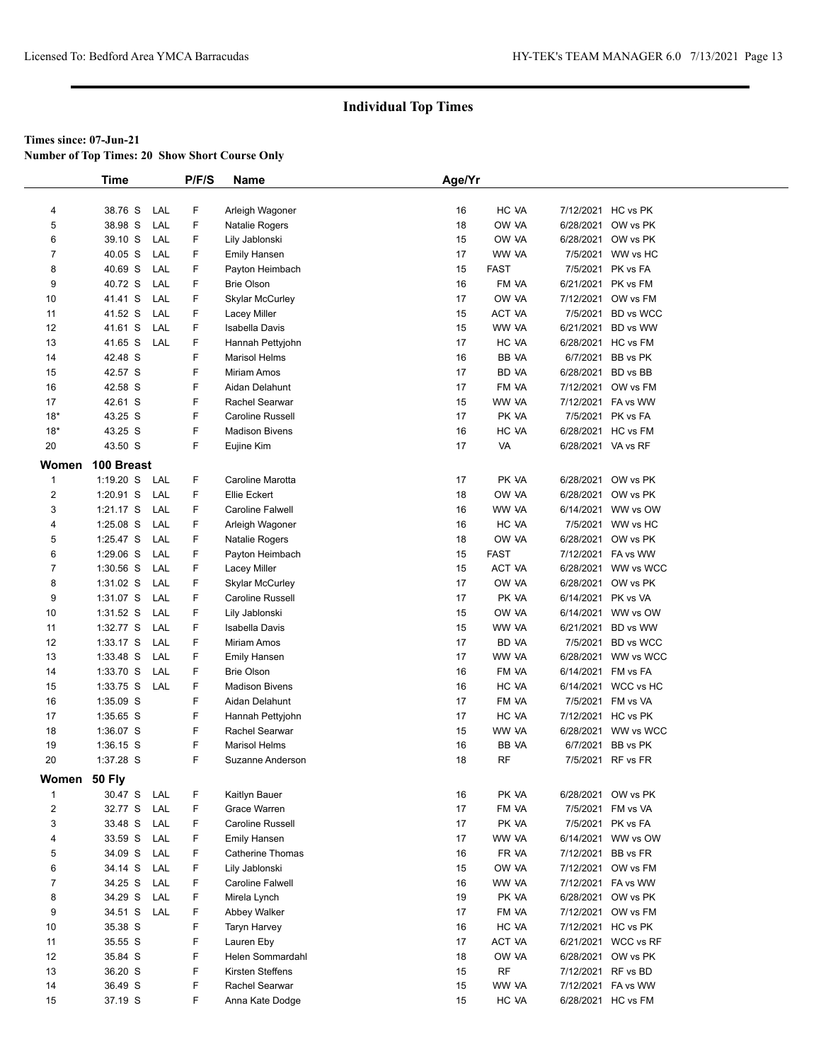**Number of Top Times: 20 Show Short Course Only**

|                | <b>Time</b> |            | P/F/S | Name                    | Age/Yr |             |                    |                     |
|----------------|-------------|------------|-------|-------------------------|--------|-------------|--------------------|---------------------|
|                |             |            |       |                         |        |             |                    |                     |
| 4              | 38.76 S     | LAL        | F     | Arleigh Wagoner         | 16     | HC VA       |                    | 7/12/2021 HC vs PK  |
| 5              | 38.98 S     | LAL        | F     | Natalie Rogers          | 18     | OW VA       |                    | 6/28/2021 OW vs PK  |
| 6              | 39.10 S     | LAL        | F     | Lily Jablonski          | 15     | OW VA       |                    | 6/28/2021 OW vs PK  |
| $\overline{7}$ | 40.05 S     | LAL        | F     | <b>Emily Hansen</b>     | 17     | WW VA       |                    | 7/5/2021 WW vs HC   |
| 8              | 40.69 S     | LAL        | F     | Payton Heimbach         | 15     | <b>FAST</b> |                    | 7/5/2021 PK vs FA   |
| 9              | 40.72 S     | LAL        | F     | <b>Brie Olson</b>       | 16     | FM VA       |                    | 6/21/2021 PK vs FM  |
| 10             | 41.41 S     | LAL        | F     | <b>Skylar McCurley</b>  | 17     | OW VA       |                    | 7/12/2021 OW vs FM  |
| 11             | 41.52 S     | LAL        | F     | Lacey Miller            | 15     | ACT VA      | 7/5/2021           | <b>BD</b> vs WCC    |
| 12             | 41.61 S     | LAL        | F     | <b>Isabella Davis</b>   | 15     | WW VA       |                    | 6/21/2021 BD vs WW  |
| 13             | 41.65 S     | LAL        | F     | Hannah Pettyjohn        | 17     | HC VA       |                    | 6/28/2021 HC vs FM  |
| 14             | 42.48 S     |            | F     | <b>Marisol Helms</b>    | 16     | BB VA       | 6/7/2021           | BB vs PK            |
| 15             | 42.57 S     |            | F     | Miriam Amos             | 17     | BD VA       |                    | 6/28/2021 BD vs BB  |
| 16             | 42.58 S     |            | F     | Aidan Delahunt          | 17     | FM VA       |                    | 7/12/2021 OW vs FM  |
| 17             | 42.61 S     |            | F     | Rachel Searwar          | 15     | WW VA       |                    | 7/12/2021 FA vs WW  |
| $18*$          | 43.25 S     |            | F     | Caroline Russell        | 17     | PK VA       |                    | 7/5/2021 PK vs FA   |
| $18*$          | 43.25 S     |            | F     | <b>Madison Bivens</b>   | 16     | HC VA       |                    | 6/28/2021 HC vs FM  |
| 20             | 43.50 S     |            | F     | Eujine Kim              | 17     | VA          | 6/28/2021 VA vs RF |                     |
| Women          | 100 Breast  |            |       |                         |        |             |                    |                     |
| $\mathbf{1}$   | $1:19.20$ S | LAL        | F     | Caroline Marotta        | 17     | PK VA       |                    | 6/28/2021 OW vs PK  |
| $\overline{c}$ | 1:20.91 S   | LAL        | F     | Ellie Eckert            | 18     | OW VA       |                    | 6/28/2021 OW vs PK  |
| 3              | 1:21.17 S   | LAL        | F     | <b>Caroline Falwell</b> | 16     | WW VA       |                    | 6/14/2021 WW vs OW  |
| 4              | $1:25.08$ S | LAL        | F     | Arleigh Wagoner         | 16     | HC VA       |                    | 7/5/2021 WW vs HC   |
| 5              | 1:25.47 S   | LAL        | F     | Natalie Rogers          | 18     | OW VA       |                    | 6/28/2021 OW vs PK  |
| 6              | $1:29.06$ S | LAL        | F     | Payton Heimbach         | 15     | <b>FAST</b> |                    | 7/12/2021 FA vs WW  |
| $\overline{7}$ | $1:30.56$ S | LAL        | F     | Lacey Miller            | 15     | ACT VA      |                    | 6/28/2021 WW vs WCC |
| 8              | $1:31.02$ S | LAL        | F     | <b>Skylar McCurley</b>  | 17     | OW VA       |                    | 6/28/2021 OW vs PK  |
| 9              | 1:31.07 S   | LAL        | F     | Caroline Russell        | 17     | PK VA       | 6/14/2021 PK vs VA |                     |
| 10             | 1:31.52 S   | LAL        | F     | Lily Jablonski          | 15     | OW VA       |                    | 6/14/2021 WW vs OW  |
| 11             | 1:32.77 S   | LAL        | F     | Isabella Davis          | 15     | WW VA       | 6/21/2021          | BD vs WW            |
| 12             | 1:33.17 S   | LAL        | F     | Miriam Amos             | 17     | BD VA       | 7/5/2021           | <b>BD</b> vs WCC    |
| 13             | 1:33.48 S   | LAL        | F     | <b>Emily Hansen</b>     | 17     | WW VA       |                    | 6/28/2021 WW vs WCC |
| 14             | 1:33.70 S   | LAL        | F     | <b>Brie Olson</b>       | 16     | FM VA       | 6/14/2021 FM vs FA |                     |
| 15             | 1:33.75 S   | LAL        | F     | <b>Madison Bivens</b>   | 16     | HC VA       |                    | 6/14/2021 WCC vs HC |
| 16             | 1:35.09 S   |            | F     | Aidan Delahunt          | 17     | FM VA       |                    | 7/5/2021 FM vs VA   |
| 17             | 1:35.65 S   |            | F     | Hannah Pettyjohn        | 17     | HC VA       |                    | 7/12/2021 HC vs PK  |
| 18             | 1:36.07 S   |            | F     | Rachel Searwar          | 15     | WW VA       | 6/28/2021          | WW vs WCC           |
| 19             | $1:36.15$ S |            | F     | <b>Marisol Helms</b>    | 16     | BB VA       | 6/7/2021           | BB vs PK            |
| 20             | 1:37.28 S   |            | F     | Suzanne Anderson        | 18     | <b>RF</b>   |                    | 7/5/2021 RF vs FR   |
| Women 50 Fly   |             |            |       |                         |        |             |                    |                     |
| $\mathbf 1$    | 30.47 S     | LAL        | F     | Kaitlyn Bauer           | 16     | PK VA       |                    | 6/28/2021 OW vs PK  |
| $\overline{2}$ | 32.77 S     | LAL        | F     | Grace Warren            | 17     | FM VA       |                    | 7/5/2021 FM vs VA   |
| 3              | 33.48 S     | LAL        | F     | Caroline Russell        | 17     | PK VA       |                    | 7/5/2021 PK vs FA   |
| 4              | 33.59 S     | LAL        | F     | <b>Emily Hansen</b>     | 17     | WW VA       |                    | 6/14/2021 WW vs OW  |
| 5              | 34.09 S     | LAL        | F     | <b>Catherine Thomas</b> | 16     | FR VA       |                    | 7/12/2021 BB vs FR  |
| 6              | 34.14 S     | LAL        | F     | Lily Jablonski          | 15     | OW VA       |                    | 7/12/2021 OW vs FM  |
| $\overline{7}$ | 34.25 S     | LAL        | F     | Caroline Falwell        | 16     | WW VA       |                    | 7/12/2021 FA vs WW  |
| 8              | 34.29 S     | <b>LAL</b> | F     | Mirela Lynch            | 19     | PK VA       |                    | 6/28/2021 OW vs PK  |
| 9              | 34.51 S     | LAL        | F     | Abbey Walker            | 17     | FM VA       |                    | 7/12/2021 OW vs FM  |
| 10             | 35.38 S     |            | F     | Taryn Harvey            | 16     | HC VA       |                    | 7/12/2021 HC vs PK  |
| 11             | 35.55 S     |            | F     | Lauren Eby              | 17     | ACT VA      |                    | 6/21/2021 WCC vs RF |
| 12             | 35.84 S     |            | F     | Helen Sommardahl        | 18     | OW VA       | 6/28/2021          | OW vs PK            |
| 13             | 36.20 S     |            | F     | Kirsten Steffens        | 15     | <b>RF</b>   |                    | 7/12/2021 RF vs BD  |
| 14             | 36.49 S     |            | F     | Rachel Searwar          | 15     | WW VA       |                    | 7/12/2021 FA vs WW  |
| 15             | 37.19 S     |            | F.    | Anna Kate Dodge         | 15     | HC VA       |                    | 6/28/2021 HC vs FM  |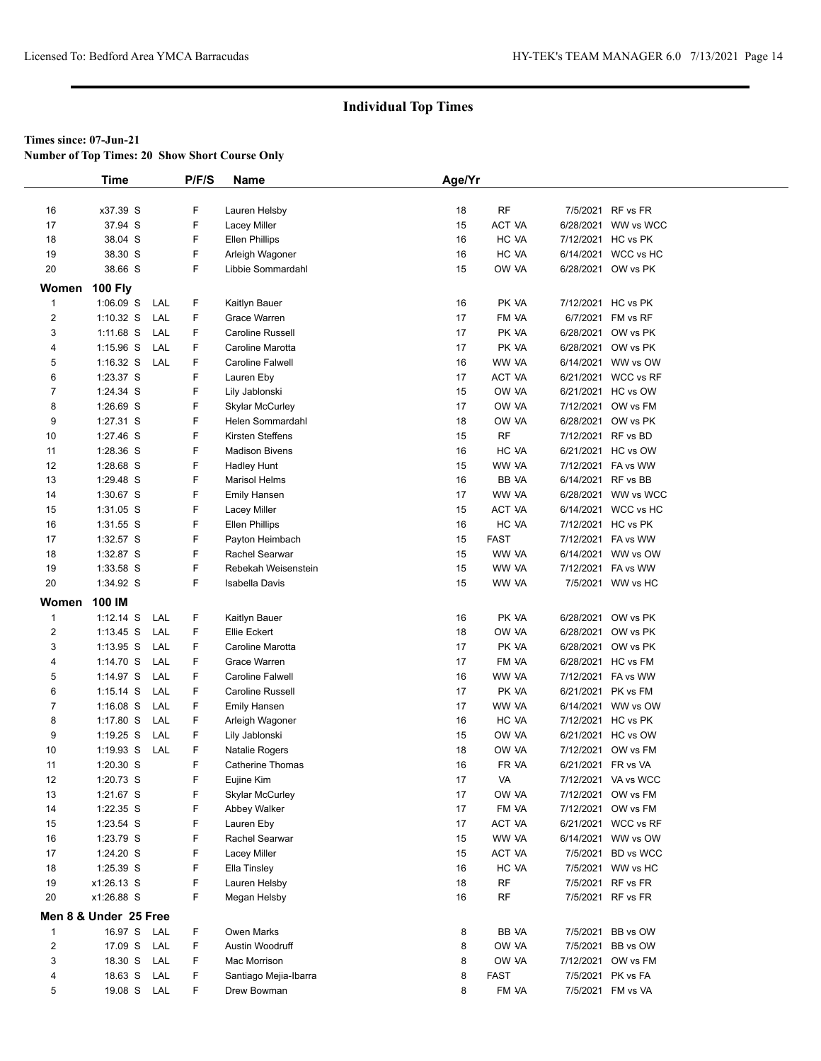**Number of Top Times: 20 Show Short Course Only**

|                | <b>Time</b>                |            | P/F/S  | <b>Name</b>                                 | Age/Yr   |                |                    |                                          |
|----------------|----------------------------|------------|--------|---------------------------------------------|----------|----------------|--------------------|------------------------------------------|
|                |                            |            |        |                                             |          |                |                    |                                          |
| 16             | x37.39 S                   |            | F      | Lauren Helsby                               | 18       | $\sf RF$       |                    | 7/5/2021 RF vs FR                        |
| 17             | 37.94 S                    |            | F      | Lacey Miller                                | 15       | ACT VA         |                    | 6/28/2021 WW vs WCC                      |
| 18             | 38.04 S                    |            | F      | <b>Ellen Phillips</b>                       | 16       | HC VA          |                    | 7/12/2021 HC vs PK                       |
| 19             | 38.30 S                    |            | F      | Arleigh Wagoner                             | 16       | HC VA          |                    | 6/14/2021 WCC vs HC                      |
| 20             | 38.66 S                    |            | F      | Libbie Sommardahl                           | 15       | OW VA          |                    | 6/28/2021 OW vs PK                       |
| Women          | <b>100 Fly</b>             |            |        |                                             |          |                |                    |                                          |
| $\mathbf{1}$   | $1:06.09$ S                | LAL        | F      | Kaitlyn Bauer                               | 16       | PK VA          |                    | 7/12/2021 HC vs PK                       |
| $\overline{c}$ | $1:10.32$ S                | LAL        | F      | Grace Warren                                | 17       | FM VA          |                    | 6/7/2021 FM vs RF                        |
| 3              | $1:11.68$ S                | LAL        | F      | Caroline Russell                            | 17       | PK VA          |                    | 6/28/2021 OW vs PK                       |
| 4              | $1:15.96$ S                | LAL        | F      | Caroline Marotta                            | 17       | PK VA          |                    | 6/28/2021 OW vs PK                       |
| 5              | $1:16.32$ S                | LAL        | F      | <b>Caroline Falwell</b>                     | 16       | WW VA          |                    | 6/14/2021 WW vs OW                       |
| 6              | 1:23.37 S                  |            | F      | Lauren Eby                                  | 17       | ACT VA         |                    | 6/21/2021 WCC vs RF                      |
| $\overline{7}$ | 1:24.34 S                  |            | F      | Lily Jablonski                              | 15       | OW VA          |                    | 6/21/2021 HC vs OW                       |
| 8              | 1:26.69 S                  |            | F      | <b>Skylar McCurley</b>                      | 17       | OW VA          |                    | 7/12/2021 OW vs FM                       |
| 9              | 1:27.31 S                  |            | F      | Helen Sommardahl                            | 18       | OW VA          |                    | 6/28/2021 OW vs PK                       |
| 10             | 1:27.46 S                  |            | F      | Kirsten Steffens                            | 15       | <b>RF</b>      |                    | 7/12/2021 RF vs BD                       |
| 11             | 1:28.36 S                  |            | F      | <b>Madison Bivens</b>                       | 16       | HC VA          |                    | 6/21/2021 HC vs OW                       |
| 12             | 1:28.68 S                  |            | F      | Hadley Hunt                                 | 15       | WW VA          |                    | 7/12/2021 FA vs WW                       |
| 13             | 1:29.48 S                  |            | F      | <b>Marisol Helms</b>                        | 16       | BB VA          | 6/14/2021 RF vs BB |                                          |
| 14             | 1:30.67 S                  |            | F      | <b>Emily Hansen</b>                         | 17       | WW VA          |                    | 6/28/2021 WW vs WCC                      |
| 15             | 1:31.05 S                  |            | F      | Lacey Miller                                | 15       | ACT VA         |                    | 6/14/2021 WCC vs HC                      |
| 16             | 1:31.55 S                  |            | F      | <b>Ellen Phillips</b>                       | 16       | HC VA          |                    | 7/12/2021 HC vs PK                       |
| 17             | 1:32.57 S                  |            | F      | Payton Heimbach                             | 15       | <b>FAST</b>    |                    | 7/12/2021 FA vs WW                       |
| 18             | 1:32.87 S                  |            | F      | Rachel Searwar                              | 15       | WW VA          |                    | 6/14/2021 WW vs OW                       |
| 19             | 1:33.58 S                  |            | F      | Rebekah Weisenstein                         | 15       | WW VA          |                    | 7/12/2021 FA vs WW                       |
| 20             | 1:34.92 S                  |            | F      | <b>Isabella Davis</b>                       | 15       | WW VA          |                    | 7/5/2021 WW vs HC                        |
|                |                            |            |        |                                             |          |                |                    |                                          |
| Women          | 100 IM                     |            |        |                                             |          |                |                    |                                          |
| $\mathbf 1$    | $1:12.14$ S                | LAL        | F      | Kaitlyn Bauer                               | 16       | PK VA          |                    | 6/28/2021 OW vs PK                       |
| $\overline{c}$ | $1:13.45$ S                | LAL        | F<br>F | Ellie Eckert                                | 18       | OW VA          |                    | 6/28/2021 OW vs PK                       |
| 3<br>4         | $1:13.95$ S                | LAL<br>LAL | F      | Caroline Marotta<br>Grace Warren            | 17<br>17 | PK VA<br>FM VA |                    | 6/28/2021 OW vs PK<br>6/28/2021 HC vs FM |
|                | 1:14.70 S                  |            |        |                                             |          |                |                    |                                          |
| 5<br>6         | 1:14.97 S                  | LAL<br>LAL | F<br>F | <b>Caroline Falwell</b><br>Caroline Russell | 16<br>17 | WW VA<br>PK VA |                    | 7/12/2021 FA vs WW<br>6/21/2021 PK vs FM |
| $\overline{7}$ | $1:15.14$ S<br>$1:16.08$ S | LAL        | F      |                                             | 17       | WW VA          |                    | 6/14/2021 WW vs OW                       |
|                |                            | LAL        | F      | <b>Emily Hansen</b>                         |          |                |                    |                                          |
| 8<br>9         | $1:17.80$ S<br>$1:19.25$ S | LAL        | F      | Arleigh Wagoner<br>Lily Jablonski           | 16<br>15 | HC VA<br>OW VA |                    | 7/12/2021 HC vs PK<br>6/21/2021 HC vs OW |
| 10             | $1:19.93$ S                | LAL        | F      | Natalie Rogers                              | 18       | OW VA          |                    | 7/12/2021 OW vs FM                       |
| 11             | 1:20.30 S                  |            | F      | <b>Catherine Thomas</b>                     | 16       | FR VA          | 6/21/2021 FR vs VA |                                          |
| 12             | 1:20.73 S                  |            | F      | Eujine Kim                                  | 17       | VA             |                    | 7/12/2021 VA vs WCC                      |
| 13             | 1:21.67 S                  |            | F      | <b>Skylar McCurley</b>                      | 17       | OW VA          |                    | 7/12/2021 OW vs FM                       |
| 14             | 1:22.35 S                  |            | F      | Abbey Walker                                | 17       | FM VA          |                    | 7/12/2021 OW vs FM                       |
| 15             | 1:23.54 S                  |            | F      | Lauren Eby                                  | 17       | ACT VA         |                    | 6/21/2021 WCC vs RF                      |
| 16             | 1:23.79 S                  |            | F      | Rachel Searwar                              | 15       | WW VA          |                    | 6/14/2021 WW vs OW                       |
| 17             | 1:24.20 S                  |            | F      | Lacey Miller                                | 15       | ACT VA         |                    | 7/5/2021 BD vs WCC                       |
| 18             | 1:25.39 S                  |            | F      | Ella Tinsley                                | 16       | HC VA          |                    | 7/5/2021 WW vs HC                        |
| 19             | x1:26.13 S                 |            | F      | Lauren Helsby                               | 18       | RF             |                    | 7/5/2021 RF vs FR                        |
| 20             | x1:26.88 S                 |            | F      | Megan Helsby                                | 16       | <b>RF</b>      |                    | 7/5/2021 RF vs FR                        |
|                |                            |            |        |                                             |          |                |                    |                                          |
|                | Men 8 & Under 25 Free      |            |        |                                             |          |                |                    |                                          |
| 1              | 16.97 S LAL                |            | F.     | Owen Marks                                  | 8        | BB VA          |                    | 7/5/2021 BB vs OW                        |
| $\overline{c}$ | 17.09 S                    | LAL        | F      | Austin Woodruff                             | 8        | OW VA          |                    | 7/5/2021 BB vs OW                        |
| 3              | 18.30 S                    | LAL        | F      | Mac Morrison                                | 8        | OW VA          |                    | 7/12/2021 OW vs FM                       |
| 4              | 18.63 S                    | LAL        | F      | Santiago Mejia-Ibarra                       | 8        | <b>FAST</b>    |                    | 7/5/2021 PK vs FA                        |
| 5              | 19.08 S LAL                |            | F.     | Drew Bowman                                 | 8        | FM VA          |                    | 7/5/2021 FM vs VA                        |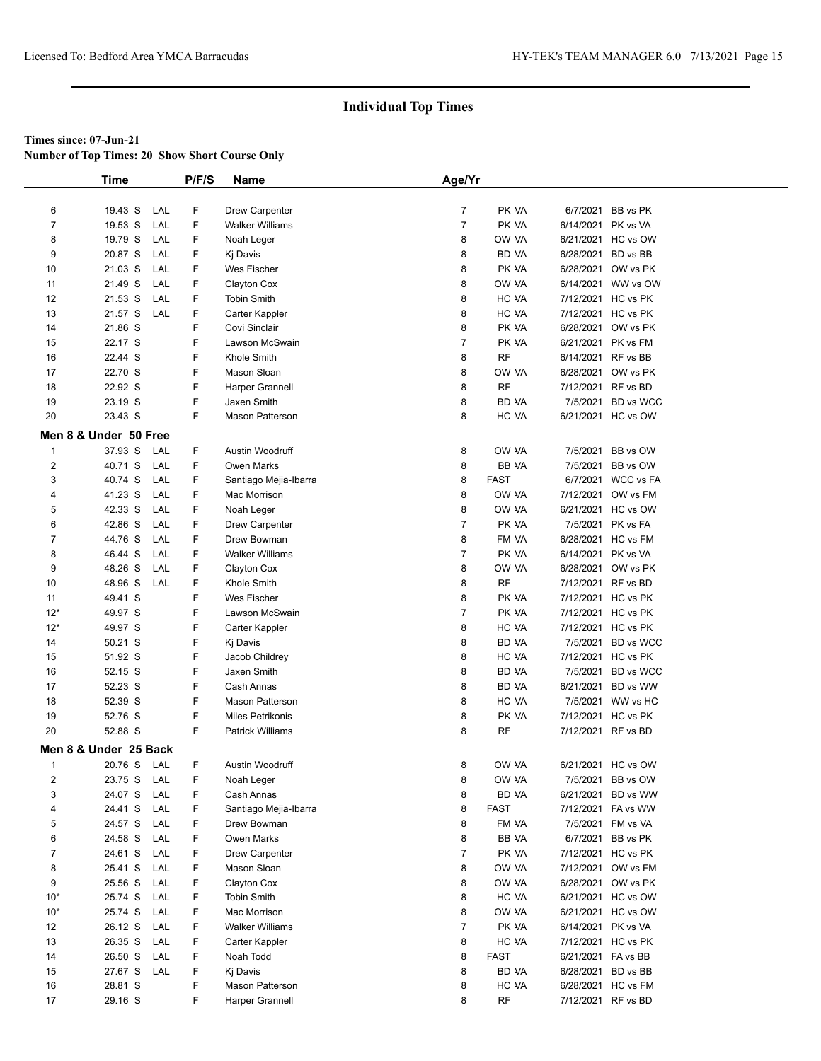**Number of Top Times: 20 Show Short Course Only**

|                | Time                  |     | P/F/S | Name                    | Age/Yr         |              |                    |                    |
|----------------|-----------------------|-----|-------|-------------------------|----------------|--------------|--------------------|--------------------|
|                |                       |     |       |                         |                |              |                    |                    |
| 6              | 19.43 S               | LAL | F     | Drew Carpenter          | $\overline{7}$ | PK VA        |                    | 6/7/2021 BB vs PK  |
| 7              | 19.53 S               | LAL | F     | <b>Walker Williams</b>  | $\overline{7}$ | PK VA        | 6/14/2021 PK vs VA |                    |
| 8              | 19.79 S               | LAL | F     | Noah Leger              | 8              | OW VA        |                    | 6/21/2021 HC vs OW |
| 9              | 20.87 S               | LAL | F     | Kj Davis                | 8              | <b>BD VA</b> | 6/28/2021 BD vs BB |                    |
| 10             | 21.03 S               | LAL | F     | Wes Fischer             | 8              | PK VA        |                    | 6/28/2021 OW vs PK |
| 11             | 21.49 S               | LAL | F     | Clayton Cox             | 8              | OW VA        |                    | 6/14/2021 WW vs OW |
| 12             | 21.53 S               | LAL | F     | <b>Tobin Smith</b>      | 8              | HC VA        |                    | 7/12/2021 HC vs PK |
| 13             | 21.57 S               | LAL | F     | Carter Kappler          | 8              | HC VA        |                    | 7/12/2021 HC vs PK |
| 14             | 21.86 S               |     | F     | Covi Sinclair           | 8              | PK VA        |                    | 6/28/2021 OW vs PK |
| 15             | 22.17 S               |     | F     | Lawson McSwain          | 7              | PK VA        |                    | 6/21/2021 PK vs FM |
| 16             | 22.44 S               |     | F     | Khole Smith             | 8              | <b>RF</b>    | 6/14/2021 RF vs BB |                    |
| 17             | 22.70 S               |     | F     | Mason Sloan             | 8              | OW VA        |                    | 6/28/2021 OW vs PK |
| 18             | 22.92 S               |     | F     | Harper Grannell         | 8              | <b>RF</b>    | 7/12/2021 RF vs BD |                    |
| 19             | 23.19 S               |     | F     | Jaxen Smith             | 8              | <b>BD VA</b> |                    | 7/5/2021 BD vs WCC |
| 20             | 23.43 S               |     | F     | <b>Mason Patterson</b>  | 8              | HC VA        |                    | 6/21/2021 HC vs OW |
|                | Men 8 & Under 50 Free |     |       |                         |                |              |                    |                    |
| $\mathbf{1}$   | 37.93 S               | LAL | F     | Austin Woodruff         | 8              | OW VA        | 7/5/2021           | BB vs OW           |
| $\overline{2}$ | 40.71 S               | LAL | F     | <b>Owen Marks</b>       | 8              | <b>BB VA</b> |                    | 7/5/2021 BB vs OW  |
| 3              | 40.74 S               | LAL | F     | Santiago Mejia-Ibarra   | 8              | <b>FAST</b>  |                    | 6/7/2021 WCC vs FA |
| 4              | 41.23 S               | LAL | F     | Mac Morrison            | 8              | OW VA        |                    | 7/12/2021 OW vs FM |
| 5              | 42.33 S               | LAL | F     | Noah Leger              | 8              | OW VA        |                    | 6/21/2021 HC vs OW |
| 6              | 42.86 S               | LAL | F     | <b>Drew Carpenter</b>   | $\overline{7}$ | PK VA        |                    | 7/5/2021 PK vs FA  |
| 7              | 44.76 S               | LAL | F     | Drew Bowman             | 8              | FM VA        |                    | 6/28/2021 HC vs FM |
| 8              | 46.44 S               | LAL | F     | <b>Walker Williams</b>  | $\overline{7}$ | PK VA        | 6/14/2021 PK vs VA |                    |
| 9              | 48.26 S               | LAL | F     | Clayton Cox             | 8              | OW VA        |                    | 6/28/2021 OW vs PK |
| 10             | 48.96 S               | LAL | F     | Khole Smith             | 8              | <b>RF</b>    | 7/12/2021 RF vs BD |                    |
| 11             | 49.41 S               |     | F     | Wes Fischer             | 8              | PK VA        |                    | 7/12/2021 HC vs PK |
| $12*$          | 49.97 S               |     | F     | Lawson McSwain          | $\overline{7}$ | PK VA        |                    | 7/12/2021 HC vs PK |
| $12*$          | 49.97 S               |     | F     | Carter Kappler          | 8              | HC VA        |                    | 7/12/2021 HC vs PK |
| 14             | 50.21 S               |     | F     | Kj Davis                | 8              | <b>BD VA</b> |                    | 7/5/2021 BD vs WCC |
| 15             | 51.92 S               |     | F     | Jacob Childrey          | 8              | HC VA        |                    | 7/12/2021 HC vs PK |
| 16             | 52.15 S               |     | F     | Jaxen Smith             | 8              | <b>BD VA</b> |                    | 7/5/2021 BD vs WCC |
| 17             | 52.23 S               |     | F     | Cash Annas              | 8              | <b>BD VA</b> |                    | 6/21/2021 BD vs WW |
| 18             | 52.39 S               |     | F     | <b>Mason Patterson</b>  | 8              | HC VA        |                    | 7/5/2021 WW vs HC  |
| 19             | 52.76 S               |     | F     | <b>Miles Petrikonis</b> | 8              | PK VA        |                    | 7/12/2021 HC vs PK |
| 20             | 52.88 S               |     | F     | <b>Patrick Williams</b> | 8              | <b>RF</b>    | 7/12/2021 RF vs BD |                    |
|                | Men 8 & Under 25 Back |     |       |                         |                |              |                    |                    |
| $\mathbf{1}$   | 20.76 S LAL           |     | F     | Austin Woodruff         | 8              | OW VA        |                    | 6/21/2021 HC vs OW |
| 2              | 23.75 S               | LAL | F     | Noah Leger              | 8              | OW VA        |                    | 7/5/2021 BB vs OW  |
| 3              | 24.07 S               | LAL | F     | Cash Annas              | 8              | BD VA        |                    | 6/21/2021 BD vs WW |
| 4              | 24.41 S               | LAL | F     | Santiago Mejia-Ibarra   | 8              | <b>FAST</b>  |                    | 7/12/2021 FA vs WW |
| 5              | 24.57 S               | LAL | F     | Drew Bowman             | 8              | FM VA        |                    | 7/5/2021 FM vs VA  |
| 6              | 24.58 S               | LAL | F     | <b>Owen Marks</b>       | 8              | BB VA        |                    | 6/7/2021 BB vs PK  |
| $\overline{7}$ | 24.61 S               | LAL | F     | Drew Carpenter          | $\overline{7}$ | PK VA        |                    | 7/12/2021 HC vs PK |
| 8              | 25.41 S               | LAL | F     | Mason Sloan             | 8              | OW VA        |                    | 7/12/2021 OW vs FM |
| 9              | 25.56 S               | LAL | F     | Clayton Cox             | 8              | OW VA        |                    | 6/28/2021 OW vs PK |
| $10*$          | 25.74 S               | LAL | F     | <b>Tobin Smith</b>      | 8              | HC VA        |                    | 6/21/2021 HC vs OW |
| $10*$          | 25.74 S               | LAL | F     | Mac Morrison            | 8              | OW VA        |                    | 6/21/2021 HC vs OW |
| 12             | 26.12 S               | LAL | F     | <b>Walker Williams</b>  | $\overline{7}$ | PK VA        | 6/14/2021 PK vs VA |                    |
| 13             | 26.35 S               | LAL | F     | Carter Kappler          | 8              | HC VA        |                    | 7/12/2021 HC vs PK |
| 14             | 26.50 S               | LAL | F     | Noah Todd               | 8              | <b>FAST</b>  | 6/21/2021 FA vs BB |                    |
| 15             | 27.67 S               | LAL | F     | Kj Davis                | 8              | BD VA        | 6/28/2021 BD vs BB |                    |
| 16             | 28.81 S               |     | F     | <b>Mason Patterson</b>  | 8              | HC VA        |                    | 6/28/2021 HC vs FM |
| 17             | 29.16 S               |     | F     | Harper Grannell         | 8              | RF           | 7/12/2021 RF vs BD |                    |
|                |                       |     |       |                         |                |              |                    |                    |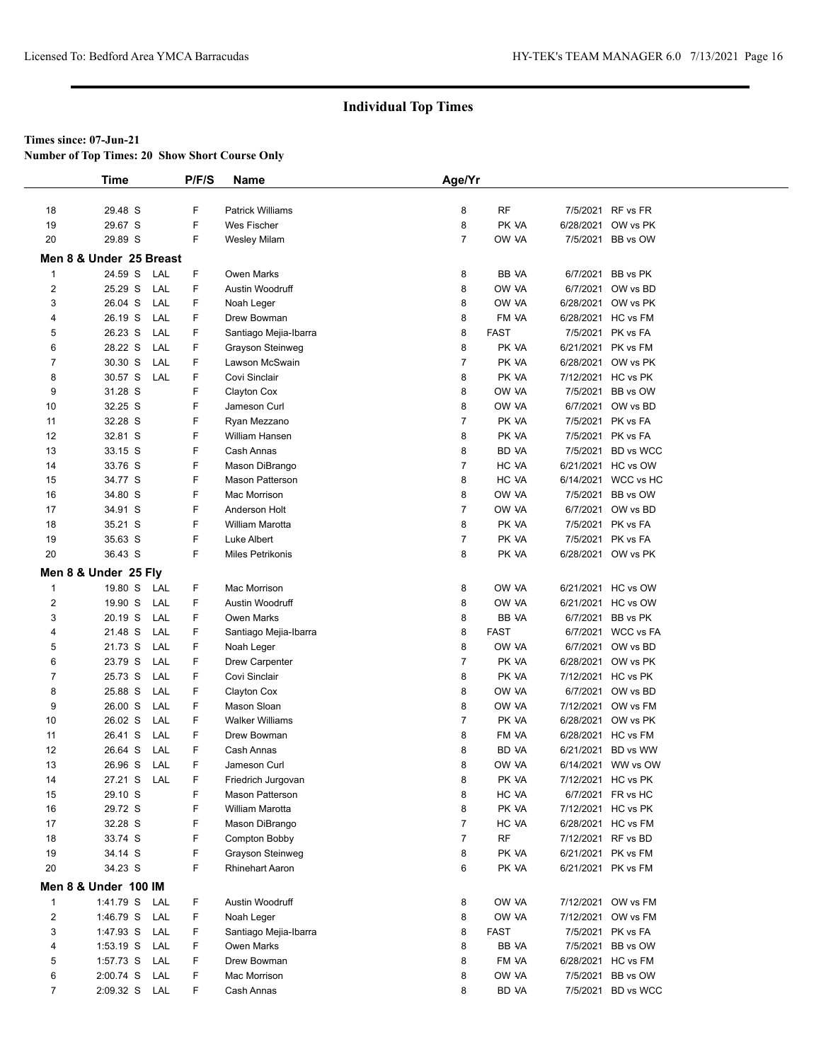**Number of Top Times: 20 Show Short Course Only**

|                | <b>Time</b>             | P/F/S     | Name                    | Age/Yr         |             |           |                     |  |
|----------------|-------------------------|-----------|-------------------------|----------------|-------------|-----------|---------------------|--|
|                |                         |           |                         |                |             |           |                     |  |
| 18             | 29.48 S                 | F         | <b>Patrick Williams</b> | 8              | RF          |           | 7/5/2021 RF vs FR   |  |
| 19             | 29.67 S                 | F         | Wes Fischer             | 8              | PK VA       | 6/28/2021 | OW vs PK            |  |
| 20             | 29.89 S                 | F.        | <b>Wesley Milam</b>     | $\overline{7}$ | OW VA       |           | 7/5/2021 BB vs OW   |  |
|                | Men 8 & Under 25 Breast |           |                         |                |             |           |                     |  |
| $\mathbf{1}$   | 24.59 S                 | F<br>LAL  | Owen Marks              | 8              | BB VA       | 6/7/2021  | BB vs PK            |  |
| 2              | 25.29 S                 | F<br>LAL  | Austin Woodruff         | 8              | OW VA       | 6/7/2021  | OW vs BD            |  |
| 3              | 26.04 S                 | LAL<br>F  | Noah Leger              | 8              | OW VA       |           | 6/28/2021 OW vs PK  |  |
| 4              | 26.19 S                 | LAL<br>F  | Drew Bowman             | 8              | FM VA       |           | 6/28/2021 HC vs FM  |  |
| 5              | 26.23 S                 | F<br>LAL  | Santiago Mejia-Ibarra   | 8              | <b>FAST</b> |           | 7/5/2021 PK vs FA   |  |
| 6              | 28.22 S                 | LAL<br>F  | Grayson Steinweg        | 8              | PK VA       |           | 6/21/2021 PK vs FM  |  |
| $\overline{7}$ | 30.30 S                 | F<br>LAL  | Lawson McSwain          | $\overline{7}$ | PK VA       | 6/28/2021 | OW vs PK            |  |
| 8              | 30.57 S                 | F<br>LAL  | Covi Sinclair           | 8              | PK VA       |           | 7/12/2021 HC vs PK  |  |
| 9              | 31.28 S                 | F         | Clayton Cox             | 8              | OW VA       |           | 7/5/2021 BB vs OW   |  |
| 10             | 32.25 S                 | F         | Jameson Curl            | 8              | OW VA       |           | 6/7/2021 OW vs BD   |  |
| 11             | 32.28 S                 | F         | Ryan Mezzano            | 7              | PK VA       |           | 7/5/2021 PK vs FA   |  |
| 12             | 32.81 S                 | F         | William Hansen          | 8              | PK VA       |           | 7/5/2021 PK vs FA   |  |
| 13             | 33.15 S                 | F         | Cash Annas              | 8              | BD VA       | 7/5/2021  | <b>BD</b> vs WCC    |  |
| 14             | 33.76 S                 | F         | Mason DiBrango          | 7              | HC VA       | 6/21/2021 | HC vs OW            |  |
| 15             | 34.77 S                 | F         | <b>Mason Patterson</b>  | 8              | HC VA       |           | 6/14/2021 WCC vs HC |  |
| 16             | 34.80 S                 | F         | Mac Morrison            | 8              | OW VA       | 7/5/2021  | BB vs OW            |  |
| 17             | 34.91 S                 | F         | Anderson Holt           | 7              | OW VA       |           | 6/7/2021 OW vs BD   |  |
| 18             | 35.21 S                 | F         | William Marotta         | 8              | PK VA       |           | 7/5/2021 PK vs FA   |  |
| 19             | 35.63 S                 | F         | Luke Albert             | 7              | PK VA       | 7/5/2021  | PK vs FA            |  |
| 20             | 36.43 S                 | F         | <b>Miles Petrikonis</b> | 8              | PK VA       |           | 6/28/2021 OW vs PK  |  |
|                | Men 8 & Under 25 Fly    |           |                         |                |             |           |                     |  |
| $\mathbf{1}$   | 19.80 S                 | F<br>LAL  | Mac Morrison            | 8              | OW VA       |           | 6/21/2021 HC vs OW  |  |
| $\overline{2}$ | 19.90 S                 | LAL<br>F  | Austin Woodruff         | 8              | OW VA       | 6/21/2021 | HC vs OW            |  |
| 3              | 20.19 S                 | F<br>LAL  | Owen Marks              | 8              | BB VA       | 6/7/2021  | BB vs PK            |  |
| 4              | 21.48 S                 | F.<br>LAL | Santiago Mejia-Ibarra   | 8              | <b>FAST</b> |           | 6/7/2021 WCC vs FA  |  |
| 5              | 21.73 S                 | LAL<br>F  | Noah Leger              | 8              | OW VA       |           | 6/7/2021 OW vs BD   |  |
| 6              | 23.79 S                 | F<br>LAL  | Drew Carpenter          | 7              | PK VA       |           | 6/28/2021 OW vs PK  |  |
| $\overline{7}$ | 25.73 S                 | F<br>LAL  | Covi Sinclair           | 8              | PK VA       |           | 7/12/2021 HC vs PK  |  |
| 8              | 25.88 S                 | LAL<br>F  | Clayton Cox             | 8              | OW VA       |           | 6/7/2021 OW vs BD   |  |
| 9              | 26.00 S                 | LAL<br>F  | Mason Sloan             | 8              | OW VA       |           | 7/12/2021 OW vs FM  |  |
| 10             | 26.02 S                 | F.<br>LAL | <b>Walker Williams</b>  | 7              | PK VA       |           | 6/28/2021 OW vs PK  |  |
| 11             | 26.41 S                 | LAL<br>F  | Drew Bowman             | 8              | FM VA       |           | 6/28/2021 HC vs FM  |  |
| 12             | 26.64 S                 | F<br>LAL  | Cash Annas              | 8              | BD VA       | 6/21/2021 | BD vs WW            |  |
| 13             | 26.96 S                 | F<br>LAL  | Jameson Curl            | 8              | OW VA       |           | 6/14/2021 WW vs OW  |  |
| 14             | 27.21 S                 | LAL<br>F  | Friedrich Jurgovan      | 8              | PK VA       |           | 7/12/2021 HC vs PK  |  |
| 15             | 29.10 S                 | F         | Mason Patterson         | 8              | HC VA       |           | 6/7/2021 FR vs HC   |  |
| 16             | 29.72 S                 | F         | William Marotta         | 8              | PK VA       |           | 7/12/2021 HC vs PK  |  |
| 17             | 32.28 S                 | F         | Mason DiBrango          | $\overline{7}$ | HC VA       |           | 6/28/2021 HC vs FM  |  |
| 18             | 33.74 S                 | F         | Compton Bobby           | $\overline{7}$ | RF          |           | 7/12/2021 RF vs BD  |  |
| 19             | 34.14 S                 | F         | Grayson Steinweg        | 8              | PK VA       |           | 6/21/2021 PK vs FM  |  |
| 20             | 34.23 S                 | F         | <b>Rhinehart Aaron</b>  | 6              | PK VA       |           | 6/21/2021 PK vs FM  |  |
|                | Men 8 & Under 100 IM    |           |                         |                |             |           |                     |  |
| $\mathbf{1}$   | 1:41.79 S               | LAL<br>F  | Austin Woodruff         | 8              | OW VA       |           | 7/12/2021 OW vs FM  |  |
| $\overline{2}$ | 1:46.79 S               | F<br>LAL  | Noah Leger              | 8              | OW VA       | 7/12/2021 | OW vs FM            |  |
| 3              | 1:47.93 S               | F<br>LAL  | Santiago Mejia-Ibarra   | 8              | <b>FAST</b> | 7/5/2021  | PK vs FA            |  |
| 4              | 1:53.19 S               | F<br>LAL  | Owen Marks              | 8              | BB VA       |           | 7/5/2021 BB vs OW   |  |
| 5              | 1:57.73 S               | F<br>LAL  | Drew Bowman             | 8              | FM VA       |           | 6/28/2021 HC vs FM  |  |
| 6              | 2:00.74 S               | F<br>LAL  | Mac Morrison            | 8              | OW VA       |           | 7/5/2021 BB vs OW   |  |
| $\overline{7}$ | 2:09.32 S               | F<br>LAL  | Cash Annas              | 8              | BD VA       |           | 7/5/2021 BD vs WCC  |  |
|                |                         |           |                         |                |             |           |                     |  |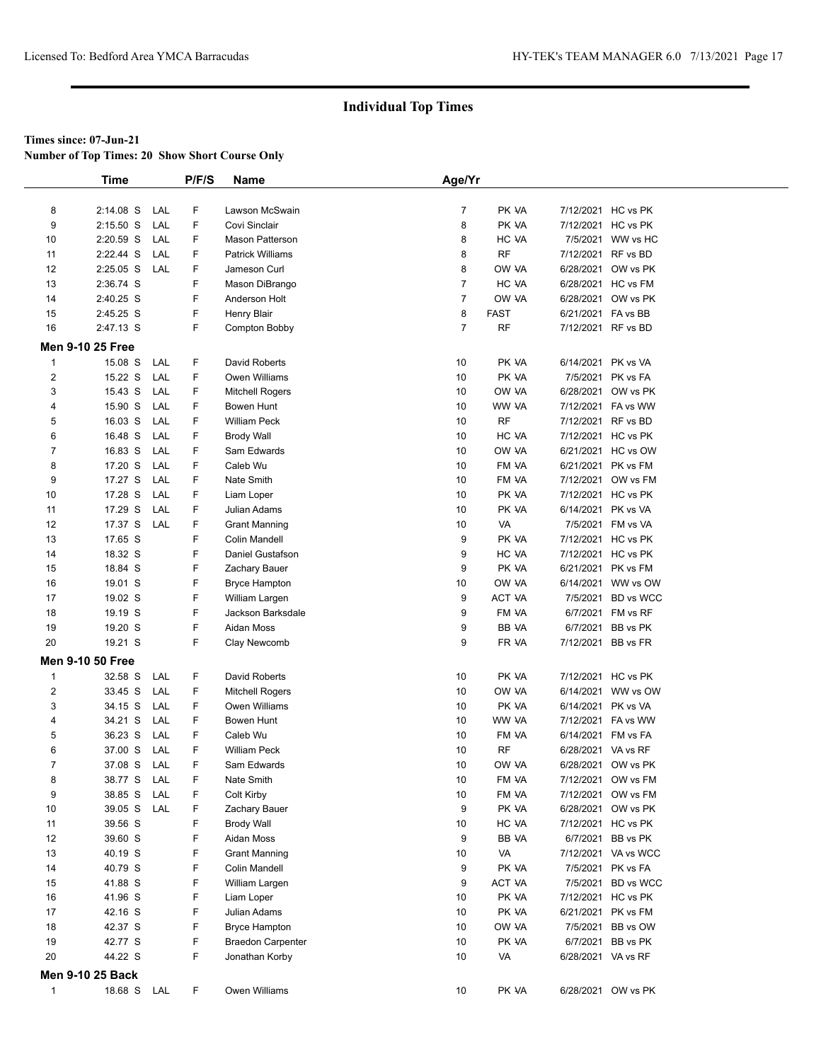**Number of Top Times: 20 Show Short Course Only**

|                | <b>Time</b>             |            | P/F/S | <b>Name</b>              | Age/Yr         |             |                    |                     |  |
|----------------|-------------------------|------------|-------|--------------------------|----------------|-------------|--------------------|---------------------|--|
|                |                         |            |       |                          |                |             |                    |                     |  |
| 8              | 2:14.08 S               | LAL        | F     | Lawson McSwain           | $\overline{7}$ | PK VA       |                    | 7/12/2021 HC vs PK  |  |
| 9              | $2:15.50$ S             | LAL        | F     | Covi Sinclair            | 8              | PK VA       |                    | 7/12/2021 HC vs PK  |  |
| 10             | 2:20.59 S               | LAL        | F     | <b>Mason Patterson</b>   | 8              | HC VA       |                    | 7/5/2021 WW vs HC   |  |
| 11             | 2:22.44 S               | LAL        | F     | <b>Patrick Williams</b>  | 8              | <b>RF</b>   | 7/12/2021 RF vs BD |                     |  |
| 12             | 2:25.05 S               | LAL        | F     | Jameson Curl             | 8              | OW VA       |                    | 6/28/2021 OW vs PK  |  |
| 13             | 2:36.74 S               |            | F     | Mason DiBrango           | $\overline{7}$ | HC VA       |                    | 6/28/2021 HC vs FM  |  |
| 14             | 2:40.25 S               |            | F     | Anderson Holt            | $\overline{7}$ | OW VA       | 6/28/2021          | OW vs PK            |  |
| 15             | 2:45.25 S               |            | F     | <b>Henry Blair</b>       | 8              | <b>FAST</b> | 6/21/2021          | FA vs BB            |  |
| 16             | 2:47.13 S               |            | F     | Compton Bobby            | 7              | <b>RF</b>   | 7/12/2021 RF vs BD |                     |  |
|                | <b>Men 9-10 25 Free</b> |            |       |                          |                |             |                    |                     |  |
| $\mathbf{1}$   | 15.08 S                 | LAL        | F     | David Roberts            | 10             | PK VA       | 6/14/2021 PK vs VA |                     |  |
| $\overline{2}$ | 15.22 S                 | <b>LAL</b> | F     | Owen Williams            | 10             | PK VA       | 7/5/2021           | PK vs FA            |  |
| 3              | 15.43 S                 | LAL        | F     | <b>Mitchell Rogers</b>   | 10             | OW VA       | 6/28/2021          | OW vs PK            |  |
| 4              | 15.90 S                 | LAL        | F     | <b>Bowen Hunt</b>        | 10             | WW VA       |                    | 7/12/2021 FA vs WW  |  |
| 5              | 16.03 S                 | LAL        | F     | <b>William Peck</b>      | 10             | <b>RF</b>   | 7/12/2021 RF vs BD |                     |  |
| 6              | 16.48 S                 | LAL        | F     | <b>Brody Wall</b>        | 10             | HC VA       |                    | 7/12/2021 HC vs PK  |  |
| 7              | 16.83 S                 | LAL        | F     | Sam Edwards              | 10             | OW VA       |                    | 6/21/2021 HC vs OW  |  |
| 8              | 17.20 S                 | LAL        | F     | Caleb Wu                 | 10             | FM VA       | 6/21/2021          | PK vs FM            |  |
| 9              | 17.27 S                 | LAL        | F     | Nate Smith               | 10             | FM VA       | 7/12/2021          | OW vs FM            |  |
| 10             | 17.28 S                 | LAL        | F     | Liam Loper               | 10             | PK VA       |                    | 7/12/2021 HC vs PK  |  |
| 11             | 17.29 S                 | LAL        | F     | Julian Adams             | 10             | PK VA       | 6/14/2021          | PK vs VA            |  |
| 12             | 17.37 S                 | LAL        | F     | <b>Grant Manning</b>     | 10             | VA          | 7/5/2021           | FM vs VA            |  |
| 13             | 17.65 S                 |            | F     | <b>Colin Mandell</b>     | 9              | PK VA       |                    | 7/12/2021 HC vs PK  |  |
| 14             | 18.32 S                 |            | F     | Daniel Gustafson         | 9              | HC VA       | 7/12/2021          | HC vs PK            |  |
| 15             | 18.84 S                 |            | F     | Zachary Bauer            | 9              | PK VA       | 6/21/2021          | PK vs FM            |  |
| 16             | 19.01 S                 |            | F     | <b>Bryce Hampton</b>     | 10             | OW VA       |                    | 6/14/2021 WW vs OW  |  |
| 17             | 19.02 S                 |            | F     | William Largen           | 9              | ACT VA      |                    | 7/5/2021 BD vs WCC  |  |
| 18             | 19.19 S                 |            | F     | Jackson Barksdale        | 9              | FM VA       |                    | 6/7/2021 FM vs RF   |  |
| 19             | 19.20 S                 |            | F     | Aidan Moss               | 9              | BB VA       | 6/7/2021           | BB vs PK            |  |
| 20             | 19.21 S                 |            | F     | Clay Newcomb             | 9              | FR VA       | 7/12/2021 BB vs FR |                     |  |
|                |                         |            |       |                          |                |             |                    |                     |  |
|                | <b>Men 9-10 50 Free</b> |            |       |                          |                |             |                    |                     |  |
| $\mathbf{1}$   | 32.58 S                 | LAL        | F     | David Roberts            | 10             | PK VA       |                    | 7/12/2021 HC vs PK  |  |
| 2              | 33.45 S                 | LAL        | F     | <b>Mitchell Rogers</b>   | 10             | OW VA       | 6/14/2021          | WW vs OW            |  |
| 3              | 34.15 S                 | LAL        | F     | Owen Williams            | 10             | PK VA       | 6/14/2021          | PK vs VA            |  |
| $\overline{4}$ | 34.21 S                 | LAL        | F     | <b>Bowen Hunt</b>        | 10             | WW VA       |                    | 7/12/2021 FA vs WW  |  |
| 5              | 36.23 S                 | LAL        | F     | Caleb Wu                 | 10             | FM VA       | 6/14/2021 FM vs FA |                     |  |
| 6              | 37.00 S                 | LAL        | F     | <b>William Peck</b>      | 10             | <b>RF</b>   | 6/28/2021 VA vs RF |                     |  |
| $\overline{7}$ | 37.08 S                 | LAL        | F     | Sam Edwards              | 10             | OW VA       |                    | 6/28/2021 OW vs PK  |  |
| 8              | 38.77 S                 | LAL        | F     | Nate Smith               | 10             | FM VA       |                    | 7/12/2021 OW vs FM  |  |
| 9              | 38.85 S                 | LAL        | F     | Colt Kirby               | 10             | FM VA       | 7/12/2021          | OW vs FM            |  |
| 10             | 39.05 S                 | LAL        | F     | Zachary Bauer            | 9              | PK VA       | 6/28/2021          | OW vs PK            |  |
| 11             | 39.56 S                 |            | F     | <b>Brody Wall</b>        | 10             | HC VA       |                    | 7/12/2021 HC vs PK  |  |
| 12             | 39.60 S                 |            | F     | Aidan Moss               | 9              | BB VA       |                    | 6/7/2021 BB vs PK   |  |
| 13             | 40.19 S                 |            | F     | <b>Grant Manning</b>     | 10             | VA          |                    | 7/12/2021 VA vs WCC |  |
| 14             | 40.79 S                 |            | F     | Colin Mandell            | 9              | PK VA       | 7/5/2021           | PK vs FA            |  |
| 15             | 41.88 S                 |            | F     | William Largen           | 9              | ACT VA      | 7/5/2021           | BD vs WCC           |  |
| 16             | 41.96 S                 |            | F     | Liam Loper               | 10             | PK VA       |                    | 7/12/2021 HC vs PK  |  |
| 17             | 42.16 S                 |            | F     | Julian Adams             | 10             | PK VA       |                    | 6/21/2021 PK vs FM  |  |
| 18             | 42.37 S                 |            | F     | <b>Bryce Hampton</b>     | 10             | OW VA       |                    | 7/5/2021 BB vs OW   |  |
| 19             | 42.77 S                 |            | F     | <b>Braedon Carpenter</b> | 10             | PK VA       |                    | 6/7/2021 BB vs PK   |  |
| 20             | 44.22 S                 |            | F     | Jonathan Korby           | 10             | VA          | 6/28/2021 VA vs RF |                     |  |
|                | <b>Men 9-10 25 Back</b> |            |       |                          |                |             |                    |                     |  |
| $\mathbf{1}$   | 18.68 S LAL             |            | F     | Owen Williams            | 10             | PK VA       |                    | 6/28/2021 OW vs PK  |  |
|                |                         |            |       |                          |                |             |                    |                     |  |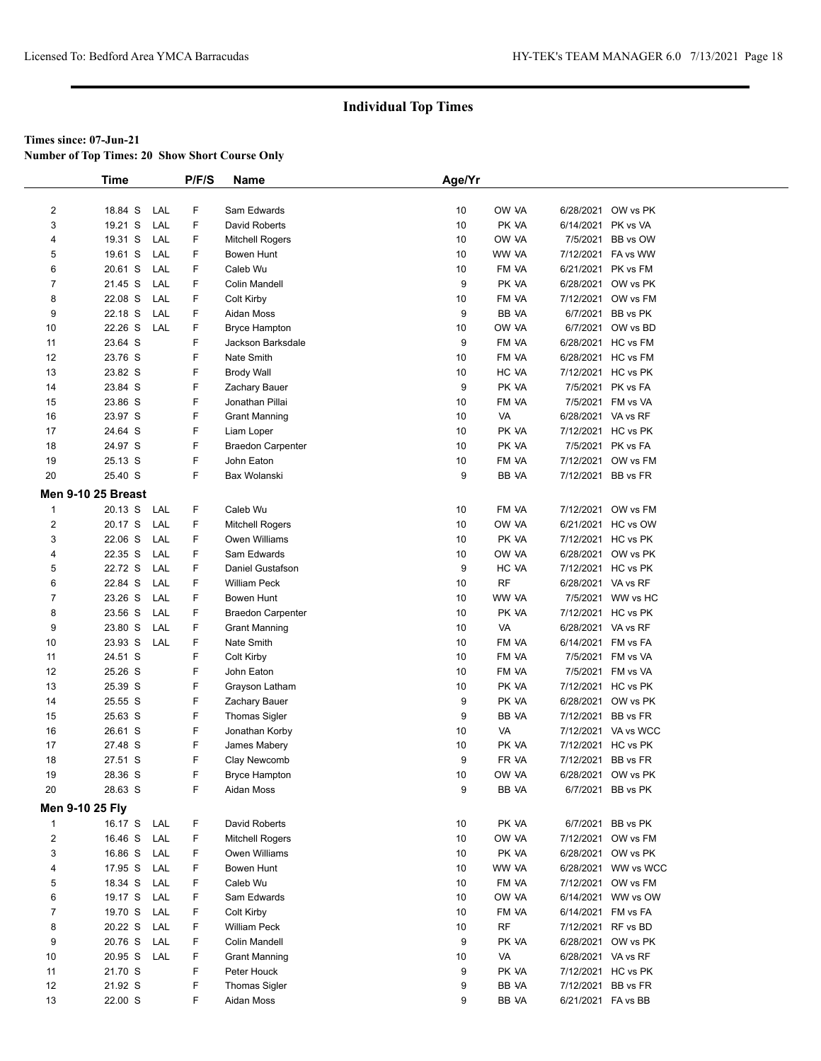**Number of Top Times: 20 Show Short Course Only**

|                         | Time                      |            | P/F/S | <b>Name</b>              | Age/Yr |           |                    |                     |
|-------------------------|---------------------------|------------|-------|--------------------------|--------|-----------|--------------------|---------------------|
|                         |                           |            |       |                          |        |           |                    |                     |
| $\overline{\mathbf{c}}$ | 18.84 S                   | LAL        | F     | Sam Edwards              | 10     | OW VA     |                    | 6/28/2021 OW vs PK  |
| 3                       | 19.21 S                   | LAL        | F     | David Roberts            | 10     | PK VA     | 6/14/2021 PK vs VA |                     |
| 4                       | 19.31 S                   | LAL        | F     | <b>Mitchell Rogers</b>   | 10     | OW VA     |                    | 7/5/2021 BB vs OW   |
| 5                       | 19.61 S                   | LAL        | F     | Bowen Hunt               | 10     | WW VA     |                    | 7/12/2021 FA vs WW  |
| 6                       | 20.61 S                   | LAL        | F     | Caleb Wu                 | 10     | FM VA     | 6/21/2021 PK vs FM |                     |
| 7                       | 21.45 S                   | LAL        | F     | Colin Mandell            | 9      | PK VA     |                    | 6/28/2021 OW vs PK  |
| 8                       | 22.08 S                   | LAL        | F     | Colt Kirby               | 10     | FM VA     |                    | 7/12/2021 OW vs FM  |
| 9                       | 22.18 S                   | LAL        | F     | Aidan Moss               | 9      | BB VA     |                    | 6/7/2021 BB vs PK   |
| 10                      | 22.26 S                   | LAL        | F     | <b>Bryce Hampton</b>     | 10     | OW VA     |                    | 6/7/2021 OW vs BD   |
| 11                      | 23.64 S                   |            | F     | Jackson Barksdale        | 9      | FM VA     |                    | 6/28/2021 HC vs FM  |
| 12                      | 23.76 S                   |            | F     | Nate Smith               | 10     | FM VA     |                    | 6/28/2021 HC vs FM  |
| 13                      | 23.82 S                   |            | F     | <b>Brody Wall</b>        | 10     | HC VA     |                    | 7/12/2021 HC vs PK  |
| 14                      | 23.84 S                   |            | F     | Zachary Bauer            | 9      | PK VA     |                    | 7/5/2021 PK vs FA   |
| 15                      | 23.86 S                   |            | F     | Jonathan Pillai          | 10     | FM VA     |                    | 7/5/2021 FM vs VA   |
| 16                      | 23.97 S                   |            | F     | <b>Grant Manning</b>     | 10     | VA        | 6/28/2021 VA vs RF |                     |
| 17                      | 24.64 S                   |            | F     | Liam Loper               | 10     | PK VA     |                    | 7/12/2021 HC vs PK  |
| 18                      | 24.97 S                   |            | F     | <b>Braedon Carpenter</b> | 10     | PK VA     |                    | 7/5/2021 PK vs FA   |
| 19                      | 25.13 S                   |            | F     | John Eaton               | 10     | FM VA     |                    | 7/12/2021 OW vs FM  |
| 20                      | 25.40 S                   |            | F     | Bax Wolanski             | 9      | BB VA     | 7/12/2021 BB vs FR |                     |
|                         | <b>Men 9-10 25 Breast</b> |            |       |                          |        |           |                    |                     |
| $\mathbf{1}$            | 20.13 S                   | LAL        | F     | Caleb Wu                 | 10     | FM VA     |                    | 7/12/2021 OW vs FM  |
| $\overline{2}$          | 20.17 S                   | LAL        | F     | Mitchell Rogers          | 10     | OW VA     |                    | 6/21/2021 HC vs OW  |
| 3                       | 22.06 S                   | LAL        | F     | Owen Williams            | 10     | PK VA     |                    | 7/12/2021 HC vs PK  |
| 4                       | 22.35 S                   | LAL        | F     | Sam Edwards              | 10     | OW VA     |                    | 6/28/2021 OW vs PK  |
| 5                       | 22.72 S                   | LAL        | F     | Daniel Gustafson         | 9      | HC VA     |                    | 7/12/2021 HC vs PK  |
| 6                       | 22.84 S                   | LAL        | F     | <b>William Peck</b>      | 10     | <b>RF</b> | 6/28/2021 VA vs RF |                     |
| 7                       | 23.26 S                   | <b>LAL</b> | F     | Bowen Hunt               | 10     | WW VA     |                    | 7/5/2021 WW vs HC   |
| 8                       | 23.56 S                   | LAL        | F     | <b>Braedon Carpenter</b> | 10     | PK VA     |                    | 7/12/2021 HC vs PK  |
| 9                       | 23.80 S                   | LAL        | F     | <b>Grant Manning</b>     | 10     | VA        | 6/28/2021 VA vs RF |                     |
| 10                      | 23.93 S                   | LAL        | F     | Nate Smith               | 10     | FM VA     | 6/14/2021 FM vs FA |                     |
| 11                      | 24.51 S                   |            | F     | Colt Kirby               | 10     | FM VA     |                    | 7/5/2021 FM vs VA   |
| 12                      | 25.26 S                   |            | F     | John Eaton               | 10     | FM VA     |                    | 7/5/2021 FM vs VA   |
| 13                      | 25.39 S                   |            | F     | Grayson Latham           | 10     | PK VA     |                    | 7/12/2021 HC vs PK  |
| 14                      | 25.55 S                   |            | F     | Zachary Bauer            | 9      | PK VA     |                    | 6/28/2021 OW vs PK  |
| 15                      | 25.63 S                   |            | F     | Thomas Sigler            | 9      | BB VA     | 7/12/2021 BB vs FR |                     |
| 16                      | 26.61 S                   |            | F     | Jonathan Korby           | 10     | VA        |                    | 7/12/2021 VA vs WCC |
| 17                      | 27.48 S                   |            | F     | James Mabery             | 10     | PK VA     | 7/12/2021 HC vs PK |                     |
| 18                      | 27.51 S                   |            | F     | Clay Newcomb             | 9      | FR VA     | 7/12/2021 BB vs FR |                     |
| 19                      | 28.36 S                   |            | F     | <b>Bryce Hampton</b>     | 10     | OW VA     |                    | 6/28/2021 OW vs PK  |
| 20                      | 28.63 S                   |            | F     | Aidan Moss               | 9      | BB VA     |                    | 6/7/2021 BB vs PK   |
|                         |                           |            |       |                          |        |           |                    |                     |
| Men 9-10 25 Fly         |                           |            |       |                          |        |           |                    |                     |
| $\mathbf{1}$            | 16.17 S LAL               |            | F     | David Roberts            | 10     | PK VA     |                    | 6/7/2021 BB vs PK   |
| $\overline{\mathbf{c}}$ | 16.46 S                   | LAL        | F     | <b>Mitchell Rogers</b>   | 10     | OW VA     |                    | 7/12/2021 OW vs FM  |
| 3                       | 16.86 S                   | LAL        | F     | Owen Williams            | 10     | PK VA     |                    | 6/28/2021 OW vs PK  |
| 4                       | 17.95 S                   | LAL        | F     | Bowen Hunt               | 10     | WW VA     |                    | 6/28/2021 WW vs WCC |
| 5                       | 18.34 S                   | LAL        | F     | Caleb Wu                 | 10     | FM VA     |                    | 7/12/2021 OW vs FM  |
| 6                       | 19.17 S                   | LAL        | F     | Sam Edwards              | 10     | OW VA     |                    | 6/14/2021 WW vs OW  |
| 7                       | 19.70 S                   | LAL        | F     | Colt Kirby               | 10     | FM VA     | 6/14/2021 FM vs FA |                     |
| 8                       | 20.22 S                   | LAL        | F     | William Peck             | 10     | <b>RF</b> | 7/12/2021 RF vs BD |                     |
| 9                       | 20.76 S                   | LAL        | F     | <b>Colin Mandell</b>     | 9      | PK VA     |                    | 6/28/2021 OW vs PK  |
| 10                      | 20.95 S                   | LAL        | F     | <b>Grant Manning</b>     | 10     | VA        | 6/28/2021 VA vs RF |                     |
| 11                      | 21.70 S                   |            | F     | Peter Houck              | 9      | PK VA     |                    | 7/12/2021 HC vs PK  |
| 12                      | 21.92 S                   |            | F     | Thomas Sigler            | 9      | BB VA     | 7/12/2021 BB vs FR |                     |
| 13                      | 22.00 S                   |            | F     | Aidan Moss               | 9      | BB VA     | 6/21/2021 FA vs BB |                     |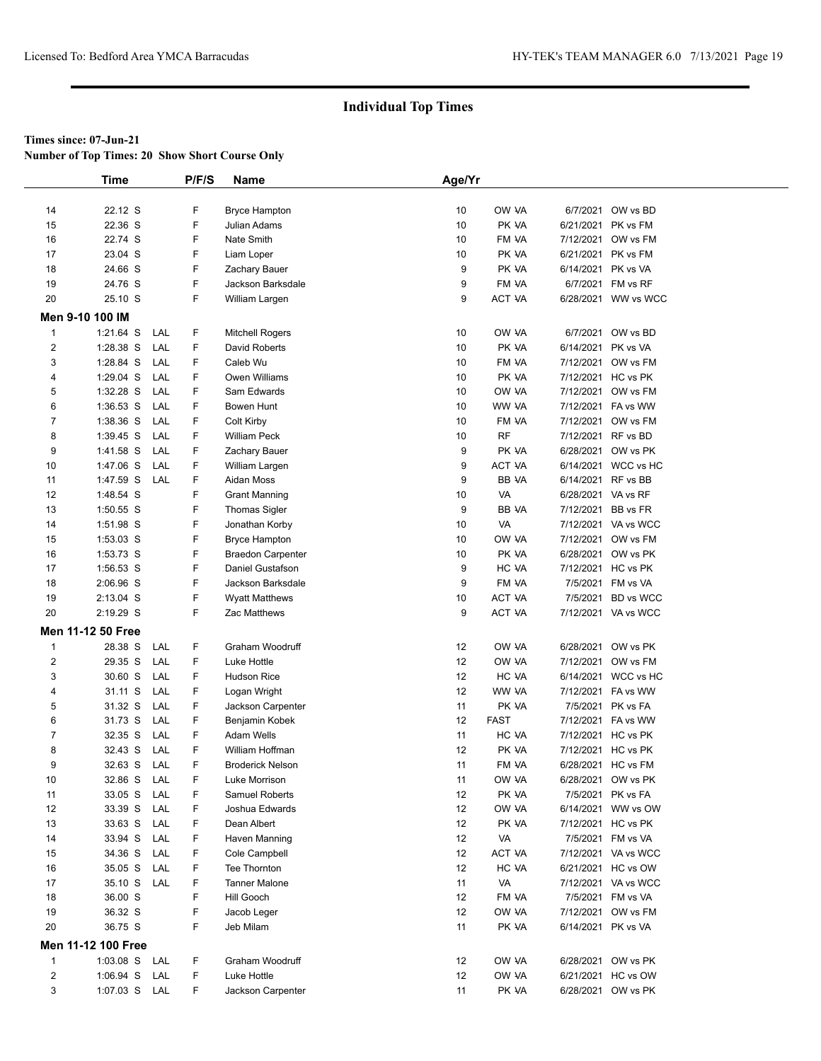**Number of Top Times: 20 Show Short Course Only**

|                | <b>Time</b>        |            | P/F/S  | Name                            | Age/Yr                |                     |                    |                                          |  |
|----------------|--------------------|------------|--------|---------------------------------|-----------------------|---------------------|--------------------|------------------------------------------|--|
|                |                    |            |        |                                 |                       |                     |                    |                                          |  |
| 14             | 22.12 S            |            | F      | <b>Bryce Hampton</b>            | 10                    | OW VA               | 6/7/2021           | OW vs BD                                 |  |
| 15             | 22.36 S            |            | F      | Julian Adams                    | 10                    | PK VA               | 6/21/2021          | PK vs FM                                 |  |
| 16             | 22.74 S            |            | F      | <b>Nate Smith</b>               | 10                    | FM VA               |                    | 7/12/2021 OW vs FM                       |  |
| 17             | 23.04 S            |            | F      | Liam Loper                      | 10                    | PK VA               |                    | 6/21/2021 PK vs FM                       |  |
| 18             | 24.66 S            |            | F      | Zachary Bauer                   | 9                     | PK VA               | 6/14/2021 PK vs VA |                                          |  |
| 19             | 24.76 S            |            | F      | Jackson Barksdale               | 9                     | FM VA               |                    | 6/7/2021 FM vs RF                        |  |
| 20             | 25.10 S            |            | F      | William Largen                  | 9                     | ACT VA              |                    | 6/28/2021 WW vs WCC                      |  |
|                | Men 9-10 100 IM    |            |        |                                 |                       |                     |                    |                                          |  |
| 1              | $1:21.64$ S        | LAL        | F      | <b>Mitchell Rogers</b>          | 10                    | OW VA               |                    | 6/7/2021 OW vs BD                        |  |
| $\overline{c}$ | 1:28.38 S          | LAL        | F      | David Roberts                   | 10                    | PK VA               | 6/14/2021 PK vs VA |                                          |  |
| 3              | 1:28.84 S          | LAL        | F      | Caleb Wu                        | 10                    | FM VA               |                    | 7/12/2021 OW vs FM                       |  |
| 4              | 1:29.04 S          | LAL        | F      | Owen Williams                   | 10                    | PK VA               |                    | 7/12/2021 HC vs PK                       |  |
| 5              | 1:32.28 S          | LAL        | F      | Sam Edwards                     | 10                    | OW VA               |                    | 7/12/2021 OW vs FM                       |  |
| 6              | $1:36.53$ S        | LAL        | F      | Bowen Hunt                      | 10                    | WW VA               |                    | 7/12/2021 FA vs WW                       |  |
| 7              | 1:38.36 S          | LAL        | F      | Colt Kirby                      | 10                    | FM VA               |                    | 7/12/2021 OW vs FM                       |  |
| 8              | $1:39.45$ S        | LAL        | F      | William Peck                    | 10                    | <b>RF</b>           | 7/12/2021 RF vs BD |                                          |  |
| 9              | 1:41.58 S          | LAL        | F      | Zachary Bauer                   | 9                     | PK VA               |                    | 6/28/2021 OW vs PK                       |  |
| 10             | 1:47.06 S          | LAL        | F      | William Largen                  | 9                     | <b>ACT VA</b>       |                    | 6/14/2021 WCC vs HC                      |  |
| 11             | 1:47.59 S          | LAL        | F      | Aidan Moss                      | 9                     | BB VA               | 6/14/2021 RF vs BB |                                          |  |
| 12             | 1:48.54 S          |            | F      | <b>Grant Manning</b>            | 10                    | VA                  | 6/28/2021 VA vs RF |                                          |  |
| 13             | 1:50.55 S          |            | F      | <b>Thomas Sigler</b>            | 9                     | BB VA               | 7/12/2021 BB vs FR |                                          |  |
| 14             | 1:51.98 S          |            | F      | Jonathan Korby                  | 10                    | VA                  |                    | 7/12/2021 VA vs WCC                      |  |
| 15             | 1:53.03 S          |            | F      | <b>Bryce Hampton</b>            | 10                    | OW VA               |                    | 7/12/2021 OW vs FM                       |  |
| 16             | 1:53.73 S          |            | F      | <b>Braedon Carpenter</b>        | 10                    | PK VA               |                    | 6/28/2021 OW vs PK                       |  |
| 17             | 1:56.53 S          |            | F      | Daniel Gustafson                | 9                     | HC VA               |                    | 7/12/2021 HC vs PK                       |  |
| 18             | 2:06.96 S          |            | F      | Jackson Barksdale               | 9                     | FM VA               |                    | 7/5/2021 FM vs VA                        |  |
| 19             | 2:13.04 S          |            | F      | <b>Wyatt Matthews</b>           | 10                    | ACT VA              |                    | 7/5/2021 BD vs WCC                       |  |
| 20             | 2:19.29 S          |            | F      | Zac Matthews                    | 9                     | ACT VA              |                    | 7/12/2021 VA vs WCC                      |  |
|                |                    |            |        |                                 |                       |                     |                    |                                          |  |
|                | Men 11-12 50 Free  |            |        |                                 |                       |                     |                    |                                          |  |
| 1              | 28.38 S            | LAL        | F<br>F | Graham Woodruff                 | 12<br>12 <sup>2</sup> | OW VA               |                    | 6/28/2021 OW vs PK                       |  |
| 2              | 29.35 S            | LAL        |        | Luke Hottle                     |                       | OW VA               |                    | 7/12/2021 OW vs FM                       |  |
| 3              | 30.60 S            | LAL        | F      | Hudson Rice                     | 12 <sup>2</sup>       | HC VA               |                    | 6/14/2021 WCC vs HC                      |  |
| 4              | 31.11 S            | LAL        | F<br>F | Logan Wright                    | 12 <sup>2</sup>       | WW VA               |                    | 7/12/2021 FA vs WW<br>7/5/2021 PK vs FA  |  |
| 5              | 31.32 S            | LAL        |        | Jackson Carpenter               | 11                    | PK VA               |                    |                                          |  |
| 6              | 31.73 S            | LAL        | F      | Benjamin Kobek                  | 12                    | <b>FAST</b>         |                    | 7/12/2021 FA vs WW                       |  |
| 7              | 32.35 S            | LAL        | F<br>F | Adam Wells                      | 11                    | HC VA               |                    | 7/12/2021 HC vs PK                       |  |
| 8              | 32.43 S<br>32.63 S | LAL        | F      | William Hoffman                 | 12<br>11              | PK VA               |                    | 7/12/2021 HC vs PK<br>6/28/2021 HC vs FM |  |
| 9              |                    | LAL        |        | <b>Broderick Nelson</b>         |                       | FM VA               |                    |                                          |  |
| 10<br>11       | 32.86 S<br>33.05 S | LAL<br>LAL | F<br>F | Luke Morrison<br>Samuel Roberts | 11<br>12              | OW VA<br>PK VA      |                    | 6/28/2021 OW vs PK<br>7/5/2021 PK vs FA  |  |
|                | 33.39 S            |            |        |                                 |                       |                     |                    | 6/14/2021 WW vs OW                       |  |
| 12             |                    | LAL        | F      | Joshua Edwards                  | 12                    | OW VA               |                    |                                          |  |
| 13             | 33.63 S            | LAL        | F<br>F | Dean Albert                     | 12                    | PK VA               |                    | 7/12/2021 HC vs PK                       |  |
| 14             | 33.94 S            | LAL        |        | Haven Manning                   | 12                    | VA<br><b>ACT VA</b> |                    | 7/5/2021 FM vs VA                        |  |
| 15             | 34.36 S            | LAL        | F      | Cole Campbell                   | 12                    |                     |                    | 7/12/2021 VA vs WCC                      |  |
| 16             | 35.05 S            | LAL        | F      | Tee Thornton                    | 12                    | HC VA               |                    | 6/21/2021 HC vs OW                       |  |
| 17             | 35.10 S            | LAL        | F      | <b>Tanner Malone</b>            | 11                    | VA                  |                    | 7/12/2021 VA vs WCC                      |  |
| 18             | 36.00 S            |            | F      | Hill Gooch                      | 12                    | FM VA               |                    | 7/5/2021 FM vs VA                        |  |
| 19             | 36.32 S            |            | F      | Jacob Leger                     | 12                    | OW VA               |                    | 7/12/2021 OW vs FM                       |  |
| 20             | 36.75 S            |            | F      | Jeb Milam                       | 11                    | PK VA               | 6/14/2021 PK vs VA |                                          |  |
|                | Men 11-12 100 Free |            |        |                                 |                       |                     |                    |                                          |  |
| 1              | 1:03.08 S LAL      |            | F      | Graham Woodruff                 | 12                    | OW VA               |                    | 6/28/2021 OW vs PK                       |  |
| $\overline{2}$ | 1:06.94 S          | LAL        | F      | Luke Hottle                     | 12                    | OW VA               |                    | 6/21/2021 HC vs OW                       |  |
| 3              | 1:07.03 S LAL      |            | F      | Jackson Carpenter               | 11                    | PK VA               |                    | 6/28/2021 OW vs PK                       |  |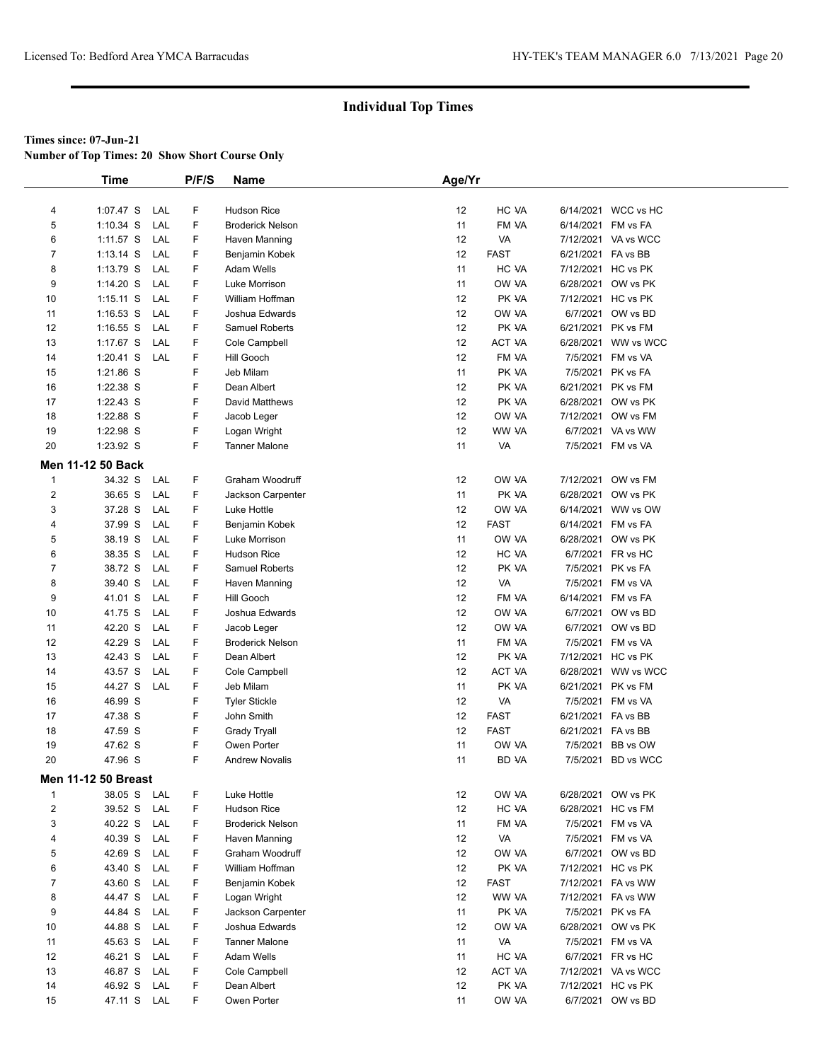**Number of Top Times: 20 Show Short Course Only**

|                | <b>Time</b>                |     | P/F/S | Name                    | Age/Yr |              |                    |                     |
|----------------|----------------------------|-----|-------|-------------------------|--------|--------------|--------------------|---------------------|
|                |                            |     |       |                         |        |              |                    |                     |
| 4              | 1:07.47 S                  | LAL | F     | <b>Hudson Rice</b>      | 12     | HC VA        |                    | 6/14/2021 WCC vs HC |
| 5              | $1:10.34$ S                | LAL | F     | <b>Broderick Nelson</b> | 11     | FM VA        | 6/14/2021 FM vs FA |                     |
| 6              | 1:11.57 S                  | LAL | F     | Haven Manning           | 12     | VA           |                    | 7/12/2021 VA vs WCC |
| $\overline{7}$ | 1:13.14 S                  | LAL | F     | Benjamin Kobek          | 12     | <b>FAST</b>  | 6/21/2021 FA vs BB |                     |
| 8              | 1:13.79 S                  | LAL | F     | Adam Wells              | 11     | HC VA        |                    | 7/12/2021 HC vs PK  |
| 9              | $1:14.20$ S                | LAL | F     | Luke Morrison           | 11     | OW VA        |                    | 6/28/2021 OW vs PK  |
| 10             | 1:15.11 S                  | LAL | F     | William Hoffman         | 12     | PK VA        |                    | 7/12/2021 HC vs PK  |
| 11             | $1:16.53$ S                | LAL | F     | Joshua Edwards          | 12     | OW VA        |                    | 6/7/2021 OW vs BD   |
| 12             | $1:16.55$ S                | LAL | F     | <b>Samuel Roberts</b>   | 12     | PK VA        | 6/21/2021 PK vs FM |                     |
| 13             | 1:17.67 S                  | LAL | F     | Cole Campbell           | 12     | ACT VA       |                    | 6/28/2021 WW vs WCC |
| 14             | $1:20.41$ S                | LAL | F     | Hill Gooch              | 12     | FM VA        |                    | 7/5/2021 FM vs VA   |
| 15             | 1:21.86 S                  |     | F     | Jeb Milam               | 11     | PK VA        |                    | 7/5/2021 PK vs FA   |
| 16             | 1:22.38 S                  |     | F     | Dean Albert             | 12     | PK VA        |                    | 6/21/2021 PK vs FM  |
| 17             | $1:22.43$ S                |     | F     | David Matthews          | 12     | PK VA        |                    | 6/28/2021 OW vs PK  |
| 18             | 1:22.88 S                  |     | F     | Jacob Leger             | 12     | OW VA        |                    | 7/12/2021 OW vs FM  |
| 19             | 1:22.98 S                  |     | F     | Logan Wright            | 12     | WW VA        |                    | 6/7/2021 VA vs WW   |
| 20             | 1:23.92 S                  |     | F     | <b>Tanner Malone</b>    | 11     | VA           |                    | 7/5/2021 FM vs VA   |
|                |                            |     |       |                         |        |              |                    |                     |
|                | Men 11-12 50 Back          |     |       |                         |        |              |                    |                     |
| $\mathbf{1}$   | 34.32 S                    | LAL | F     | Graham Woodruff         | 12     | OW VA        |                    | 7/12/2021 OW vs FM  |
| $\overline{2}$ | 36.65 S                    | LAL | F     | Jackson Carpenter       | 11     | PK VA        |                    | 6/28/2021 OW vs PK  |
| 3              | 37.28 S                    | LAL | F     | Luke Hottle             | 12     | OW VA        |                    | 6/14/2021 WW vs OW  |
| 4              | 37.99 S                    | LAL | F     | Benjamin Kobek          | 12     | <b>FAST</b>  | 6/14/2021 FM vs FA |                     |
| 5              | 38.19 S                    | LAL | F.    | Luke Morrison           | 11     | OW VA        |                    | 6/28/2021 OW vs PK  |
| 6              | 38.35 S                    | LAL | F     | <b>Hudson Rice</b>      | 12     | HC VA        |                    | 6/7/2021 FR vs HC   |
| $\overline{7}$ | 38.72 S                    | LAL | F.    | Samuel Roberts          | 12     | PK VA        |                    | 7/5/2021 PK vs FA   |
| 8              | 39.40 S                    | LAL | F     | Haven Manning           | 12     | VA           |                    | 7/5/2021 FM vs VA   |
| 9              | 41.01 S                    | LAL | F     | Hill Gooch              | 12     | FM VA        | 6/14/2021 FM vs FA |                     |
| 10             | 41.75 S                    | LAL | F     | Joshua Edwards          | 12     | OW VA        |                    | 6/7/2021 OW vs BD   |
| 11             | 42.20 S                    | LAL | F     | Jacob Leger             | 12     | OW VA        |                    | 6/7/2021 OW vs BD   |
| 12             | 42.29 S                    | LAL | F     | <b>Broderick Nelson</b> | 11     | FM VA        |                    | 7/5/2021 FM vs VA   |
| 13             | 42.43 S                    | LAL | F     | Dean Albert             | 12     | PK VA        |                    | 7/12/2021 HC vs PK  |
| 14             | 43.57 S                    | LAL | F     | Cole Campbell           | 12     | ACT VA       |                    | 6/28/2021 WW vs WCC |
| 15             | 44.27 S                    | LAL | F     | Jeb Milam               | 11     | PK VA        | 6/21/2021          | PK vs FM            |
| 16             | 46.99 S                    |     | F     | <b>Tyler Stickle</b>    | 12     | VA           |                    | 7/5/2021 FM vs VA   |
| 17             | 47.38 S                    |     | F     | John Smith              | 12     | <b>FAST</b>  | 6/21/2021 FA vs BB |                     |
| 18             | 47.59 S                    |     | F     | <b>Grady Tryall</b>     | 12     | <b>FAST</b>  | 6/21/2021 FA vs BB |                     |
| 19             | 47.62 S                    |     | F     | Owen Porter             | 11     | OW VA        | 7/5/2021           | BB vs OW            |
| 20             | 47.96 S                    |     | F.    | <b>Andrew Novalis</b>   | 11     | <b>BD VA</b> |                    | 7/5/2021 BD vs WCC  |
|                | <b>Men 11-12 50 Breast</b> |     |       |                         |        |              |                    |                     |
| $\overline{1}$ | 38.05 S                    | LAL | F     | Luke Hottle             | 12     | OW VA        |                    | 6/28/2021 OW vs PK  |
| $\overline{2}$ | 39.52 S                    | LAL | F     | <b>Hudson Rice</b>      | 12     | HC VA        |                    | 6/28/2021 HC vs FM  |
| 3              | 40.22 S                    | LAL | F     | <b>Broderick Nelson</b> | 11     | FM VA        |                    | 7/5/2021 FM vs VA   |
| 4              | 40.39 S                    | LAL | F     | Haven Manning           | 12     | VA           |                    | 7/5/2021 FM vs VA   |
| 5              | 42.69 S                    | LAL | F     | Graham Woodruff         | 12     | OW VA        |                    | 6/7/2021 OW vs BD   |
|                |                            | LAL | F     | William Hoffman         |        |              |                    |                     |
| 6              | 43.40 S                    |     |       |                         | 12     | PK VA        |                    | 7/12/2021 HC vs PK  |
| $\overline{7}$ | 43.60 S                    | LAL | F     | Benjamin Kobek          | 12     | <b>FAST</b>  |                    | 7/12/2021 FA vs WW  |
| 8              | 44.47 S                    | LAL | F     | Logan Wright            | 12     | WW VA        |                    | 7/12/2021 FA vs WW  |
| 9              | 44.84 S                    | LAL | F     | Jackson Carpenter       | 11     | PK VA        |                    | 7/5/2021 PK vs FA   |
| 10             | 44.88 S                    | LAL | F     | Joshua Edwards          | 12     | OW VA        |                    | 6/28/2021 OW vs PK  |
| 11             | 45.63 S                    | LAL | F     | <b>Tanner Malone</b>    | 11     | VA           |                    | 7/5/2021 FM vs VA   |
| 12             | 46.21 S                    | LAL | F     | Adam Wells              | 11     | HC VA        |                    | 6/7/2021 FR vs HC   |
| 13             | 46.87 S                    | LAL | F     | Cole Campbell           | 12     | ACT VA       |                    | 7/12/2021 VA vs WCC |
| 14             | 46.92 S                    | LAL | F     | Dean Albert             | 12     | PK VA        |                    | 7/12/2021 HC vs PK  |
| 15             | 47.11 S                    | LAL | F     | Owen Porter             | 11     | OW VA        |                    | 6/7/2021 OW vs BD   |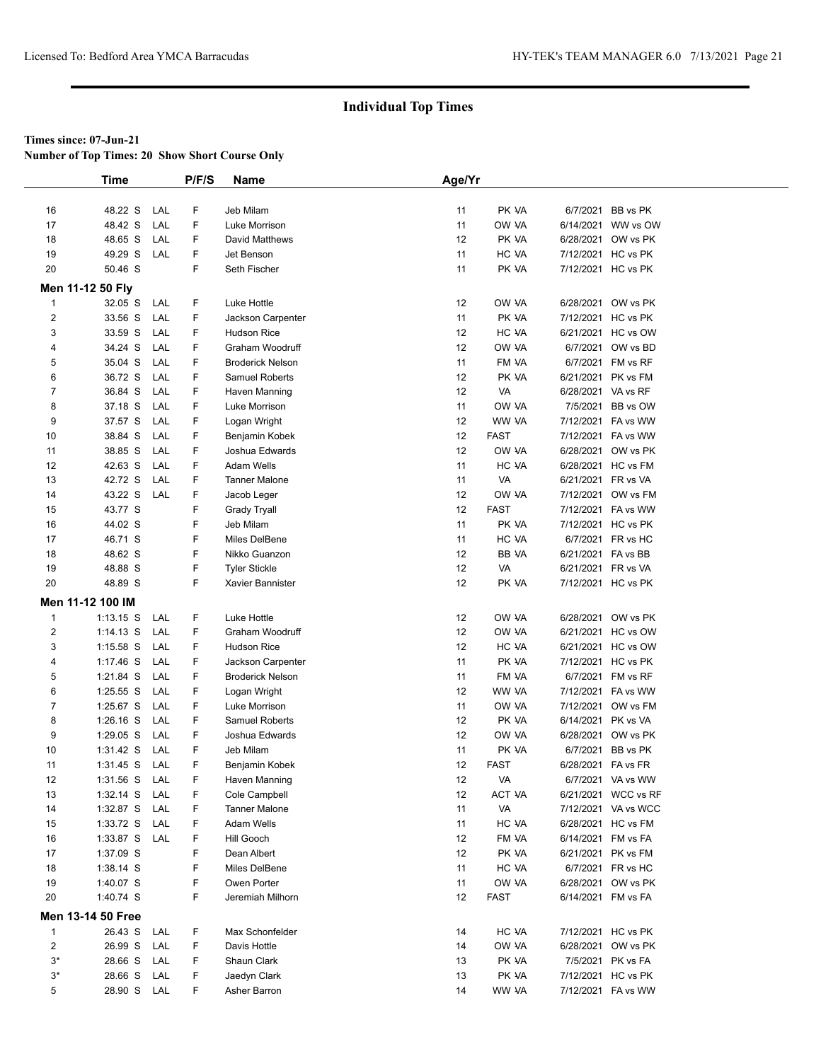**Number of Top Times: 20 Show Short Course Only**

|                         | <b>Time</b>       |     | P/F/S | <b>Name</b>             | Age/Yr |             |                    |                     |
|-------------------------|-------------------|-----|-------|-------------------------|--------|-------------|--------------------|---------------------|
|                         |                   |     |       |                         |        |             |                    |                     |
| 16                      | 48.22 S           | LAL | F     | Jeb Milam               | 11     | PK VA       |                    | 6/7/2021 BB vs PK   |
| 17                      | 48.42 S           | LAL | F     | Luke Morrison           | 11     | OW VA       |                    | 6/14/2021 WW vs OW  |
| 18                      | 48.65 S           | LAL | F     | David Matthews          | 12     | PK VA       |                    | 6/28/2021 OW vs PK  |
| 19                      | 49.29 S           | LAL | F     | Jet Benson              | 11     | HC VA       |                    | 7/12/2021 HC vs PK  |
| 20                      | 50.46 S           |     | F     | Seth Fischer            | 11     | PK VA       |                    | 7/12/2021 HC vs PK  |
|                         |                   |     |       |                         |        |             |                    |                     |
|                         | Men 11-12 50 Fly  |     |       |                         |        |             |                    |                     |
| $\mathbf{1}$            | 32.05 S           | LAL | F     | Luke Hottle             | 12     | OW VA       |                    | 6/28/2021 OW vs PK  |
| $\overline{\mathbf{c}}$ | 33.56 S           | LAL | F     | Jackson Carpenter       | 11     | PK VA       |                    | 7/12/2021 HC vs PK  |
| 3                       | 33.59 S           | LAL | F     | Hudson Rice             | 12     | HC VA       |                    | 6/21/2021 HC vs OW  |
| 4                       | 34.24 S           | LAL | F     | Graham Woodruff         | 12     | OW VA       |                    | 6/7/2021 OW vs BD   |
| 5                       | 35.04 S           | LAL | F     | <b>Broderick Nelson</b> | 11     | FM VA       |                    | 6/7/2021 FM vs RF   |
| 6                       | 36.72 S           | LAL | F     | Samuel Roberts          | 12     | PK VA       |                    | 6/21/2021 PK vs FM  |
| 7                       | 36.84 S           | LAL | F     | Haven Manning           | 12     | VA          | 6/28/2021 VA vs RF |                     |
| 8                       | 37.18 S           | LAL | F     | Luke Morrison           | 11     | OW VA       |                    | 7/5/2021 BB vs OW   |
| 9                       | 37.57 S           | LAL | F     | Logan Wright            | 12     | WW VA       |                    | 7/12/2021 FA vs WW  |
| 10                      | 38.84 S           | LAL | F     | Benjamin Kobek          | 12     | <b>FAST</b> |                    | 7/12/2021 FA vs WW  |
| 11                      | 38.85 S           | LAL | F     | Joshua Edwards          | 12     | OW VA       |                    | 6/28/2021 OW vs PK  |
| 12                      | 42.63 S           | LAL | F     | <b>Adam Wells</b>       | 11     | HC VA       |                    | 6/28/2021 HC vs FM  |
| 13                      | 42.72 S           | LAL | F     | <b>Tanner Malone</b>    | 11     | VA          | 6/21/2021 FR vs VA |                     |
| 14                      | 43.22 S           | LAL | F     | Jacob Leger             | 12     | OW VA       |                    | 7/12/2021 OW vs FM  |
| 15                      | 43.77 S           |     | F     | <b>Grady Tryall</b>     | 12     | <b>FAST</b> |                    | 7/12/2021 FA vs WW  |
| 16                      | 44.02 S           |     | F     | Jeb Milam               | 11     | PK VA       |                    | 7/12/2021 HC vs PK  |
| 17                      | 46.71 S           |     | F     | Miles DelBene           | 11     | HC VA       |                    | 6/7/2021 FR vs HC   |
| 18                      | 48.62 S           |     | F     | Nikko Guanzon           | 12     | BB VA       | 6/21/2021 FA vs BB |                     |
| 19                      | 48.88 S           |     | F     | <b>Tyler Stickle</b>    | 12     | VA          | 6/21/2021 FR vs VA |                     |
| 20                      | 48.89 S           |     | F     | Xavier Bannister        | 12     | PK VA       |                    | 7/12/2021 HC vs PK  |
|                         | Men 11-12 100 IM  |     |       |                         |        |             |                    |                     |
| $\mathbf{1}$            | $1:13.15$ S       | LAL | F     | Luke Hottle             | 12     | OW VA       |                    | 6/28/2021 OW vs PK  |
| 2                       | $1:14.13$ S       | LAL | F     | Graham Woodruff         | 12     | OW VA       |                    | 6/21/2021 HC vs OW  |
| 3                       | $1:15.58$ S       | LAL | F     | Hudson Rice             | 12     | HC VA       |                    | 6/21/2021 HC vs OW  |
| 4                       | $1:17.46$ S       | LAL | F     | Jackson Carpenter       | 11     | PK VA       |                    | 7/12/2021 HC vs PK  |
| 5                       | 1:21.84 S         | LAL | F     | <b>Broderick Nelson</b> | 11     | FM VA       |                    | 6/7/2021 FM vs RF   |
| 6                       | $1:25.55$ S       | LAL | F     | Logan Wright            | 12     | WW VA       |                    | 7/12/2021 FA vs WW  |
| 7                       | 1:25.67 S         | LAL | F     | Luke Morrison           | 11     | OW VA       |                    | 7/12/2021 OW vs FM  |
| 8                       | $1:26.16$ S       | LAL | F     | Samuel Roberts          | 12     | PK VA       | 6/14/2021 PK vs VA |                     |
| 9                       | $1:29.05$ S       | LAL | F     | Joshua Edwards          | 12     | OW VA       |                    | 6/28/2021 OW vs PK  |
| 10                      | $1:31.42$ S       | LAL | F     | Jeb Milam               | 11     | PK VA       |                    | 6/7/2021 BB vs PK   |
| 11                      | $1:31.45$ S       | LAL | F     | Benjamin Kobek          | 12     | <b>FAST</b> | 6/28/2021 FA vs FR |                     |
| 12                      | 1:31.56 S         | LAL | F     | Haven Manning           | 12     | VA          |                    | 6/7/2021 VA vs WW   |
| 13                      | $1:32.14$ S       | LAL | F     | Cole Campbell           | 12     | ACT VA      |                    | 6/21/2021 WCC vs RF |
| 14                      | 1:32.87 S         | LAL | F     | <b>Tanner Malone</b>    | 11     | VA          |                    | 7/12/2021 VA vs WCC |
| 15                      | 1:33.72 S LAL     |     | F     | Adam Wells              | 11     | HC VA       |                    | 6/28/2021 HC vs FM  |
| 16                      | 1:33.87 S LAL     |     | F     | Hill Gooch              | 12     | FM VA       | 6/14/2021 FM vs FA |                     |
| 17                      | 1:37.09 S         |     | F     | Dean Albert             | 12     | PK VA       |                    | 6/21/2021 PK vs FM  |
| 18                      | 1:38.14 S         |     | F     | Miles DelBene           | 11     | HC VA       |                    | 6/7/2021 FR vs HC   |
| 19                      | 1:40.07 S         |     | F     | Owen Porter             | 11     | OW VA       |                    | 6/28/2021 OW vs PK  |
| 20                      | 1:40.74 S         |     | F     | Jeremiah Milhorn        | 12     | FAST        |                    | 6/14/2021 FM vs FA  |
|                         |                   |     |       |                         |        |             |                    |                     |
|                         | Men 13-14 50 Free |     |       |                         |        |             |                    |                     |
| 1                       | 26.43 S           | LAL | F     | Max Schonfelder         | 14     | HC VA       |                    | 7/12/2021 HC vs PK  |
| $\overline{c}$          | 26.99 S           | LAL | F     | Davis Hottle            | 14     | OW VA       |                    | 6/28/2021 OW vs PK  |
| $3^*$                   | 28.66 S           | LAL | F     | Shaun Clark             | 13     | PK VA       |                    | 7/5/2021 PK vs FA   |
| 3*                      | 28.66 S           | LAL | F     | Jaedyn Clark            | 13     | PK VA       |                    | 7/12/2021 HC vs PK  |
| 5                       | 28.90 S           | LAL | F.    | Asher Barron            | 14     | WW VA       |                    | 7/12/2021 FA vs WW  |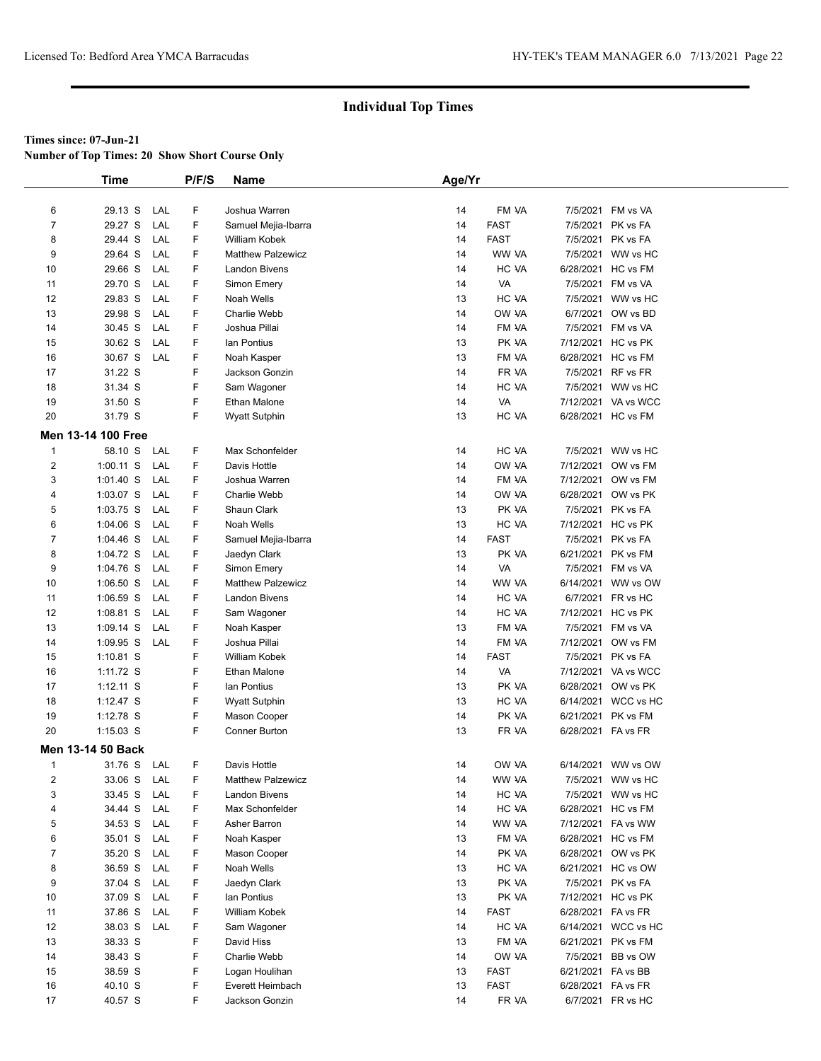**Number of Top Times: 20 Show Short Course Only**

|                | <b>Time</b>        |     | P/F/S | <b>Name</b>              | Age/Yr |             |                    |                     |
|----------------|--------------------|-----|-------|--------------------------|--------|-------------|--------------------|---------------------|
|                |                    |     |       |                          |        |             |                    |                     |
| 6              | 29.13 S            | LAL | F     | Joshua Warren            | 14     | FM VA       |                    | 7/5/2021 FM vs VA   |
| $\overline{7}$ | 29.27 S            | LAL | F     | Samuel Mejia-Ibarra      | 14     | <b>FAST</b> |                    | 7/5/2021 PK vs FA   |
| 8              | 29.44 S            | LAL | F     | William Kobek            | 14     | <b>FAST</b> |                    | 7/5/2021 PK vs FA   |
| 9              | 29.64 S            | LAL | F     | <b>Matthew Palzewicz</b> | 14     | WW VA       |                    | 7/5/2021 WW vs HC   |
| 10             | 29.66 S            | LAL | F     | <b>Landon Bivens</b>     | 14     | HC VA       |                    | 6/28/2021 HC vs FM  |
| 11             | 29.70 S            | LAL | F     | Simon Emery              | 14     | VA          |                    | 7/5/2021 FM vs VA   |
| 12             | 29.83 S            | LAL | F     | Noah Wells               | 13     | HC VA       |                    | 7/5/2021 WW vs HC   |
| 13             | 29.98 S            | LAL | F     | Charlie Webb             | 14     | OW VA       |                    | 6/7/2021 OW vs BD   |
| 14             | 30.45 S            | LAL | F     | Joshua Pillai            | 14     | FM VA       |                    | 7/5/2021 FM vs VA   |
| 15             | 30.62 S            | LAL | F     | lan Pontius              | 13     | PK VA       |                    | 7/12/2021 HC vs PK  |
| 16             | 30.67 S            | LAL | F     | Noah Kasper              | 13     | FM VA       |                    | 6/28/2021 HC vs FM  |
| 17             | 31.22 S            |     | F     | Jackson Gonzin           | 14     | FR VA       |                    | 7/5/2021 RF vs FR   |
| 18             | 31.34 S            |     | F     | Sam Wagoner              | 14     | HC VA       |                    | 7/5/2021 WW vs HC   |
| 19             | 31.50 S            |     | F     | Ethan Malone             | 14     | VA          |                    | 7/12/2021 VA vs WCC |
| 20             | 31.79 S            |     | F     | <b>Wyatt Sutphin</b>     | 13     | HC VA       |                    | 6/28/2021 HC vs FM  |
|                | Men 13-14 100 Free |     |       |                          |        |             |                    |                     |
| $\mathbf{1}$   | 58.10 S            | LAL | F     | Max Schonfelder          | 14     | HC VA       |                    | 7/5/2021 WW vs HC   |
| 2              | $1:00.11$ S        | LAL | F     | Davis Hottle             | 14     | OW VA       |                    | 7/12/2021 OW vs FM  |
| 3              | $1:01.40$ S        | LAL | F     | Joshua Warren            | 14     | FM VA       |                    | 7/12/2021 OW vs FM  |
| 4              | $1:03.07$ S        | LAL | F     | Charlie Webb             | 14     | OW VA       |                    | 6/28/2021 OW vs PK  |
| 5              | 1:03.75 S          | LAL | F     | Shaun Clark              | 13     | PK VA       |                    | 7/5/2021 PK vs FA   |
| 6              | $1:04.06$ S        | LAL | F     | Noah Wells               | 13     | HC VA       |                    | 7/12/2021 HC vs PK  |
| $\overline{7}$ | $1:04.46$ S        | LAL | F     | Samuel Mejia-Ibarra      | 14     | <b>FAST</b> |                    | 7/5/2021 PK vs FA   |
| 8              | 1:04.72 S          | LAL | F     | Jaedyn Clark             | 13     | PK VA       | 6/21/2021 PK vs FM |                     |
| 9              | 1:04.76 S          | LAL | F     | Simon Emery              | 14     | VA          |                    | 7/5/2021 FM vs VA   |
| 10             | $1:06.50$ S        | LAL | F     | <b>Matthew Palzewicz</b> | 14     | WW VA       |                    | 6/14/2021 WW vs OW  |
| 11             | $1:06.59$ S        | LAL | F     | <b>Landon Bivens</b>     | 14     | HC VA       |                    | 6/7/2021 FR vs HC   |
| 12             | 1:08.81 S          | LAL | F     | Sam Wagoner              | 14     | HC VA       |                    | 7/12/2021 HC vs PK  |
| 13             | 1:09.14 S          | LAL | F     | Noah Kasper              | 13     | FM VA       |                    | 7/5/2021 FM vs VA   |
| 14             | 1:09.95 S          | LAL | F     | Joshua Pillai            | 14     | FM VA       |                    | 7/12/2021 OW vs FM  |
| 15             | 1:10.81 S          |     | F     | William Kobek            | 14     | <b>FAST</b> |                    | 7/5/2021 PK vs FA   |
| 16             | 1:11.72 S          |     | F     | Ethan Malone             | 14     | VA          |                    | 7/12/2021 VA vs WCC |
| 17             | $1:12.11$ S        |     | F     | lan Pontius              | 13     | PK VA       |                    | 6/28/2021 OW vs PK  |
| 18             | 1:12.47 S          |     | F     | <b>Wyatt Sutphin</b>     | 13     | HC VA       |                    | 6/14/2021 WCC vs HC |
| 19             | 1:12.78 S          |     | F     | Mason Cooper             | 14     | PK VA       | 6/21/2021 PK vs FM |                     |
| 20             | $1:15.03$ S        |     | F     | Conner Burton            | 13     | FR VA       | 6/28/2021 FA vs FR |                     |
|                | Men 13-14 50 Back  |     |       |                          |        |             |                    |                     |
| $\mathbf{1}$   | 31.76 S            | LAL | F     | Davis Hottle             | 14     | OW VA       |                    | 6/14/2021 WW vs OW  |
| 2              | 33.06 S            | LAL | F     | <b>Matthew Palzewicz</b> | 14     | WW VA       |                    | 7/5/2021 WW vs HC   |
| 3              | 33.45 S            | LAL | F     | Landon Bivens            | 14     | HC VA       |                    | 7/5/2021 WW vs HC   |
| 4              | 34.44 S            | LAL | F     | Max Schonfelder          | 14     | HC VA       |                    | 6/28/2021 HC vs FM  |
| 5              | 34.53 S            | LAL | F     | Asher Barron             | 14     | WW VA       |                    | 7/12/2021 FA vs WW  |
| 6              | 35.01 S            | LAL | F     | Noah Kasper              | 13     | FM VA       |                    | 6/28/2021 HC vs FM  |
| 7              | 35.20 S            | LAL | F     | Mason Cooper             | 14     | PK VA       |                    | 6/28/2021 OW vs PK  |
| 8              | 36.59 S            | LAL | F     | Noah Wells               | 13     | HC VA       |                    | 6/21/2021 HC vs OW  |
| 9              | 37.04 S            | LAL | F     | Jaedyn Clark             | 13     | PK VA       |                    | 7/5/2021 PK vs FA   |
| 10             | 37.09 S            | LAL | F     | lan Pontius              | 13     | PK VA       |                    | 7/12/2021 HC vs PK  |
| 11             | 37.86 S            | LAL | F     | William Kobek            | 14     | <b>FAST</b> | 6/28/2021 FA vs FR |                     |
| 12             | 38.03 S            | LAL | F     | Sam Wagoner              | 14     | HC VA       |                    | 6/14/2021 WCC vs HC |
| 13             | 38.33 S            |     | F     | David Hiss               | 13     | FM VA       |                    | 6/21/2021 PK vs FM  |
| 14             | 38.43 S            |     | F     | Charlie Webb             | 14     | OW VA       |                    | 7/5/2021 BB vs OW   |
| 15             | 38.59 S            |     | F     | Logan Houlihan           | 13     | <b>FAST</b> | 6/21/2021 FA vs BB |                     |
| 16             | 40.10 S            |     | F     | Everett Heimbach         | 13     | <b>FAST</b> | 6/28/2021 FA vs FR |                     |
| 17             | 40.57 S            |     | F     | Jackson Gonzin           | 14     | FR VA       |                    | 6/7/2021 FR vs HC   |
|                |                    |     |       |                          |        |             |                    |                     |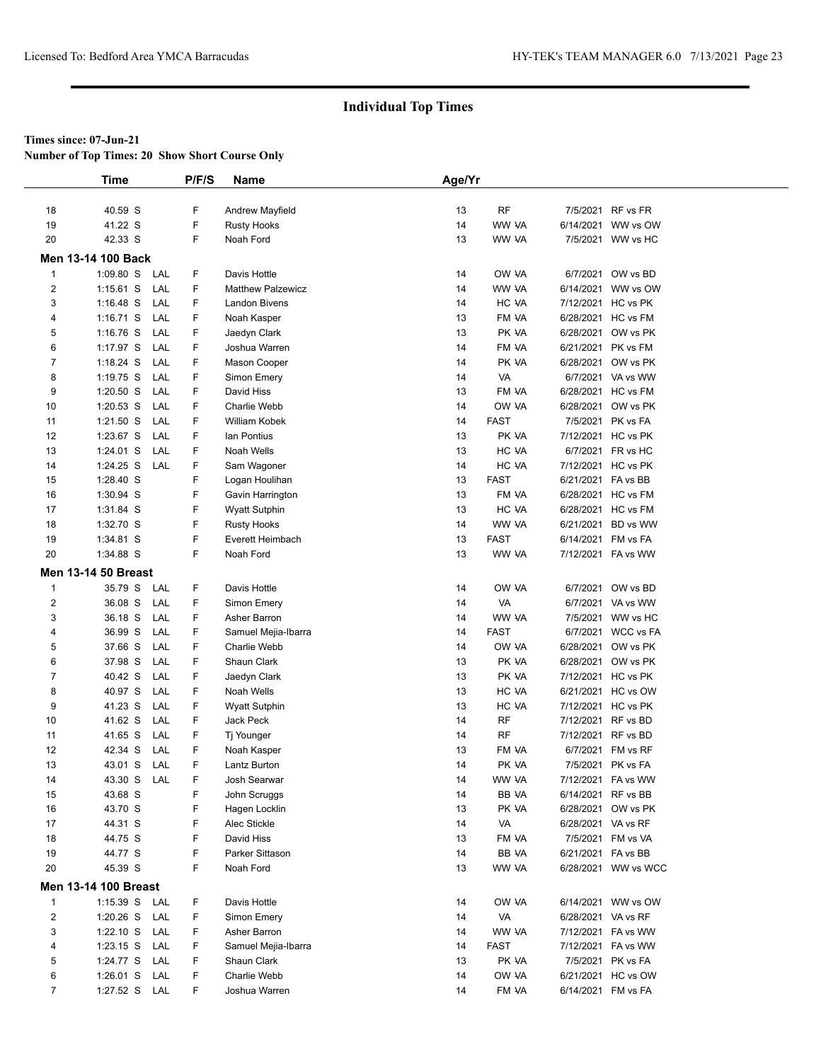**Number of Top Times: 20 Show Short Course Only**

|                         | <b>Time</b>                 |     | P/F/S | <b>Name</b>              | Age/Yr |             |                    |                       |
|-------------------------|-----------------------------|-----|-------|--------------------------|--------|-------------|--------------------|-----------------------|
|                         |                             |     |       |                          |        |             |                    |                       |
| 18                      | 40.59 S                     |     | F     | <b>Andrew Mayfield</b>   | 13     | RF          |                    | 7/5/2021 RF vs FR     |
| 19                      | 41.22 S                     |     | F     | <b>Rusty Hooks</b>       | 14     | WW VA       | 6/14/2021          | WW vs OW              |
| 20                      | 42.33 S                     |     | F     | Noah Ford                | 13     | WW VA       |                    | 7/5/2021 WW vs HC     |
|                         | Men 13-14 100 Back          |     |       |                          |        |             |                    |                       |
| $\mathbf{1}$            | $1:09.80$ S                 | LAL | F     | Davis Hottle             | 14     | OW VA       |                    | 6/7/2021 OW vs BD     |
| 2                       | $1:15.61$ S                 | LAL | F     | <b>Matthew Palzewicz</b> | 14     | WW VA       |                    | 6/14/2021 WW vs OW    |
| 3                       | $1:16.48$ S                 | LAL | F     | Landon Bivens            | 14     | HC VA       |                    | 7/12/2021 HC vs PK    |
| 4                       | $1:16.71$ S                 | LAL | F     | Noah Kasper              | 13     | FM VA       |                    | 6/28/2021 HC vs FM    |
| 5                       | $1:16.76$ S                 | LAL | F     | Jaedyn Clark             | 13     | PK VA       |                    | 6/28/2021 OW vs PK    |
| 6                       | 1:17.97 S                   | LAL | F     | Joshua Warren            | 14     | FM VA       |                    | 6/21/2021 PK vs FM    |
| $\overline{7}$          | 1:18.24 S                   | LAL | F     | Mason Cooper             | 14     | PK VA       |                    | 6/28/2021 OW vs PK    |
| 8                       | $1:19.75$ S                 | LAL | F     | Simon Emery              | 14     | VA          |                    | 6/7/2021 VA vs WW     |
| 9                       | $1:20.50$ S                 | LAL | F     | David Hiss               | 13     | FM VA       |                    | 6/28/2021 HC vs FM    |
| 10                      | $1:20.53$ S                 | LAL | F.    | Charlie Webb             | 14     | OW VA       |                    | 6/28/2021 OW vs PK    |
| 11                      | 1:21.50 S                   | LAL | F     | William Kobek            | 14     | <b>FAST</b> |                    | 7/5/2021 PK vs FA     |
| 12                      | 1:23.67 S                   | LAL | F     | lan Pontius              | 13     | PK VA       |                    | 7/12/2021 HC vs PK    |
| 13                      | 1:24.01 S                   | LAL | F     | Noah Wells               | 13     | HC VA       |                    | 6/7/2021 FR vs HC     |
| 14                      | 1:24.25 S                   | LAL | F     | Sam Wagoner              | 14     | HC VA       |                    | 7/12/2021 HC vs PK    |
| 15                      | 1:28.40 S                   |     | F     | Logan Houlihan           | 13     | <b>FAST</b> | 6/21/2021 FA vs BB |                       |
| 16                      | 1:30.94 S                   |     | F     | Gavin Harrington         | 13     | FM VA       |                    | 6/28/2021 HC vs FM    |
| 17                      | 1:31.84 S                   |     | F     | <b>Wyatt Sutphin</b>     | 13     | HC VA       |                    | 6/28/2021 HC vs FM    |
| 18                      | 1:32.70 S                   |     | F     | <b>Rusty Hooks</b>       | 14     | WW VA       |                    | 6/21/2021 BD vs WW    |
| 19                      | 1:34.81 S                   |     | F     | Everett Heimbach         | 13     | <b>FAST</b> |                    | 6/14/2021 FM vs FA    |
| 20                      | 1:34.88 S                   |     | F     | Noah Ford                | 13     | WW VA       |                    | 7/12/2021 FA vs WW    |
|                         | <b>Men 13-14 50 Breast</b>  |     |       |                          |        |             |                    |                       |
| $\mathbf{1}$            | 35.79 S                     | LAL | F     | Davis Hottle             | 14     | OW VA       |                    | 6/7/2021 OW vs BD     |
| $\overline{c}$          | 36.08 S                     | LAL | F     | Simon Emery              | 14     | VA          |                    | 6/7/2021 VA vs WW     |
| 3                       | 36.18 S                     | LAL | F     | Asher Barron             | 14     | WW VA       |                    | 7/5/2021 WW vs HC     |
| 4                       | 36.99 S                     | LAL | F.    | Samuel Mejia-Ibarra      | 14     | <b>FAST</b> |                    | 6/7/2021 WCC vs FA    |
| 5                       | 37.66 S                     | LAL | F     | Charlie Webb             | 14     | OW VA       |                    | 6/28/2021 OW vs PK    |
| 6                       | 37.98 S                     | LAL | F.    | Shaun Clark              | 13     | PK VA       |                    | 6/28/2021 OW vs PK    |
| 7                       | 40.42 S                     | LAL | F     | Jaedyn Clark             | 13     | PK VA       |                    | 7/12/2021 HC vs PK    |
| 8                       | 40.97 S                     | LAL | F     | Noah Wells               | 13     | HC VA       |                    | 6/21/2021 HC vs OW    |
| 9                       | 41.23 S                     | LAL | F.    | <b>Wyatt Sutphin</b>     | 13     | HC VA       |                    | 7/12/2021 HC vs PK    |
| 10                      | 41.62 S                     | LAL | F     | Jack Peck                | 14     | <b>RF</b>   | 7/12/2021 RF vs BD |                       |
| 11                      | 41.65 S                     | LAL | F     | Tj Younger               | 14     | <b>RF</b>   | 7/12/2021 RF vs BD |                       |
| 12                      | 42.34 S                     | LAL | F     | Noah Kasper              | 13     | FM VA       |                    | 6/7/2021 FM vs RF     |
| 13                      | 43.01 S                     | LAL | F     | Lantz Burton             | 14     | PK VA       |                    | 7/5/2021 PK vs FA     |
| 14                      | 43.30 S                     | LAL | F     | Josh Searwar             | 14     | WW VA       |                    | 7/12/2021    FA vs WW |
| 15                      | 43.68 S                     |     | F     | John Scruggs             | 14     | BB VA       | 6/14/2021 RF vs BB |                       |
| 16                      | 43.70 S                     |     | F     | Hagen Locklin            | 13     | PK VA       |                    | 6/28/2021 OW vs PK    |
| 17                      | 44.31 S                     |     | F     | Alec Stickle             | 14     | VA          | 6/28/2021 VA vs RF |                       |
| 18                      | 44.75 S                     |     | F     | David Hiss               | 13     | FM VA       |                    | 7/5/2021 FM vs VA     |
| 19                      | 44.77 S                     |     | F     | Parker Sittason          | 14     | BB VA       | 6/21/2021 FA vs BB |                       |
| 20                      | 45.39 S                     |     | F     | Noah Ford                | 13     | WW VA       |                    | 6/28/2021 WW vs WCC   |
|                         |                             |     |       |                          |        |             |                    |                       |
|                         | <b>Men 13-14 100 Breast</b> |     |       |                          |        |             |                    |                       |
| $\mathbf{1}$            | 1:15.39 S LAL               |     | F     | Davis Hottle             | 14     | OW VA       |                    | 6/14/2021 WW vs OW    |
| $\overline{\mathbf{c}}$ | $1:20.26$ S                 | LAL | F     | Simon Emery              | 14     | VA          | 6/28/2021 VA vs RF |                       |
| 3                       | $1:22.10$ S                 | LAL | F     | Asher Barron             | 14     | WW VA       |                    | 7/12/2021 FA vs WW    |
| 4                       | $1:23.15$ S                 | LAL | F     | Samuel Mejia-Ibarra      | 14     | FAST        |                    | 7/12/2021    FA vs WW |
| 5                       | 1:24.77 S                   | LAL | F     | Shaun Clark              | 13     | PK VA       |                    | 7/5/2021 PK vs FA     |
| 6                       | $1:26.01$ S                 | LAL | F     | Charlie Webb             | 14     | OW VA       |                    | 6/21/2021 HC vs OW    |
| $\overline{7}$          | 1:27.52 S LAL               |     | F     | Joshua Warren            | 14     | FM VA       |                    | 6/14/2021 FM vs FA    |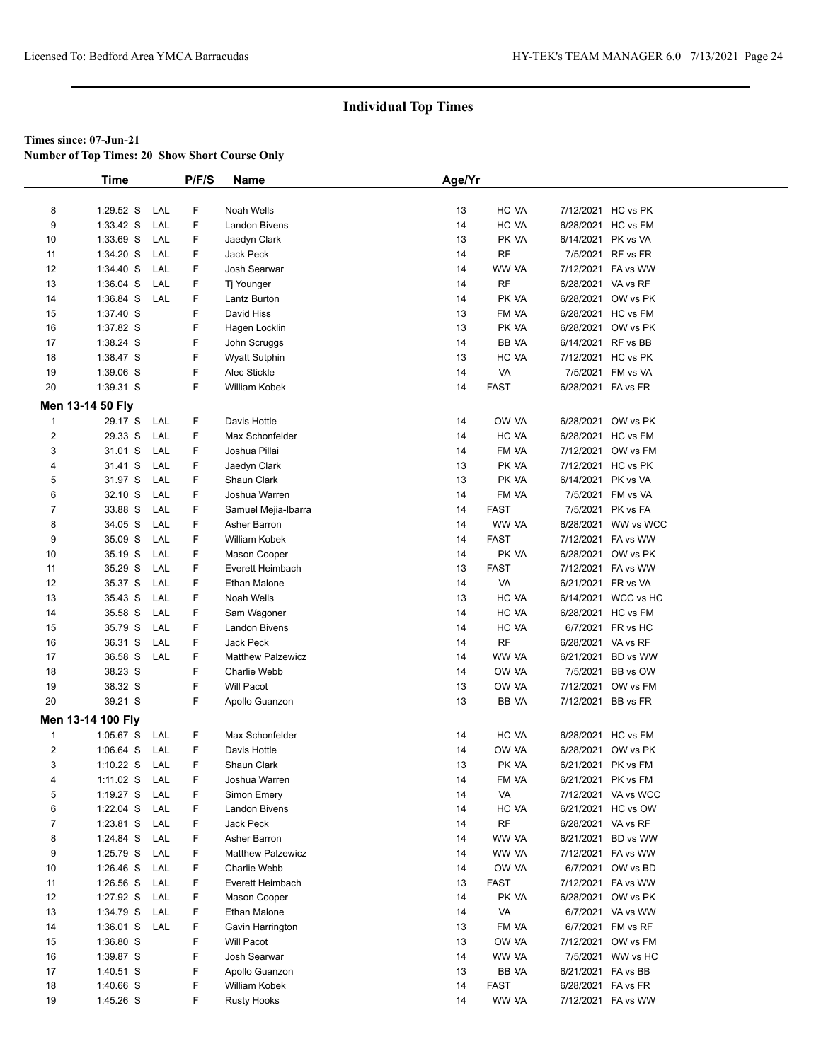**Number of Top Times: 20 Show Short Course Only**

|                | <b>Time</b>       |     | P/F/S | Name                     | Age/Yr |             |                    |                     |  |
|----------------|-------------------|-----|-------|--------------------------|--------|-------------|--------------------|---------------------|--|
|                |                   |     |       |                          |        |             |                    |                     |  |
| 8              | $1:29.52$ S       | LAL | F     | Noah Wells               | 13     | HC VA       |                    | 7/12/2021 HC vs PK  |  |
| 9              | 1:33.42 S         | LAL | F     | <b>Landon Bivens</b>     | 14     | HC VA       |                    | 6/28/2021 HC vs FM  |  |
| 10             | 1:33.69 S         | LAL | F     | Jaedyn Clark             | 13     | PK VA       | 6/14/2021 PK vs VA |                     |  |
| 11             | 1:34.20 S         | LAL | F     | Jack Peck                | 14     | <b>RF</b>   |                    | 7/5/2021 RF vs FR   |  |
| 12             | 1:34.40 S         | LAL | F     | Josh Searwar             | 14     | WW VA       |                    | 7/12/2021 FA vs WW  |  |
| 13             | $1:36.04$ S       | LAL | F     | Tj Younger               | 14     | RF          | 6/28/2021 VA vs RF |                     |  |
| 14             | 1:36.84 S         | LAL | F     | Lantz Burton             | 14     | PK VA       |                    | 6/28/2021 OW vs PK  |  |
| 15             | 1:37.40 S         |     | F     | David Hiss               | 13     | FM VA       |                    | 6/28/2021 HC vs FM  |  |
| 16             | 1:37.82 S         |     | F     | Hagen Locklin            | 13     | PK VA       |                    | 6/28/2021 OW vs PK  |  |
| 17             | 1:38.24 S         |     | F     | John Scruggs             | 14     | BB VA       | 6/14/2021 RF vs BB |                     |  |
| 18             | 1:38.47 S         |     | F     | <b>Wyatt Sutphin</b>     | 13     | HC VA       |                    | 7/12/2021 HC vs PK  |  |
| 19             | 1:39.06 S         |     | F     | Alec Stickle             | 14     | VA          |                    | 7/5/2021 FM vs VA   |  |
| 20             | 1:39.31 S         |     | F     | William Kobek            | 14     | <b>FAST</b> | 6/28/2021 FA vs FR |                     |  |
|                |                   |     |       |                          |        |             |                    |                     |  |
|                | Men 13-14 50 Fly  |     |       |                          |        |             |                    |                     |  |
| $\mathbf{1}$   | 29.17 S           | LAL | F     | Davis Hottle             | 14     | OW VA       |                    | 6/28/2021 OW vs PK  |  |
| $\overline{2}$ | 29.33 S           | LAL | F     | Max Schonfelder          | 14     | HC VA       |                    | 6/28/2021 HC vs FM  |  |
| 3              | 31.01 S           | LAL | F     | Joshua Pillai            | 14     | FM VA       |                    | 7/12/2021 OW vs FM  |  |
| 4              | 31.41 S           | LAL | F     | Jaedyn Clark             | 13     | PK VA       |                    | 7/12/2021 HC vs PK  |  |
| 5              | 31.97 S           | LAL | F     | Shaun Clark              | 13     | PK VA       | 6/14/2021 PK vs VA |                     |  |
| 6              | 32.10 S           | LAL | F     | Joshua Warren            | 14     | FM VA       |                    | 7/5/2021 FM vs VA   |  |
| $\overline{7}$ | 33.88 S           | LAL | F     | Samuel Mejia-Ibarra      | 14     | <b>FAST</b> |                    | 7/5/2021 PK vs FA   |  |
| 8              | 34.05 S           | LAL | F     | Asher Barron             | 14     | WW VA       |                    | 6/28/2021 WW vs WCC |  |
| 9              | 35.09 S           | LAL | F     | William Kobek            | 14     | <b>FAST</b> |                    | 7/12/2021 FA vs WW  |  |
| 10             | 35.19 S           | LAL | F     | Mason Cooper             | 14     | PK VA       |                    | 6/28/2021 OW vs PK  |  |
| 11             | 35.29 S           | LAL | F     | Everett Heimbach         | 13     | <b>FAST</b> |                    | 7/12/2021 FA vs WW  |  |
| 12             | 35.37 S           | LAL | F     | Ethan Malone             | 14     | VA          | 6/21/2021 FR vs VA |                     |  |
| 13             | 35.43 S           | LAL | F     | Noah Wells               | 13     | HC VA       |                    | 6/14/2021 WCC vs HC |  |
| 14             | 35.58 S           | LAL | F     | Sam Wagoner              | 14     | HC VA       |                    | 6/28/2021 HC vs FM  |  |
| 15             | 35.79 S           | LAL | F     | Landon Bivens            | 14     | HC VA       |                    | 6/7/2021 FR vs HC   |  |
| 16             | 36.31 S           | LAL | F     | <b>Jack Peck</b>         | 14     | <b>RF</b>   | 6/28/2021 VA vs RF |                     |  |
| 17             | 36.58 S           | LAL | F     | <b>Matthew Palzewicz</b> | 14     | WW VA       |                    | 6/21/2021 BD vs WW  |  |
| 18             | 38.23 S           |     | F     | Charlie Webb             | 14     | OW VA       |                    | 7/5/2021 BB vs OW   |  |
| 19             | 38.32 S           |     | F     | <b>Will Pacot</b>        | 13     | OW VA       |                    | 7/12/2021 OW vs FM  |  |
| 20             | 39.21 S           |     | F     | Apollo Guanzon           | 13     | BB VA       | 7/12/2021 BB vs FR |                     |  |
|                | Men 13-14 100 Fly |     |       |                          |        |             |                    |                     |  |
| $\mathbf{1}$   | 1:05.67 S         | LAL | F     | Max Schonfelder          | 14     | HC VA       |                    | 6/28/2021 HC vs FM  |  |
| $\overline{2}$ | $1:06.64$ S       | LAL | F     | Davis Hottle             | 14     | OW VA       |                    | 6/28/2021 OW vs PK  |  |
| 3              | $1:10.22$ S       | LAL | F     | Shaun Clark              | 13     | PK VA       | 6/21/2021 PK vs FM |                     |  |
| 4              | $1:11.02$ S       | LAL | F     | Joshua Warren            | 14     | FM VA       |                    | 6/21/2021 PK vs FM  |  |
| 5              | 1:19.27 $S$       | LAL | F     | Simon Emery              | 14     | VA          |                    | 7/12/2021 VA vs WCC |  |
| 6              | $1:22.04$ S       | LAL | F     | <b>Landon Bivens</b>     | 14     | HC VA       |                    | 6/21/2021 HC vs OW  |  |
| $\overline{7}$ | $1:23.81$ S       | LAL | F     | Jack Peck                | 14     | RF          | 6/28/2021 VA vs RF |                     |  |
| 8              | 1:24.84 S         | LAL | F     | Asher Barron             | 14     | WW VA       |                    | 6/21/2021 BD vs WW  |  |
| 9              | 1:25.79 S         | LAL | F     | <b>Matthew Palzewicz</b> | 14     | WW VA       |                    | 7/12/2021 FA vs WW  |  |
| 10             | $1:26.46$ S       | LAL | F     | Charlie Webb             | 14     | OW VA       |                    | 6/7/2021 OW vs BD   |  |
| 11             | $1:26.56$ S       | LAL | F     | Everett Heimbach         | 13     | FAST        |                    | 7/12/2021 FA vs WW  |  |
| 12             | 1:27.92 S         | LAL | F     | Mason Cooper             | 14     | PK VA       |                    | 6/28/2021 OW vs PK  |  |
| 13             | 1:34.79 S         | LAL | F     | <b>Ethan Malone</b>      | 14     | VA          |                    | 6/7/2021 VA vs WW   |  |
| 14             | $1:36.01$ S       | LAL | F     | Gavin Harrington         | 13     | FM VA       |                    | 6/7/2021 FM vs RF   |  |
| 15             | 1:36.80 S         |     | F     | Will Pacot               | 13     | OW VA       |                    | 7/12/2021 OW vs FM  |  |
| 16             | 1:39.87 S         |     | F     | Josh Searwar             | 14     | WW VA       |                    | 7/5/2021 WW vs HC   |  |
| 17             | 1:40.51 S         |     | F     | Apollo Guanzon           |        | BB VA       | 6/21/2021 FA vs BB |                     |  |
|                |                   |     | F     |                          | 13     |             |                    |                     |  |
| 18             | 1:40.66 S         |     |       | William Kobek            | 14     | <b>FAST</b> | 6/28/2021 FA vs FR |                     |  |
| 19             | 1:45.26 S         |     | F     | <b>Rusty Hooks</b>       | 14     | WW VA       |                    | 7/12/2021 FA vs WW  |  |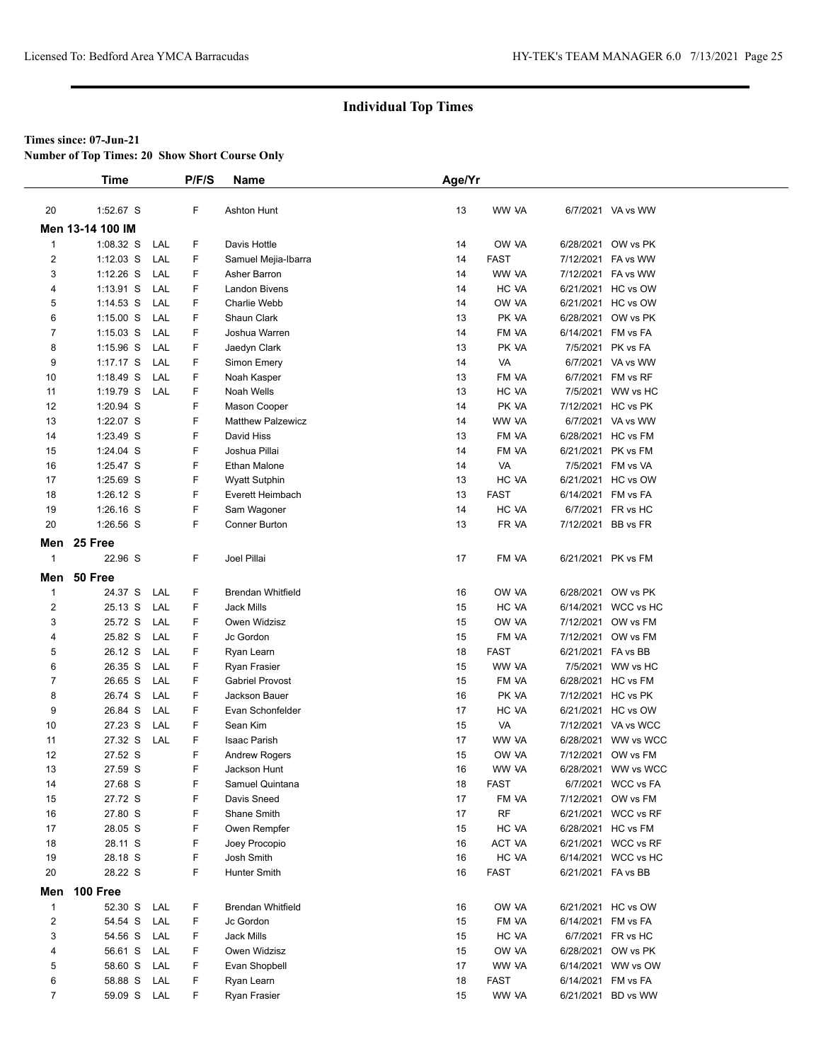**Number of Top Times: 20 Show Short Course Only**

|                | <b>Time</b>                |            | P/F/S  | Name                        | Age/Yr   |                    |                        |                                           |  |
|----------------|----------------------------|------------|--------|-----------------------------|----------|--------------------|------------------------|-------------------------------------------|--|
|                |                            |            |        |                             |          |                    |                        |                                           |  |
| 20             | 1:52.67 S                  |            | F      | <b>Ashton Hunt</b>          | 13       | WW VA              |                        | 6/7/2021 VA vs WW                         |  |
|                | Men 13-14 100 IM           |            |        |                             |          |                    |                        |                                           |  |
| $\mathbf{1}$   | 1:08.32 S                  | LAL        | F      | Davis Hottle                | 14       | OW VA              |                        | 6/28/2021 OW vs PK                        |  |
| 2              | $1:12.03$ S                | LAL        | F      | Samuel Mejia-Ibarra         | 14       | <b>FAST</b>        | 7/12/2021              | FA vs WW                                  |  |
| 3              | $1:12.26$ S                | LAL        | F      | Asher Barron                | 14       | WW VA              |                        | 7/12/2021 FA vs WW                        |  |
| 4              | $1:13.91$ S                | LAL        | F      | <b>Landon Bivens</b>        | 14       | HC VA              |                        | 6/21/2021 HC vs OW                        |  |
| 5              | $1:14.53$ S                | LAL        | F      | Charlie Webb                | 14       | OW VA              |                        | 6/21/2021 HC vs OW                        |  |
| 6              | $1:15.00$ S                | LAL        | F      | Shaun Clark                 | 13       | PK VA              |                        | 6/28/2021 OW vs PK                        |  |
| $\overline{7}$ | $1:15.03$ S                | LAL        | F      | Joshua Warren               | 14       | FM VA              | 6/14/2021 FM vs FA     |                                           |  |
| 8              | $1:15.96$ S                | LAL        | F      | Jaedyn Clark                | 13       | PK VA              | 7/5/2021               | PK vs FA                                  |  |
| 9              | $1:17.17$ S                | LAL        | F      | Simon Emery                 | 14       | VA                 |                        | 6/7/2021 VA vs WW                         |  |
| 10             | 1:18.49 S                  | LAL        | F      | Noah Kasper                 | 13       | FM VA              |                        | 6/7/2021 FM vs RF                         |  |
| 11             | 1:19.79 S                  | LAL        | F      | Noah Wells                  | 13       | HC VA              |                        | 7/5/2021 WW vs HC                         |  |
| 12             | 1:20.94 S                  |            | F      | Mason Cooper                | 14       | PK VA              |                        | 7/12/2021 HC vs PK                        |  |
| 13             | 1:22.07 S                  |            | F      | <b>Matthew Palzewicz</b>    | 14       | WW VA              |                        | 6/7/2021 VA vs WW                         |  |
| 14             | 1:23.49 S                  |            | F      | David Hiss                  | 13       | FM VA              | 6/28/2021              | HC vs FM                                  |  |
| 15             | 1:24.04 S                  |            | F      | Joshua Pillai               | 14       | FM VA              | 6/21/2021 PK vs FM     |                                           |  |
| 16             | 1:25.47 S                  |            | F      | Ethan Malone                | 14       | VA                 |                        | 7/5/2021 FM vs VA                         |  |
| 17             | 1:25.69 S                  |            | F      | <b>Wyatt Sutphin</b>        | 13       | HC VA              |                        | 6/21/2021 HC vs OW                        |  |
| 18             | 1:26.12 S                  |            | F      | Everett Heimbach            | 13       | <b>FAST</b>        | 6/14/2021 FM vs FA     |                                           |  |
| 19             | $1:26.16$ S<br>$1:26.56$ S |            | F      | Sam Wagoner                 | 14       | HC VA              |                        | 6/7/2021 FR vs HC                         |  |
| 20             |                            |            | F      | Conner Burton               | 13       | FR VA              | 7/12/2021 BB vs FR     |                                           |  |
|                | Men 25 Free                |            |        |                             |          |                    |                        |                                           |  |
| $\mathbf{1}$   | 22.96 S                    |            | F      | Joel Pillai                 | 17       | FM VA              | 6/21/2021 PK vs FM     |                                           |  |
|                | Men 50 Free                |            |        |                             |          |                    |                        |                                           |  |
| $\mathbf{1}$   | 24.37 S                    | LAL        | F      | <b>Brendan Whitfield</b>    | 16       | OW VA              |                        | 6/28/2021 OW vs PK                        |  |
| $\overline{2}$ | 25.13 S                    | LAL        | F      | <b>Jack Mills</b>           | 15       | HC VA              |                        | 6/14/2021 WCC vs HC                       |  |
| 3              | 25.72 S                    | LAL        | F      | Owen Widzisz                | 15       | OW VA              |                        | 7/12/2021 OW vs FM                        |  |
| 4              | 25.82 S                    | LAL        | F      | Jc Gordon                   | 15       | FM VA              | 7/12/2021              | OW vs FM                                  |  |
| 5              | 26.12 S                    | LAL        | F      | Ryan Learn                  | 18       | <b>FAST</b>        | 6/21/2021 FA vs BB     |                                           |  |
| 6              | 26.35 S                    | LAL        | F      | Ryan Frasier                | 15       | WW VA              |                        | 7/5/2021 WW vs HC                         |  |
| 7              | 26.65 S                    | LAL        | F      | <b>Gabriel Provost</b>      | 15       | FM VA              | 6/28/2021              | HC vs FM                                  |  |
| 8              | 26.74 S                    | LAL        | F      | Jackson Bauer               | 16       | PK VA              |                        | 7/12/2021 HC vs PK                        |  |
| 9              | 26.84 S                    | LAL        | F      | Evan Schonfelder            | 17       | HC VA              |                        | 6/21/2021 HC vs OW                        |  |
| 10             | 27.23 S                    | LAL        | F      | Sean Kim                    | 15       | VA                 |                        | 7/12/2021 VA vs WCC                       |  |
| 11             | 27.32 S                    | LAL        | F      | Isaac Parish                | 17       | WW VA              |                        | 6/28/2021 WW vs WCC                       |  |
| 12             | 27.52 S                    |            | F      | <b>Andrew Rogers</b>        | 15       | OW VA              |                        | 7/12/2021 OW vs FM                        |  |
| 13             | 27.59 S                    |            | F      | Jackson Hunt                | 16       | WW VA              |                        | 6/28/2021 WW vs WCC                       |  |
| 14             | 27.68 S                    |            | F      | Samuel Quintana             | 18       | <b>FAST</b>        |                        | 6/7/2021 WCC vs FA                        |  |
| 15             | 27.72 S<br>27.80 S         |            | F      | Davis Sneed                 | 17       | FM VA<br><b>RF</b> |                        | 7/12/2021 OW vs FM<br>6/21/2021 WCC vs RF |  |
| 16<br>17       | 28.05 S                    |            | F<br>F | Shane Smith<br>Owen Rempfer | 17       | HC VA              |                        | 6/28/2021 HC vs FM                        |  |
| 18             | 28.11 S                    |            | F      | Joey Procopio               | 15<br>16 | ACT VA             |                        | 6/21/2021 WCC vs RF                       |  |
| 19             | 28.18 S                    |            | F      | Josh Smith                  | 16       | HC VA              |                        | 6/14/2021 WCC vs HC                       |  |
| 20             | 28.22 S                    |            | F      | Hunter Smith                | 16       | <b>FAST</b>        | 6/21/2021 FA vs BB     |                                           |  |
|                |                            |            |        |                             |          |                    |                        |                                           |  |
| Men            | 100 Free                   |            |        |                             |          |                    |                        |                                           |  |
| $\mathbf{1}$   | 52.30 S                    | LAL        | F      | <b>Brendan Whitfield</b>    | 16       | OW VA              |                        | 6/21/2021 HC vs OW                        |  |
| $\overline{2}$ | 54.54 S                    | LAL        | F      | Jc Gordon                   | 15       | FM VA              | 6/14/2021 FM vs FA     |                                           |  |
| 3              | 54.56 S                    | LAL        | F      | Jack Mills                  | 15       | HC VA              |                        | 6/7/2021 FR vs HC                         |  |
| 4              | 56.61 S                    | LAL<br>LAL | F      | Owen Widzisz                | 15       | OW VA              |                        | 6/28/2021 OW vs PK                        |  |
| 5<br>6         | 58.60 S<br>58.88 S         | LAL        | F<br>F | Evan Shopbell<br>Ryan Learn | 17<br>18 | WW VA<br>FAST      | 6/14/2021<br>6/14/2021 | WW vs OW<br>FM vs FA                      |  |
| $\overline{7}$ | 59.09 S                    | LAL        | F      | Ryan Frasier                | 15       | WW VA              |                        | 6/21/2021 BD vs WW                        |  |
|                |                            |            |        |                             |          |                    |                        |                                           |  |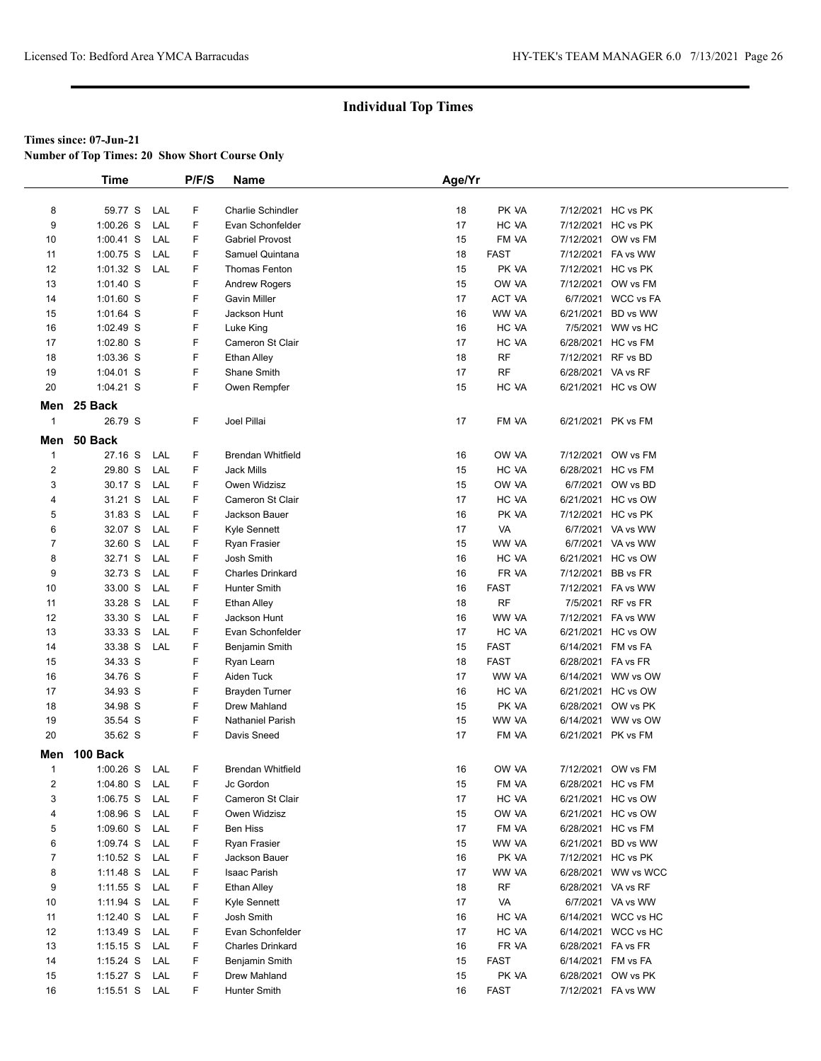**Number of Top Times: 20 Show Short Course Only**

|                | Time          |     | P/F/S | Name                     | Age/Yr |                      |                    |                     |
|----------------|---------------|-----|-------|--------------------------|--------|----------------------|--------------------|---------------------|
|                |               |     |       |                          |        |                      |                    |                     |
| 8              | 59.77 S       | LAL | F     | <b>Charlie Schindler</b> | 18     | PK VA                |                    | 7/12/2021 HC vs PK  |
| 9              | $1:00.26$ S   | LAL | F     | Evan Schonfelder         | 17     | HC VA                |                    | 7/12/2021 HC vs PK  |
| 10             | $1:00.41$ S   | LAL | F     | <b>Gabriel Provost</b>   | 15     | FM VA                | 7/12/2021          | OW vs FM            |
| 11             | $1:00.75$ S   | LAL | F     | Samuel Quintana          | 18     | <b>FAST</b>          |                    | 7/12/2021 FA vs WW  |
| 12             | $1:01.32$ S   | LAL | F     | <b>Thomas Fenton</b>     | 15     | PK VA                |                    | 7/12/2021 HC vs PK  |
| 13             | 1:01.40 S     |     | F     | <b>Andrew Rogers</b>     | 15     | OW VA                |                    | 7/12/2021 OW vs FM  |
| 14             | 1:01.60 S     |     | F     | <b>Gavin Miller</b>      | 17     | ACT VA               |                    | 6/7/2021 WCC vs FA  |
| 15             | $1:01.64$ S   |     | F     | Jackson Hunt             | 16     | WW VA                | 6/21/2021          | BD vs WW            |
| 16             | $1:02.49$ S   |     | F     | Luke King                | 16     | HC VA                |                    | 7/5/2021 WW vs HC   |
| 17             | 1:02.80 S     |     | F     | Cameron St Clair         | 17     | HC VA                |                    | 6/28/2021 HC vs FM  |
| 18             | $1:03.36$ S   |     | F     | <b>Ethan Alley</b>       | 18     | RF                   |                    | 7/12/2021 RF vs BD  |
| 19             | 1:04.01 S     |     | F     | Shane Smith              | 17     | RF                   | 6/28/2021 VA vs RF |                     |
| 20             | 1:04.21 S     |     | F     | Owen Rempfer             | 15     | HC VA                |                    | 6/21/2021 HC vs OW  |
|                | Men 25 Back   |     |       |                          |        |                      |                    |                     |
| $\mathbf{1}$   | 26.79 S       |     | F     | Joel Pillai              | 17     | FM VA                |                    | 6/21/2021 PK vs FM  |
| Men            | 50 Back       |     |       |                          |        |                      |                    |                     |
| $\mathbf{1}$   | 27.16 S       | LAL | F     | <b>Brendan Whitfield</b> | 16     | OW VA                |                    | 7/12/2021 OW vs FM  |
| $\overline{c}$ | 29.80 S       | LAL | F     | Jack Mills               | 15     | HC VA                |                    | 6/28/2021 HC vs FM  |
| 3              | 30.17 S       | LAL | F     | Owen Widzisz             | 15     | OW VA                |                    | 6/7/2021 OW vs BD   |
| 4              | 31.21 S       | LAL | F     | Cameron St Clair         | 17     | HC VA                |                    | 6/21/2021 HC vs OW  |
| 5              | 31.83 S       | LAL | F     | Jackson Bauer            | 16     | PK VA                |                    | 7/12/2021 HC vs PK  |
| 6              | 32.07 S       | LAL | F     | Kyle Sennett             | 17     | VA                   |                    | 6/7/2021 VA vs WW   |
| $\overline{7}$ | 32.60 S       | LAL | F     | Ryan Frasier             | 15     | WW VA                |                    | 6/7/2021 VA vs WW   |
| 8              | 32.71 S       | LAL | F     | Josh Smith               | 16     | HC VA                |                    | 6/21/2021 HC vs OW  |
| 9              | 32.73 S       | LAL | F     | <b>Charles Drinkard</b>  | 16     | FR VA                | 7/12/2021          | BB vs FR            |
| 10             | 33.00 S       | LAL | F     | Hunter Smith             | 16     | <b>FAST</b>          |                    | 7/12/2021 FA vs WW  |
| 11             | 33.28 S       | LAL | F     | <b>Ethan Alley</b>       | 18     | <b>RF</b>            |                    | 7/5/2021 RF vs FR   |
| 12             | 33.30 S       | LAL | F     | Jackson Hunt             | 16     | WW VA                |                    | 7/12/2021 FA vs WW  |
| 13             | 33.33 S       | LAL | F     | Evan Schonfelder         | 17     | HC VA                |                    | 6/21/2021 HC vs OW  |
| 14             | 33.38 S       | LAL | F     | Benjamin Smith           | 15     | <b>FAST</b>          |                    | 6/14/2021 FM vs FA  |
| 15             | 34.33 S       |     | F     | Ryan Learn               | 18     | <b>FAST</b>          | 6/28/2021 FA vs FR |                     |
| 16             | 34.76 S       |     | F     | Aiden Tuck               | 17     | WW VA                |                    | 6/14/2021 WW vs OW  |
| 17             | 34.93 S       |     | F     | <b>Brayden Turner</b>    | 16     | HC VA                |                    | 6/21/2021 HC vs OW  |
| 18             | 34.98 S       |     | F     | Drew Mahland             | 15     | PK VA                |                    | 6/28/2021 OW vs PK  |
| 19             | 35.54 S       |     | F     | <b>Nathaniel Parish</b>  | 15     | WW VA                |                    | 6/14/2021 WW vs OW  |
| 20             | 35.62 S       |     | F     | Davis Sneed              | 17     | FM VA                |                    | 6/21/2021 PK vs FM  |
| Men            | 100 Back      |     |       |                          |        |                      |                    |                     |
| $\mathbf{1}$   | 1:00.26 S LAL |     | F     | <b>Brendan Whitfield</b> | 16     | OW VA                |                    | 7/12/2021 OW vs FM  |
| $\overline{c}$ | $1:04.80$ S   | LAL | F     | Jc Gordon                | 15     | FM VA                |                    | 6/28/2021 HC vs FM  |
| 3              | $1:06.75$ S   | LAL | F     | Cameron St Clair         | 17     | HC VA                |                    | 6/21/2021 HC vs OW  |
| 4              | 1:08.96 S     | LAL | F     | Owen Widzisz             | 15     | OW VA                |                    | 6/21/2021 HC vs OW  |
| 5              | $1:09.60$ S   | LAL | F     | Ben Hiss                 | 17     | FM VA                |                    | 6/28/2021 HC vs FM  |
| 6              | 1:09.74 S     | LAL | F     | Ryan Frasier             | 15     | WW VA                | 6/21/2021          | BD vs WW            |
| $\overline{7}$ | 1:10.52 $S$   | LAL | F     | Jackson Bauer            | 16     | PK VA                |                    | 7/12/2021 HC vs PK  |
| 8              | $1:11.48$ S   | LAL | F     | Isaac Parish             | 17     | WW VA                |                    | 6/28/2021 WW vs WCC |
| 9              | $1:11.55$ S   | LAL | F     | <b>Ethan Alley</b>       | 18     | <b>RF</b>            | 6/28/2021 VA vs RF |                     |
| 10             | 1:11.94 S     | LAL | F     | Kyle Sennett             | 17     | VA                   |                    | 6/7/2021 VA vs WW   |
| 11             | 1:12.40 S     | LAL | F     | Josh Smith               | 16     | HC VA                |                    | 6/14/2021 WCC vs HC |
| 12             | 1:13.49 S     | LAL | F     | Evan Schonfelder         | 17     | HC VA                | 6/14/2021          | WCC vs HC           |
| 13             | 1:15.15 S     | LAL | F     | <b>Charles Drinkard</b>  | 16     | FR VA                | 6/28/2021 FA vs FR |                     |
| 14             | 1:15.24 S     | LAL | F     | Benjamin Smith           | 15     | <b>FAST</b>          | 6/14/2021 FM vs FA |                     |
| 15             | $1:15.27$ S   | LAL | F     | Drew Mahland             | 15     | PK VA<br><b>FAST</b> |                    | 6/28/2021 OW vs PK  |
| 16             | 1:15.51 S LAL |     | F     | Hunter Smith             | 16     |                      |                    | 7/12/2021 FA vs WW  |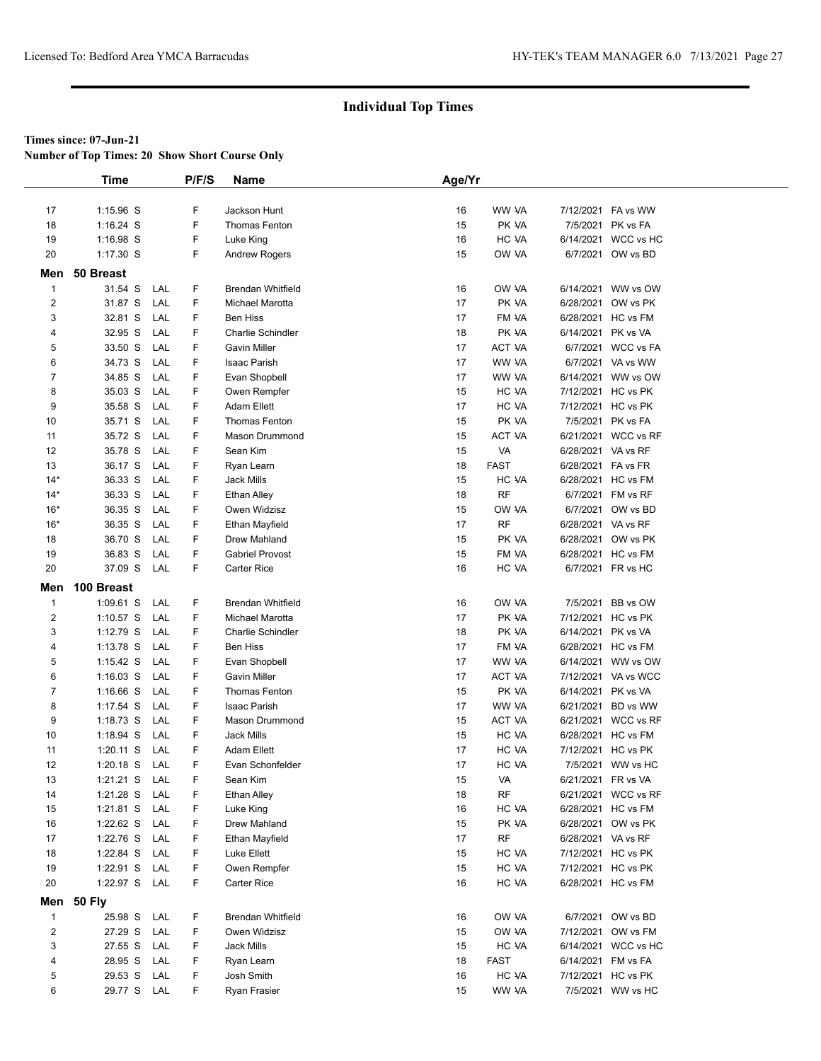**Number of Top Times: 20 Show Short Course Only**

|                         | <b>Time</b>   |     | P/F/S  | Name                                            | Age/Yr |             |                    |                              |  |
|-------------------------|---------------|-----|--------|-------------------------------------------------|--------|-------------|--------------------|------------------------------|--|
|                         |               |     |        |                                                 |        |             |                    |                              |  |
| 17                      | 1:15.96 S     |     | F      | Jackson Hunt                                    | 16     | WW VA       | 7/12/2021          | FA vs WW                     |  |
| 18                      | $1:16.24$ S   |     | F      | Thomas Fenton                                   | 15     | PK VA       | 7/5/2021           | PK vs FA                     |  |
| 19                      | 1:16.98 S     |     | F      | Luke King                                       | 16     | HC VA       | 6/14/2021          | WCC vs HC                    |  |
| 20                      | $1:17.30$ S   |     | F      | <b>Andrew Rogers</b>                            | 15     | OW VA       |                    | 6/7/2021 OW vs BD            |  |
| Men                     | 50 Breast     |     |        |                                                 |        |             |                    |                              |  |
|                         |               |     |        |                                                 |        |             |                    |                              |  |
| $\mathbf{1}$            | 31.54 S       | LAL | F<br>F | <b>Brendan Whitfield</b>                        | 16     | OW VA       | 6/14/2021          | WW vs OW                     |  |
| 2                       | 31.87 S       | LAL | F      | Michael Marotta                                 | 17     | PK VA       | 6/28/2021          | OW vs PK                     |  |
| 3                       | 32.81 S       | LAL |        | <b>Ben Hiss</b>                                 | 17     | FM VA       | 6/28/2021          | HC vs FM                     |  |
| 4                       | 32.95 S       | LAL | F      | <b>Charlie Schindler</b><br><b>Gavin Miller</b> | 18     | PK VA       | 6/14/2021          | PK vs VA<br><b>WCC vs FA</b> |  |
| 5                       | 33.50 S       | LAL | F      |                                                 | 17     | ACT VA      | 6/7/2021           |                              |  |
| 6                       | 34.73 S       | LAL | F      | Isaac Parish                                    | 17     | WW VA       | 6/7/2021           | VA vs WW                     |  |
| 7                       | 34.85 S       | LAL | F      | Evan Shopbell                                   | 17     | WW VA       | 6/14/2021          | WW vs OW                     |  |
| 8                       | 35.03 S       | LAL | F      | Owen Rempfer                                    | 15     | HC VA       |                    | 7/12/2021 HC vs PK           |  |
| 9                       | 35.58 S       | LAL | F      | <b>Adam Ellett</b>                              | 17     | HC VA       |                    | 7/12/2021 HC vs PK           |  |
| 10                      | 35.71 S       | LAL | F      | <b>Thomas Fenton</b>                            | 15     | PK VA       |                    | 7/5/2021 PK vs FA            |  |
| 11                      | 35.72 S       | LAL | F      | Mason Drummond                                  | 15     | ACT VA      | 6/21/2021          | WCC vs RF                    |  |
| 12                      | 35.78 S       | LAL | F      | Sean Kim                                        | 15     | VA          | 6/28/2021 VA vs RF |                              |  |
| 13                      | 36.17 S       | LAL | F      | Ryan Learn                                      | 18     | <b>FAST</b> | 6/28/2021          | FA vs FR                     |  |
| $14*$                   | 36.33 S       | LAL | F      | Jack Mills                                      | 15     | HC VA       | 6/28/2021          | HC vs FM                     |  |
| $14*$                   | 36.33 S       | LAL | F      | Ethan Alley                                     | 18     | <b>RF</b>   | 6/7/2021           | FM vs RF                     |  |
| $16*$                   | 36.35 S       | LAL | F      | Owen Widzisz                                    | 15     | OW VA       | 6/7/2021           | OW vs BD                     |  |
| $16*$                   | 36.35 S       | LAL | F      | Ethan Mayfield                                  | 17     | <b>RF</b>   | 6/28/2021          | VA vs RF                     |  |
| 18                      | 36.70 S       | LAL | F      | Drew Mahland                                    | 15     | PK VA       | 6/28/2021          | OW vs PK                     |  |
| 19                      | 36.83 S       | LAL | F      | <b>Gabriel Provost</b>                          | 15     | FM VA       | 6/28/2021          | HC vs FM                     |  |
| 20                      | 37.09 S       | LAL | F      | Carter Rice                                     | 16     | HC VA       |                    | 6/7/2021 FR vs HC            |  |
| Men                     | 100 Breast    |     |        |                                                 |        |             |                    |                              |  |
| $\mathbf 1$             | $1:09.61$ S   | LAL | F      | <b>Brendan Whitfield</b>                        | 16     | OW VA       | 7/5/2021           | BB vs OW                     |  |
| 2                       | $1:10.57$ S   | LAL | F      | Michael Marotta                                 | 17     | PK VA       |                    | 7/12/2021 HC vs PK           |  |
| 3                       | $1:12.79$ S   | LAL | F      | <b>Charlie Schindler</b>                        | 18     | PK VA       | 6/14/2021          | PK vs VA                     |  |
| 4                       | 1:13.78 S     | LAL | F      | <b>Ben Hiss</b>                                 | 17     | FM VA       |                    | 6/28/2021 HC vs FM           |  |
| 5                       | $1:15.42$ S   | LAL | F      | Evan Shopbell                                   | 17     | WW VA       |                    | 6/14/2021 WW vs OW           |  |
| 6                       | $1:16.03$ S   | LAL | F      | Gavin Miller                                    | 17     | ACT VA      | 7/12/2021          | VA vs WCC                    |  |
| 7                       | $1:16.66$ S   | LAL | F      | Thomas Fenton                                   | 15     | PK VA       | 6/14/2021          | PK vs VA                     |  |
| 8                       | 1:17.54 S     | LAL | F      | Isaac Parish                                    | 17     | WW VA       | 6/21/2021          | BD vs WW                     |  |
| 9                       | $1:18.73$ S   | LAL | F      | Mason Drummond                                  | 15     | ACT VA      | 6/21/2021          | WCC vs RF                    |  |
| 10                      | $1:18.94$ S   | LAL | F      | <b>Jack Mills</b>                               | 15     | HC VA       | 6/28/2021          | HC vs FM                     |  |
| 11                      | $1:20.11$ S   | LAL | F      | <b>Adam Ellett</b>                              | 17     | HC VA       | 7/12/2021          | HC vs PK                     |  |
| 12                      | $1:20.18$ S   | LAL | F      | Evan Schonfelder                                | 17     | HC VA       |                    | 7/5/2021 WW vs HC            |  |
| 13                      | 1:21.21 S     | LAL | F      | Sean Kim                                        | 15     | VA          | 6/21/2021 FR vs VA |                              |  |
| 14                      | 1:21.28 S     | LAL | F      | <b>Ethan Alley</b>                              | 18     | <b>RF</b>   |                    | 6/21/2021 WCC vs RF          |  |
| 15                      | $1:21.81$ S   | LAL | F      | Luke King                                       | 16     | HC VA       |                    | 6/28/2021 HC vs FM           |  |
| 16                      | $1:22.62$ S   | LAL | F      | Drew Mahland                                    | 15     | PK VA       |                    | 6/28/2021 OW vs PK           |  |
| 17                      | 1:22.76 S     | LAL | F      | Ethan Mayfield                                  | 17     | RF          | 6/28/2021 VA vs RF |                              |  |
| 18                      | 1:22.84 S     | LAL | F      | Luke Ellett                                     | 15     | HC VA       | 7/12/2021          | HC vs PK                     |  |
| 19                      | 1:22.91 S     | LAL | F      | Owen Rempfer                                    | 15     | HC VA       | 7/12/2021          | HC vs PK                     |  |
| 20                      | 1:22.97 S LAL |     | F      | Carter Rice                                     | 16     | HC VA       |                    | 6/28/2021 HC vs FM           |  |
|                         | Men 50 Fly    |     |        |                                                 |        |             |                    |                              |  |
| $\mathbf{1}$            | 25.98 S LAL   |     | F      | <b>Brendan Whitfield</b>                        | 16     | OW VA       |                    | 6/7/2021 OW vs BD            |  |
| $\overline{\mathbf{c}}$ | 27.29 S       | LAL | F      | Owen Widzisz                                    | 15     | OW VA       | 7/12/2021          | OW vs FM                     |  |
| 3                       | 27.55 S       | LAL | F      | Jack Mills                                      | 15     | HC VA       | 6/14/2021          | WCC vs HC                    |  |
| 4                       | 28.95 S       | LAL | F      | Ryan Learn                                      | 18     | <b>FAST</b> | 6/14/2021          | FM vs FA                     |  |
| 5                       | 29.53 S       | LAL | F      | Josh Smith                                      | 16     | HC VA       |                    | 7/12/2021 HC vs PK           |  |
| 6                       | 29.77 S LAL   |     | F      | Ryan Frasier                                    | 15     | WW VA       |                    | 7/5/2021 WW vs HC            |  |
|                         |               |     |        |                                                 |        |             |                    |                              |  |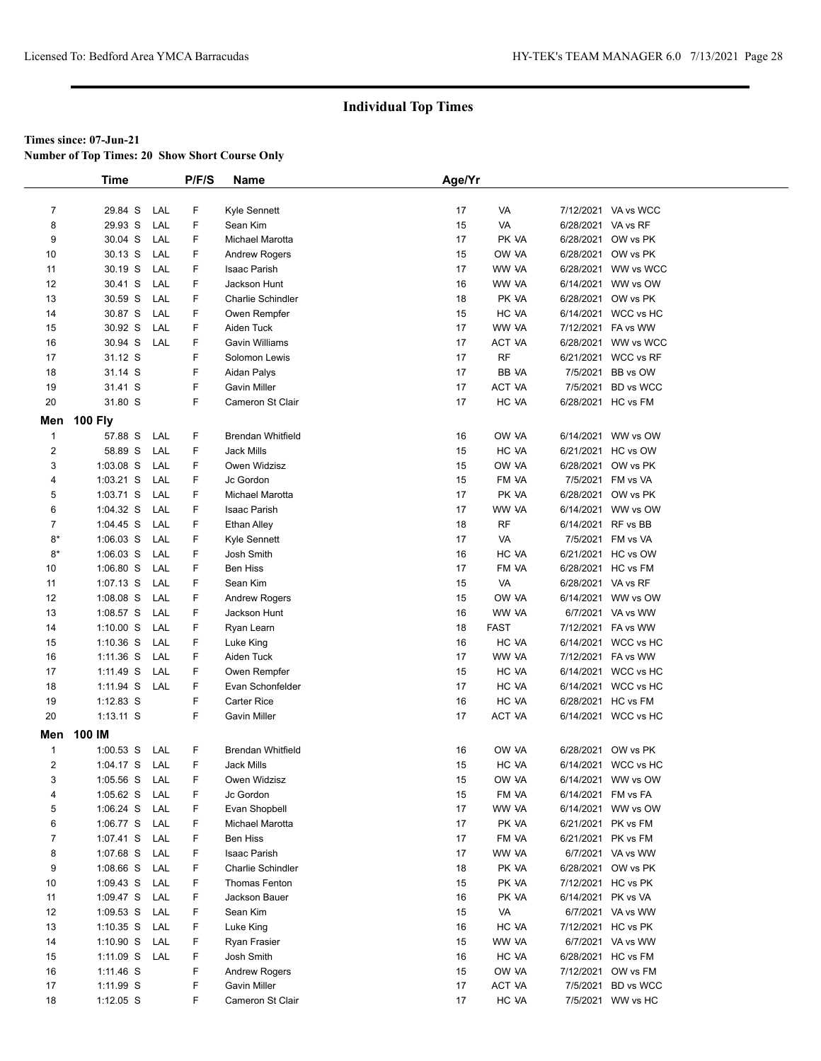**Number of Top Times: 20 Show Short Course Only**

|                         | <b>Time</b>            |     | P/F/S | <b>Name</b>                          | Age/Yr   |             |                    |                                         |
|-------------------------|------------------------|-----|-------|--------------------------------------|----------|-------------|--------------------|-----------------------------------------|
|                         |                        |     |       |                                      |          |             |                    |                                         |
| $\overline{7}$          | 29.84 S                | LAL | F     | Kyle Sennett                         | 17       | VA          |                    | 7/12/2021 VA vs WCC                     |
| 8                       | 29.93 S                | LAL | F     | Sean Kim                             | 15       | VA          | 6/28/2021 VA vs RF |                                         |
| 9                       | 30.04 S                | LAL | F     | Michael Marotta                      | 17       | PK VA       | 6/28/2021          | OW vs PK                                |
| 10                      | 30.13 S                | LAL | F     | <b>Andrew Rogers</b>                 | 15       | OW VA       | 6/28/2021          | OW vs PK                                |
| 11                      | 30.19 S                | LAL | F     | Isaac Parish                         | 17       | WW VA       |                    | 6/28/2021 WW vs WCC                     |
| 12                      | 30.41 S                | LAL | F     | Jackson Hunt                         | 16       | WW VA       |                    | 6/14/2021 WW vs OW                      |
| 13                      | 30.59 S                | LAL | F     | <b>Charlie Schindler</b>             | 18       | PK VA       | 6/28/2021          | OW vs PK                                |
| 14                      | 30.87 S                | LAL | F     | Owen Rempfer                         | 15       | HC VA       |                    | 6/14/2021 WCC vs HC                     |
| 15                      | 30.92 S                | LAL | F     | Aiden Tuck                           | 17       | WW VA       |                    | 7/12/2021 FA vs WW                      |
| 16                      | 30.94 S                | LAL | F     | Gavin Williams                       | 17       | ACT VA      |                    | 6/28/2021 WW vs WCC                     |
| 17                      | 31.12 S                |     | F     | Solomon Lewis                        | 17       | <b>RF</b>   |                    | 6/21/2021 WCC vs RF                     |
| 18                      | 31.14 S                |     | F     | Aidan Palys                          | 17       | BB VA       | 7/5/2021           | BB vs OW                                |
| 19                      | 31.41 S                |     | F     | <b>Gavin Miller</b>                  | 17       | ACT VA      | 7/5/2021           | <b>BD</b> vs WCC                        |
| 20                      | 31.80 S                |     | F     | Cameron St Clair                     | 17       | HC VA       | 6/28/2021 HC vs FM |                                         |
| Men                     | <b>100 Fly</b>         |     |       |                                      |          |             |                    |                                         |
| $\mathbf{1}$            | 57.88 S                | LAL | F     | <b>Brendan Whitfield</b>             | 16       | OW VA       |                    | 6/14/2021 WW vs OW                      |
| $\overline{\mathbf{c}}$ | 58.89 S                | LAL | F     | <b>Jack Mills</b>                    | 15       | HC VA       | 6/21/2021          | HC vs OW                                |
| 3                       | $1:03.08$ S            | LAL | F     | Owen Widzisz                         |          | OW VA       | 6/28/2021          | OW vs PK                                |
| 4                       | $1:03.21$ S            | LAL | F     | Jc Gordon                            | 15<br>15 | FM VA       |                    | 7/5/2021 FM vs VA                       |
| 5                       | 1:03.71 S              | LAL | F     | Michael Marotta                      | 17       | PK VA       |                    | 6/28/2021 OW vs PK                      |
| 6                       | 1:04.32 S              | LAL | F     | Isaac Parish                         | 17       | WW VA       |                    | 6/14/2021 WW vs OW                      |
| 7                       | $1:04.45$ S            | LAL | F     |                                      | 18       | <b>RF</b>   | 6/14/2021          | RF vs BB                                |
| $8*$                    | $1:06.03$ S            | LAL | F     | Ethan Alley<br>Kyle Sennett          | 17       | VA          | 7/5/2021           | FM vs VA                                |
| $8*$                    | $1:06.03$ S            | LAL | F     | Josh Smith                           | 16       | HC VA       |                    | 6/21/2021 HC vs OW                      |
|                         | $1:06.80$ S            | LAL | F     | <b>Ben Hiss</b>                      | 17       | FM VA       | 6/28/2021 HC vs FM |                                         |
| 10<br>11                | $1:07.13$ S            | LAL | F     | Sean Kim                             | 15       | VA          | 6/28/2021 VA vs RF |                                         |
|                         |                        | LAL | F     |                                      |          | OW VA       |                    |                                         |
| 12<br>13                | 1:08.08 S<br>1:08.57 S | LAL | F     | <b>Andrew Rogers</b><br>Jackson Hunt | 15<br>16 | WW VA       |                    | 6/14/2021 WW vs OW<br>6/7/2021 VA vs WW |
| 14                      | $1:10.00$ S            | LAL | F     |                                      | 18       | <b>FAST</b> |                    | 7/12/2021 FA vs WW                      |
| 15                      | $1:10.36$ S            | LAL | F     | Ryan Learn<br>Luke King              |          | HC VA       |                    | 6/14/2021 WCC vs HC                     |
| 16                      | $1:11.36$ S            | LAL | F     | Aiden Tuck                           | 16<br>17 | WW VA       |                    | 7/12/2021 FA vs WW                      |
| 17                      | 1:11.49 S              | LAL | F     | Owen Rempfer                         | 15       | HC VA       |                    | 6/14/2021 WCC vs HC                     |
| 18                      | 1:11.94 S              | LAL | F     | Evan Schonfelder                     | 17       | HC VA       |                    | 6/14/2021 WCC vs HC                     |
| 19                      | $1:12.83$ S            |     | F     | <b>Carter Rice</b>                   | 16       | HC VA       | 6/28/2021 HC vs FM |                                         |
| 20                      | $1:13.11$ S            |     | F     | <b>Gavin Miller</b>                  | 17       | ACT VA      |                    | 6/14/2021 WCC vs HC                     |
|                         |                        |     |       |                                      |          |             |                    |                                         |
| Men                     | 100 IM                 |     |       |                                      |          |             |                    |                                         |
| 1                       | $1:00.53$ S            | LAL | F     | <b>Brendan Whitfield</b>             | 16       | OW VA       | 6/28/2021          | OW vs PK                                |
| $\overline{2}$          | $1:04.17$ S            | LAL | F     | Jack Mills                           | 15       | HC VA       |                    | 6/14/2021 WCC vs HC                     |
| 3                       | $1:05.56$ S            | LAL | F     | Owen Widzisz                         | 15       | OW VA       |                    | 6/14/2021 WW vs OW                      |
| 4                       | 1:05.62 S              | LAL | F     | Jc Gordon                            | 15       | FM VA       | 6/14/2021          | FM vs FA                                |
| 5                       | 1:06.24 S              | LAL | F     | Evan Shopbell                        | 17       | WW VA       |                    | 6/14/2021 WW vs OW                      |
| 6                       | $1:06.77$ S            | LAL | F     | Michael Marotta                      | 17       | PK VA       | 6/21/2021 PK vs FM |                                         |
| $\overline{7}$          | 1:07.41 S              | LAL | F     | <b>Ben Hiss</b>                      | 17       | FM VA       | 6/21/2021 PK vs FM |                                         |
| 8                       | 1:07.68 S              | LAL | F     | Isaac Parish                         | 17       | WW VA       |                    | 6/7/2021 VA vs WW                       |
| 9                       | $1:08.66$ S            | LAL | F     | Charlie Schindler                    | 18       | PK VA       | 6/28/2021          | OW vs PK                                |
| 10                      | 1:09.43 S              | LAL | F     | Thomas Fenton                        | 15       | PK VA       |                    | 7/12/2021 HC vs PK                      |
| 11                      | 1:09.47 $S$            | LAL | F     | Jackson Bauer                        | 16       | PK VA       | 6/14/2021 PK vs VA |                                         |
| 12                      | $1:09.53$ S            | LAL | F     | Sean Kim                             | 15       | VA          |                    | 6/7/2021 VA vs WW                       |
| 13                      | $1:10.35$ S            | LAL | F     | Luke King                            | 16       | HC VA       |                    | 7/12/2021 HC vs PK                      |
| 14                      | 1:10.90 S              | LAL | F     | Ryan Frasier                         | 15       | WW VA       |                    | 6/7/2021 VA vs WW                       |
| 15                      | 1:11.09 S              | LAL | F     | Josh Smith                           | 16       | HC VA       |                    | 6/28/2021 HC vs FM                      |
| 16                      | 1:11.46 S              |     | F     | <b>Andrew Rogers</b>                 | 15       | OW VA       | 7/12/2021          | OW vs FM                                |
| 17                      | 1:11.99 S              |     | F     | <b>Gavin Miller</b>                  | 17       | ACT VA      | 7/5/2021           | <b>BD</b> vs WCC                        |
| 18                      | $1:12.05$ S            |     | F     | Cameron St Clair                     | 17       | HC VA       |                    | 7/5/2021 WW vs HC                       |